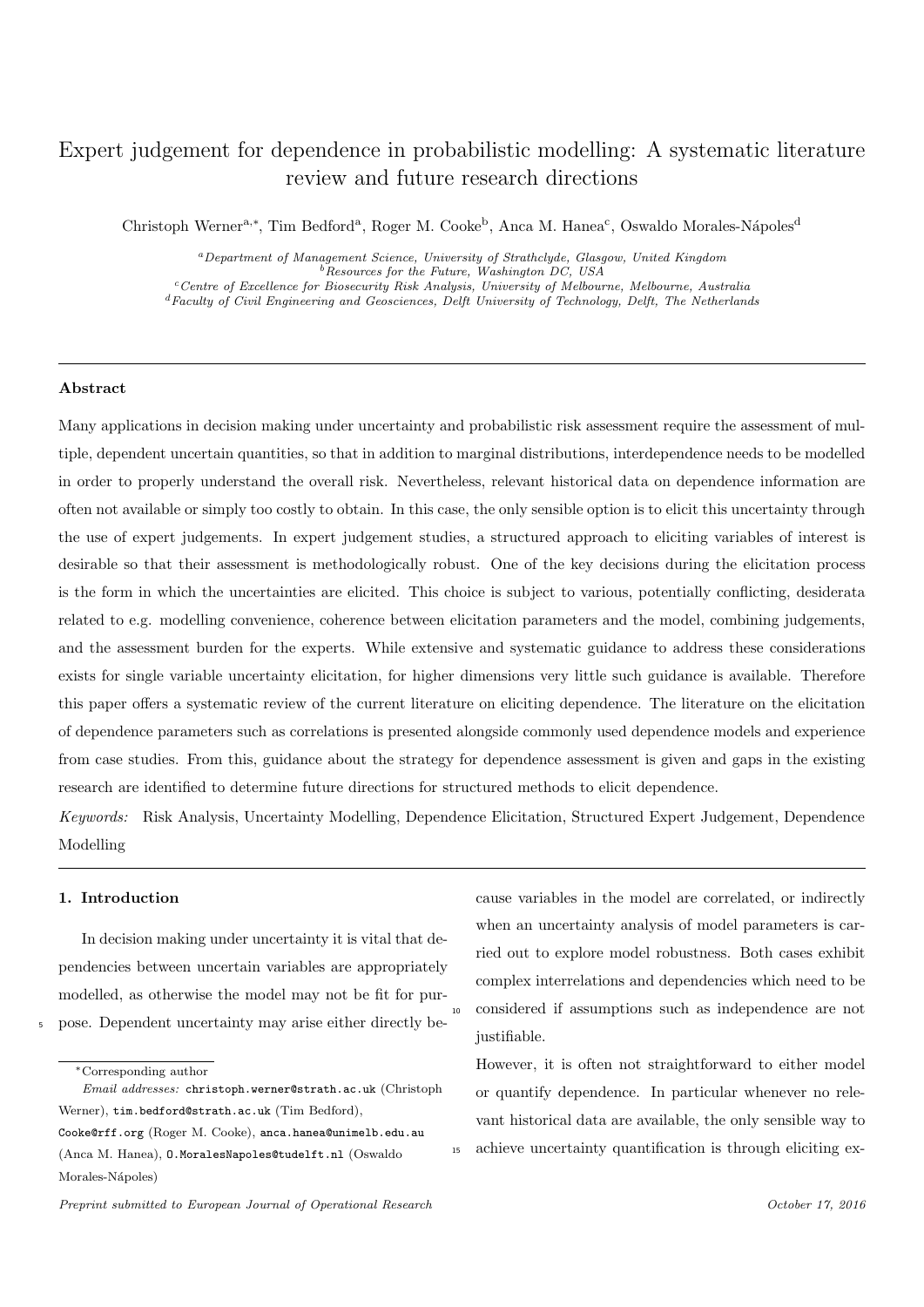# Expert judgement for dependence in probabilistic modelling: A systematic literature review and future research directions

Christoph Werner<sup>a,∗</sup>, Tim Bedford<sup>a</sup>, Roger M. Cooke<sup>b</sup>, Anca M. Hanea<sup>c</sup>, Oswaldo Morales-Nápoles<sup>d</sup>

<sup>a</sup>Department of Management Science, University of Strathclyde, Glasgow, United Kingdom Resources for the Future, Washington DC, USA <sup>c</sup>Centre of Excellence for Biosecurity Risk Analysis, University of Melbourne, Melbourne, Australia <sup>d</sup>Faculty of Civil Engineering and Geosciences, Delft University of Technology, Delft, The Netherlands

#### Abstract

Many applications in decision making under uncertainty and probabilistic risk assessment require the assessment of multiple, dependent uncertain quantities, so that in addition to marginal distributions, interdependence needs to be modelled in order to properly understand the overall risk. Nevertheless, relevant historical data on dependence information are often not available or simply too costly to obtain. In this case, the only sensible option is to elicit this uncertainty through the use of expert judgements. In expert judgement studies, a structured approach to eliciting variables of interest is desirable so that their assessment is methodologically robust. One of the key decisions during the elicitation process is the form in which the uncertainties are elicited. This choice is subject to various, potentially conflicting, desiderata related to e.g. modelling convenience, coherence between elicitation parameters and the model, combining judgements, and the assessment burden for the experts. While extensive and systematic guidance to address these considerations exists for single variable uncertainty elicitation, for higher dimensions very little such guidance is available. Therefore this paper offers a systematic review of the current literature on eliciting dependence. The literature on the elicitation of dependence parameters such as correlations is presented alongside commonly used dependence models and experience from case studies. From this, guidance about the strategy for dependence assessment is given and gaps in the existing research are identified to determine future directions for structured methods to elicit dependence.

Keywords: Risk Analysis, Uncertainty Modelling, Dependence Elicitation, Structured Expert Judgement, Dependence Modelling

### 1. Introduction

In decision making under uncertainty it is vital that dependencies between uncertain variables are appropriately modelled, as otherwise the model may not be fit for pur-<sup>5</sup> pose. Dependent uncertainty may arise either directly be-

cause variables in the model are correlated, or indirectly when an uncertainty analysis of model parameters is carried out to explore model robustness. Both cases exhibit complex interrelations and dependencies which need to be <sup>10</sup> considered if assumptions such as independence are not justifiable.

However, it is often not straightforward to either model or quantify dependence. In particular whenever no relevant historical data are available, the only sensible way to achieve uncertainty quantification is through eliciting ex-

<sup>∗</sup>Corresponding author

Email addresses: christoph.werner@strath.ac.uk (Christoph Werner), tim.bedford@strath.ac.uk (Tim Bedford), Cooke@rff.org (Roger M. Cooke), anca.hanea@unimelb.edu.au (Anca M. Hanea), O.MoralesNapoles@tudelft.nl (Oswaldo Morales-Nápoles)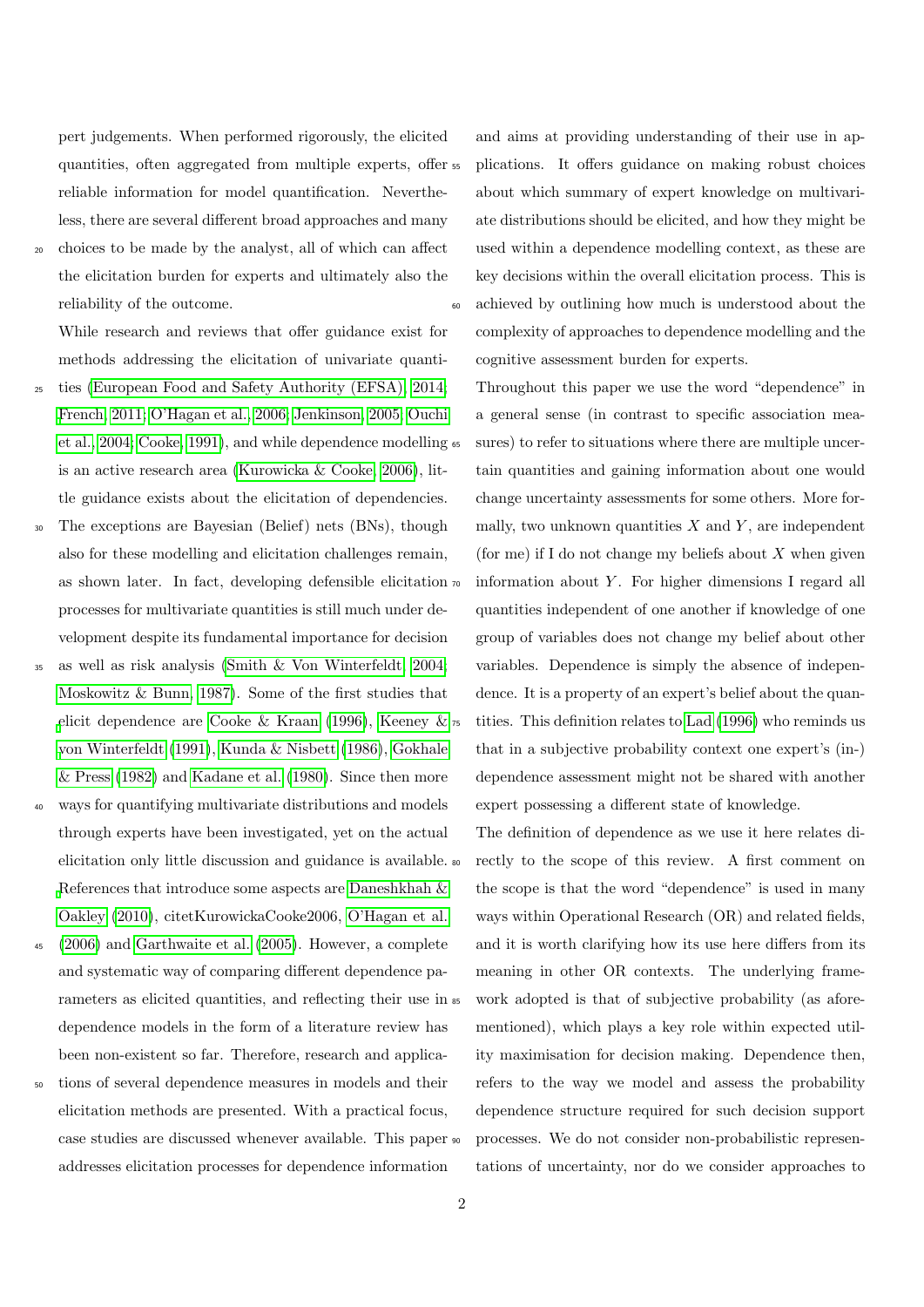pert judgements. When performed rigorously, the elicited quantities, often aggregated from multiple experts, offer reliable information for model quantification. Nevertheless, there are several different broad approaches and many

<sup>20</sup> choices to be made by the analyst, all of which can affect the elicitation burden for experts and ultimately also the reliability of the outcome.

While research and reviews that offer guidance exist for methods addressing the elicitation of univariate quanti-

- <sup>25</sup> ties [\(European Food and Safety Authority \(EFSA\), 2014;](#page-31-0) [French, 2011;](#page-31-1) [O'Hagan et al., 2006;](#page-33-0) [Jenkinson, 2005;](#page-32-0) [Ouchi](#page-33-1) [et al., 2004;](#page-33-1) [Cooke, 1991\)](#page-30-0), and while dependence modelling is an active research area [\(Kurowicka & Cooke, 2006\)](#page-32-1), little guidance exists about the elicitation of dependencies.
- The exceptions are Bayesian (Belief) nets (BNs), though also for these modelling and elicitation challenges remain, as shown later. In fact, developing defensible elicitation processes for multivariate quantities is still much under development despite its fundamental importance for decision
- <sup>35</sup> as well as risk analysis [\(Smith & Von Winterfeldt, 2004;](#page-33-2) [Moskowitz & Bunn, 1987\)](#page-33-3). Some of the first studies that [e](#page-32-2)licit dependence are [Cooke & Kraan](#page-30-1) [\(1996\)](#page-30-1), [Keeney &](#page-32-2)  $\pi$ [von Winterfeldt](#page-32-2) [\(1991\)](#page-32-2), [Kunda & Nisbett](#page-32-3) [\(1986\)](#page-32-3), [Gokhale](#page-31-2) [& Press](#page-31-2) [\(1982\)](#page-31-2) and [Kadane et al.](#page-32-4) [\(1980\)](#page-32-4). Since then more
- ways for quantifying multivariate distributions and models through experts have been investigated, yet on the actual elicitation only little discussion and guidance is available. [R](#page-30-2)eferences that introduce some aspects are [Daneshkhah &](#page-30-2) [Oakley](#page-30-2) [\(2010\)](#page-30-2), citetKurowickaCooke2006, [O'Hagan et al.](#page-33-0)
- $(2006)$  and [Garthwaite et al.](#page-31-3)  $(2005)$ . However, a complete and systematic way of comparing different dependence parameters as elicited quantities, and reflecting their use in dependence models in the form of a literature review has been non-existent so far. Therefore, research and applica-
- tions of several dependence measures in models and their elicitation methods are presented. With a practical focus, case studies are discussed whenever available. This paper addresses elicitation processes for dependence information

and aims at providing understanding of their use in ap-<sup>55</sup> plications. It offers guidance on making robust choices about which summary of expert knowledge on multivariate distributions should be elicited, and how they might be used within a dependence modelling context, as these are key decisions within the overall elicitation process. This is achieved by outlining how much is understood about the complexity of approaches to dependence modelling and the cognitive assessment burden for experts.

Throughout this paper we use the word "dependence" in a general sense (in contrast to specific association measures) to refer to situations where there are multiple uncertain quantities and gaining information about one would change uncertainty assessments for some others. More formally, two unknown quantities  $X$  and  $Y$ , are independent (for me) if I do not change my beliefs about  $X$  when given information about  $Y$ . For higher dimensions I regard all quantities independent of one another if knowledge of one group of variables does not change my belief about other variables. Dependence is simply the absence of independence. It is a property of an expert's belief about the quan-tities. This definition relates to [Lad](#page-32-5) [\(1996\)](#page-32-5) who reminds us that in a subjective probability context one expert's (in-) dependence assessment might not be shared with another expert possessing a different state of knowledge.

The definition of dependence as we use it here relates directly to the scope of this review. A first comment on the scope is that the word "dependence" is used in many ways within Operational Research (OR) and related fields, and it is worth clarifying how its use here differs from its meaning in other OR contexts. The underlying framework adopted is that of subjective probability (as aforementioned), which plays a key role within expected utility maximisation for decision making. Dependence then, refers to the way we model and assess the probability dependence structure required for such decision support processes. We do not consider non-probabilistic representations of uncertainty, nor do we consider approaches to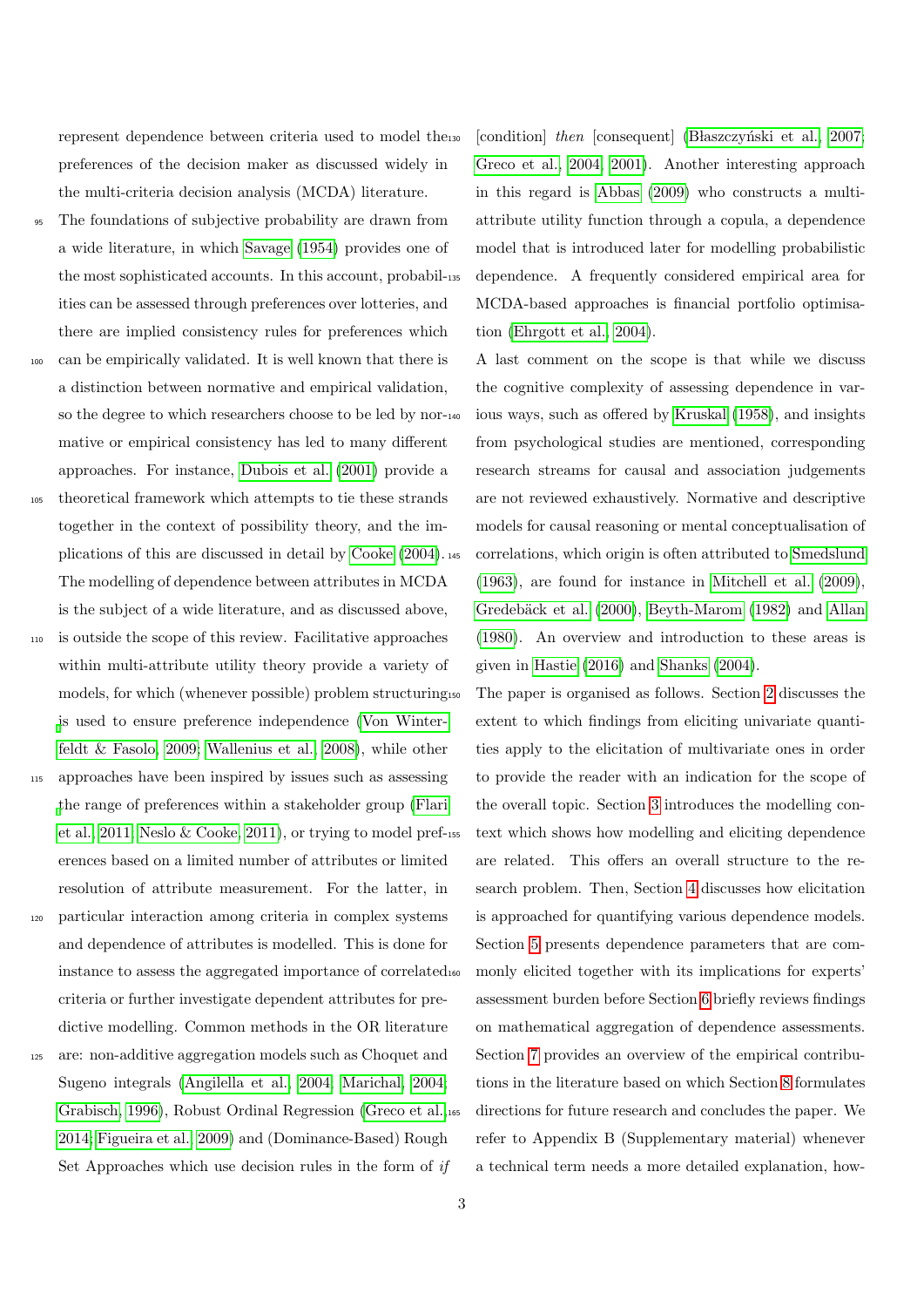represent dependence between criteria used to model the preferences of the decision maker as discussed widely in the multi-criteria decision analysis (MCDA) literature.

- The foundations of subjective probability are drawn from a wide literature, in which [Savage](#page-33-4) [\(1954\)](#page-33-4) provides one of the most sophisticated accounts. In this account, probabilities can be assessed through preferences over lotteries, and there are implied consistency rules for preferences which
- <sup>100</sup> can be empirically validated. It is well known that there is a distinction between normative and empirical validation, so the degree to which researchers choose to be led by normative or empirical consistency has led to many different approaches. For instance, [Dubois et al.](#page-31-4) [\(2001\)](#page-31-4) provide a
- <sup>105</sup> theoretical framework which attempts to tie these strands together in the context of possibility theory, and the implications of this are discussed in detail by [Cooke](#page-30-3) [\(2004\)](#page-30-3). The modelling of dependence between attributes in MCDA is the subject of a wide literature, and as discussed above,
- <sup>110</sup> is outside the scope of this review. Facilitative approaches within multi-attribute utility theory provide a variety of models, for which (whenever possible) problem structuring [i](#page-34-0)s used to ensure preference independence [\(Von Winter](#page-34-0)[feldt & Fasolo, 2009;](#page-34-0) [Wallenius et al., 2008\)](#page-34-1), while other
- <sup>115</sup> approaches have been inspired by issues such as assessing [t](#page-31-5)he range of preferences within a stakeholder group [\(Flari](#page-31-5) [et al., 2011;](#page-31-5) [Neslo & Cooke, 2011\)](#page-33-5), or trying to model preferences based on a limited number of attributes or limited resolution of attribute measurement. For the latter, in
- <sup>120</sup> particular interaction among criteria in complex systems and dependence of attributes is modelled. This is done for instance to assess the aggregated importance of correlated criteria or further investigate dependent attributes for predictive modelling. Common methods in the OR literature
- <sup>125</sup> are: non-additive aggregation models such as Choquet and Sugeno integrals [\(Angilella et al., 2004;](#page-29-0) [Marichal, 2004;](#page-32-6) [Grabisch, 1996\)](#page-31-6), Robust Ordinal Regression [\(Greco et al.,](#page-31-7) [2014;](#page-31-7) [Figueira et al., 2009\)](#page-31-8) and (Dominance-Based) Rough Set Approaches which use decision rules in the form of if

[condition] then [consequent] (Blaszczyński et al., 2007; [Greco et al., 2004,](#page-31-9) [2001\)](#page-31-10). Another interesting approach in this regard is [Abbas](#page-29-1) [\(2009\)](#page-29-1) who constructs a multiattribute utility function through a copula, a dependence model that is introduced later for modelling probabilistic dependence. A frequently considered empirical area for MCDA-based approaches is financial portfolio optimisation [\(Ehrgott et al., 2004\)](#page-31-11).

A last comment on the scope is that while we discuss the cognitive complexity of assessing dependence in var-ious ways, such as offered by [Kruskal](#page-32-7) [\(1958\)](#page-32-7), and insights from psychological studies are mentioned, corresponding research streams for causal and association judgements are not reviewed exhaustively. Normative and descriptive models for causal reasoning or mental conceptualisation of correlations, which origin is often attributed to [Smedslund](#page-33-6) [\(1963\)](#page-33-6), are found for instance in [Mitchell et al.](#page-32-8) [\(2009\)](#page-32-8), Gredebäck et al. [\(2000\)](#page-31-12), [Beyth-Marom](#page-30-5) [\(1982\)](#page-30-5) and [Allan](#page-29-2) [\(1980\)](#page-29-2). An overview and introduction to these areas is given in [Hastie](#page-32-9) [\(2016\)](#page-32-9) and [Shanks](#page-33-7) [\(2004\)](#page-33-7).

The paper is organised as follows. Section [2](#page-3-0) discusses the extent to which findings from eliciting univariate quantities apply to the elicitation of multivariate ones in order to provide the reader with an indication for the scope of the overall topic. Section [3](#page-4-0) introduces the modelling context which shows how modelling and eliciting dependence are related. This offers an overall structure to the research problem. Then, Section [4](#page-6-0) discusses how elicitation is approached for quantifying various dependence models. Section [5](#page-15-0) presents dependence parameters that are commonly elicited together with its implications for experts' assessment burden before Section [6](#page-24-0) briefly reviews findings on mathematical aggregation of dependence assessments. Section [7](#page-26-0) provides an overview of the empirical contributions in the literature based on which Section [8](#page-28-0) formulates directions for future research and concludes the paper. We refer to Appendix B (Supplementary material) whenever a technical term needs a more detailed explanation, how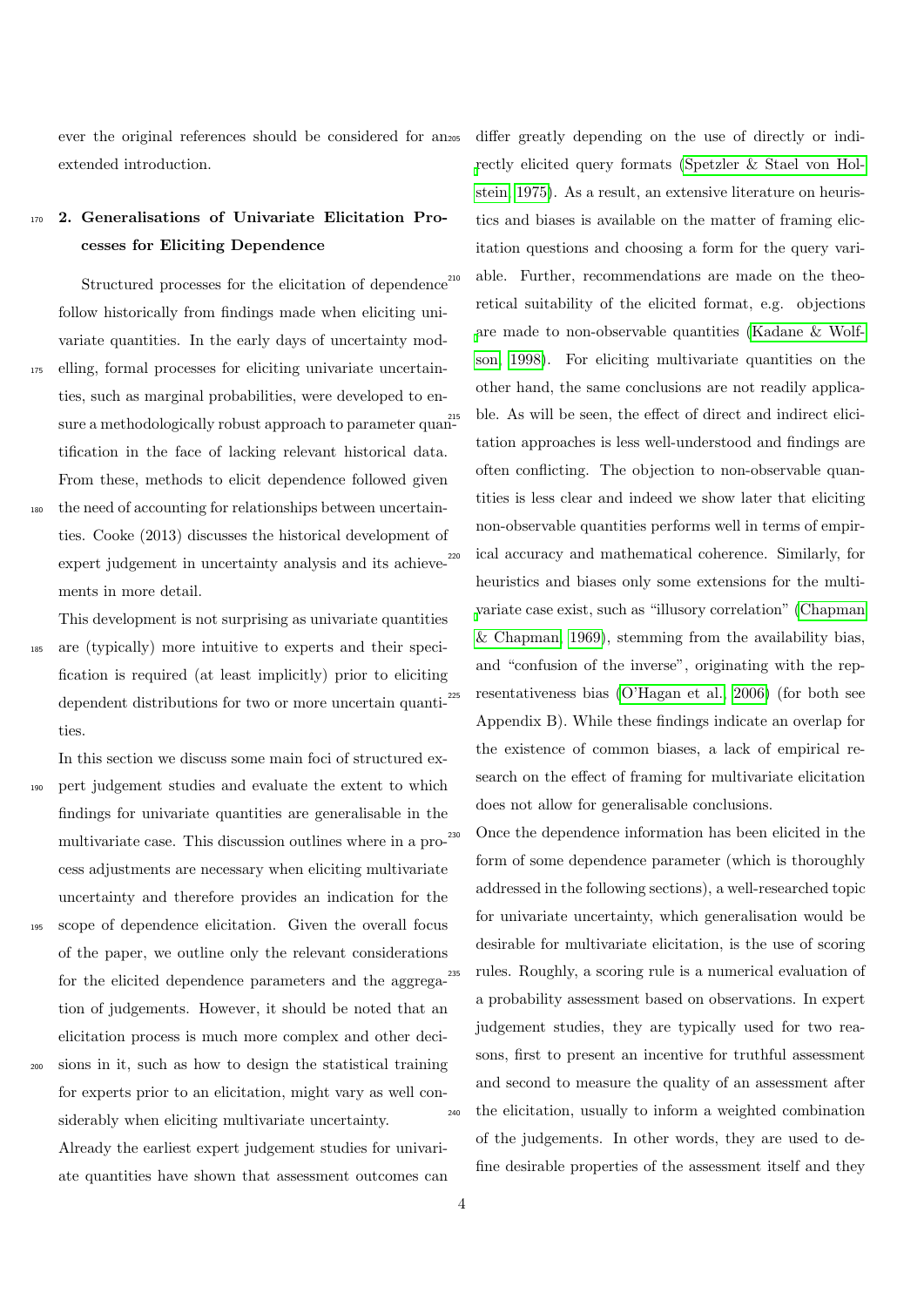ever the original references should be considered for an extended introduction.

## <span id="page-3-0"></span><sup>170</sup> 2. Generalisations of Univariate Elicitation Processes for Eliciting Dependence

Structured processes for the elicitation of dependence  $^{210}$ follow historically from findings made when eliciting univariate quantities. In the early days of uncertainty mod-<sup>175</sup> elling, formal processes for eliciting univariate uncertain-

- ties, such as marginal probabilities, were developed to ensure a methodologically robust approach to parameter quantification in the face of lacking relevant historical data. From these, methods to elicit dependence followed given
- the need of accounting for relationships between uncertainties. Cooke (2013) discusses the historical development of expert judgement in uncertainty analysis and its achieve-<sup>220</sup> ments in more detail.

This development is not surprising as univariate quantities <sup>185</sup> are (typically) more intuitive to experts and their specification is required (at least implicitly) prior to eliciting dependent distributions for two or more uncertain quanti-<sup>225</sup>

ties. In this section we discuss some main foci of structured ex-

- <sup>190</sup> pert judgement studies and evaluate the extent to which findings for univariate quantities are generalisable in the multivariate case. This discussion outlines where in a process adjustments are necessary when eliciting multivariate uncertainty and therefore provides an indication for the
- <sup>195</sup> scope of dependence elicitation. Given the overall focus of the paper, we outline only the relevant considerations for the elicited dependence parameters and the aggregation of judgements. However, it should be noted that an elicitation process is much more complex and other deci-
- <sup>200</sup> sions in it, such as how to design the statistical training for experts prior to an elicitation, might vary as well considerably when eliciting multivariate uncertainty. Already the earliest expert judgement studies for univariate quantities have shown that assessment outcomes can

differ greatly depending on the use of directly or indi[r](#page-33-8)ectly elicited query formats [\(Spetzler & Stael von Hol](#page-33-8)[stein, 1975\)](#page-33-8). As a result, an extensive literature on heuristics and biases is available on the matter of framing elicitation questions and choosing a form for the query variable. Further, recommendations are made on the theoretical suitability of the elicited format, e.g. objections [a](#page-32-10)re made to non-observable quantities [\(Kadane & Wolf](#page-32-10)[son, 1998\)](#page-32-10). For eliciting multivariate quantities on the other hand, the same conclusions are not readily applicable. As will be seen, the effect of direct and indirect elicitation approaches is less well-understood and findings are often conflicting. The objection to non-observable quantities is less clear and indeed we show later that eliciting non-observable quantities performs well in terms of empirical accuracy and mathematical coherence. Similarly, for heuristics and biases only some extensions for the multi[v](#page-30-6)ariate case exist, such as "illusory correlation" [\(Chapman](#page-30-6) [& Chapman, 1969\)](#page-30-6), stemming from the availability bias, and "confusion of the inverse", originating with the rep-resentativeness bias [\(O'Hagan et al., 2006\)](#page-33-0) (for both see Appendix B). While these findings indicate an overlap for the existence of common biases, a lack of empirical research on the effect of framing for multivariate elicitation does not allow for generalisable conclusions.

Once the dependence information has been elicited in the form of some dependence parameter (which is thoroughly addressed in the following sections), a well-researched topic for univariate uncertainty, which generalisation would be desirable for multivariate elicitation, is the use of scoring rules. Roughly, a scoring rule is a numerical evaluation of a probability assessment based on observations. In expert judgement studies, they are typically used for two reasons, first to present an incentive for truthful assessment and second to measure the quality of an assessment after <sup>240</sup> the elicitation, usually to inform a weighted combination of the judgements. In other words, they are used to define desirable properties of the assessment itself and they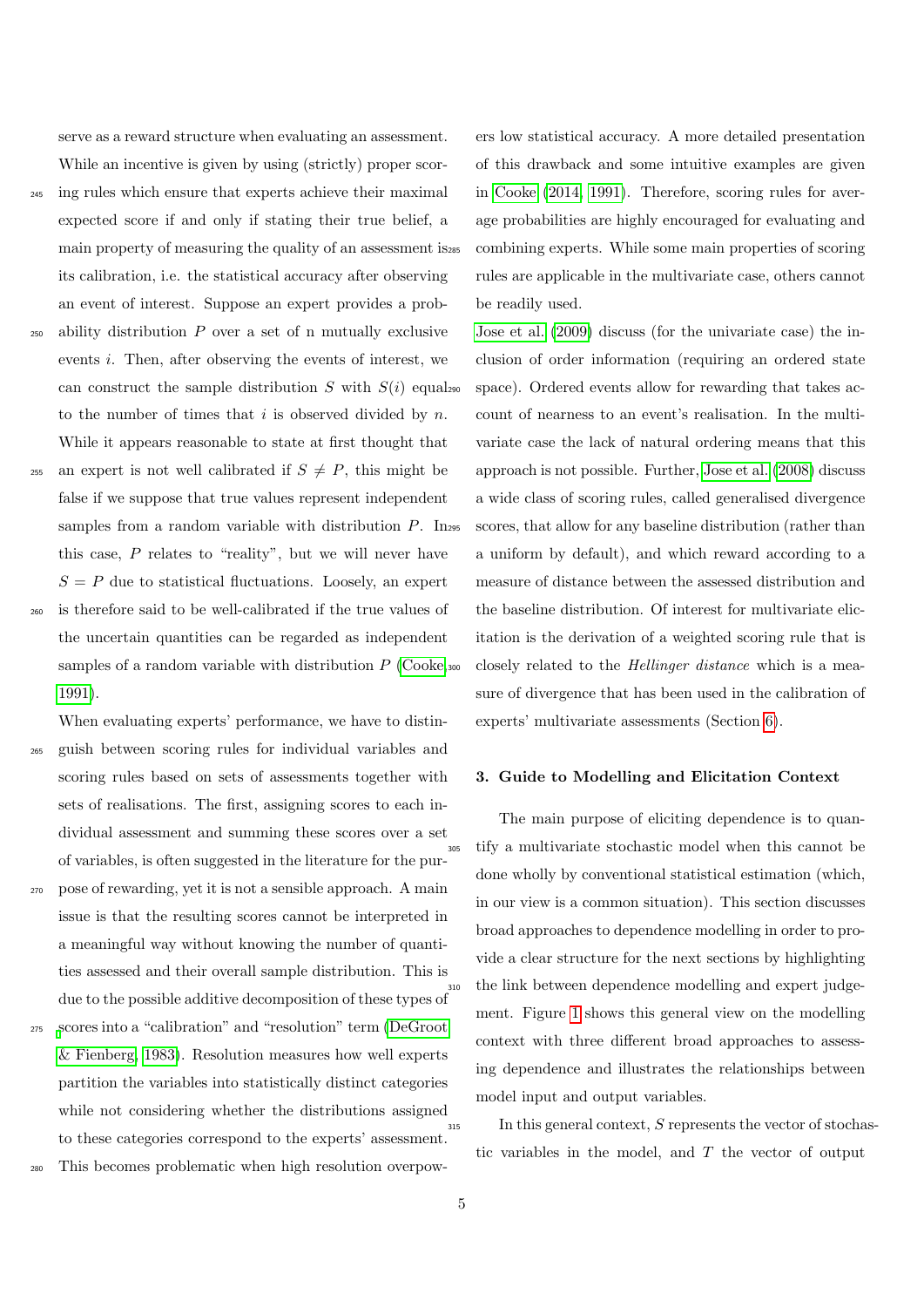serve as a reward structure when evaluating an assessment.

While an incentive is given by using (strictly) proper scor-

<sup>245</sup> ing rules which ensure that experts achieve their maximal

[1991\)](#page-30-0).

- expected score if and only if stating their true belief, a main property of measuring the quality of an assessment is its calibration, i.e. the statistical accuracy after observing an event of interest. Suppose an expert provides a prob-
- $250$  ability distribution  $P$  over a set of n mutually exclusive events i. Then, after observing the events of interest, we can construct the sample distribution S with  $S(i)$  equals to the number of times that  $i$  is observed divided by  $n$ . While it appears reasonable to state at first thought that
- 255 an expert is not well calibrated if  $S \neq P$ , this might be false if we suppose that true values represent independent samples from a random variable with distribution  $P$ . In<sub>295</sub> this case,  $P$  relates to "reality", but we will never have  $S = P$  due to statistical fluctuations. Loosely, an expert <sup>260</sup> is therefore said to be well-calibrated if the true values of the uncertain quantities can be regarded as independent samples of a random variable with distribution  $P$  [\(Cooke,](#page-30-0)  $\infty$
- When evaluating experts' performance, we have to distin-<sup>265</sup> guish between scoring rules for individual variables and scoring rules based on sets of assessments together with sets of realisations. The first, assigning scores to each individual assessment and summing these scores over a set of variables, is often suggested in the literature for the pur-
- <sup>270</sup> pose of rewarding, yet it is not a sensible approach. A main issue is that the resulting scores cannot be interpreted in a meaningful way without knowing the number of quantities assessed and their overall sample distribution. This is due to the possible additive decomposition of these types of
- <sup>275</sup> [s](#page-30-7)cores into a "calibration" and "resolution" term [\(DeGroot](#page-30-7) [& Fienberg, 1983\)](#page-30-7). Resolution measures how well experts partition the variables into statistically distinct categories while not considering whether the distributions assigned to these categories correspond to the experts' assessment.

This becomes problematic when high resolution overpow-

ers low statistical accuracy. A more detailed presentation of this drawback and some intuitive examples are given in [Cooke](#page-30-8) [\(2014,](#page-30-8) [1991\)](#page-30-0). Therefore, scoring rules for average probabilities are highly encouraged for evaluating and combining experts. While some main properties of scoring rules are applicable in the multivariate case, others cannot be readily used.

[Jose et al.](#page-32-11) [\(2009\)](#page-32-11) discuss (for the univariate case) the inclusion of order information (requiring an ordered state space). Ordered events allow for rewarding that takes account of nearness to an event's realisation. In the multivariate case the lack of natural ordering means that this approach is not possible. Further, [Jose et al.](#page-32-12) [\(2008\)](#page-32-12) discuss a wide class of scoring rules, called generalised divergence scores, that allow for any baseline distribution (rather than a uniform by default), and which reward according to a measure of distance between the assessed distribution and the baseline distribution. Of interest for multivariate elicitation is the derivation of a weighted scoring rule that is closely related to the *Hellinger distance* which is a measure of divergence that has been used in the calibration of experts' multivariate assessments (Section [6\)](#page-24-0).

### <span id="page-4-0"></span>3. Guide to Modelling and Elicitation Context

The main purpose of eliciting dependence is to quantify a multivariate stochastic model when this cannot be done wholly by conventional statistical estimation (which, in our view is a common situation). This section discusses broad approaches to dependence modelling in order to provide a clear structure for the next sections by highlighting <sup>310</sup> the link between dependence modelling and expert judgement. Figure [1](#page-5-0) shows this general view on the modelling context with three different broad approaches to assessing dependence and illustrates the relationships between model input and output variables.

<sup>315</sup> In this general context, S represents the vector of stochastic variables in the model, and T the vector of output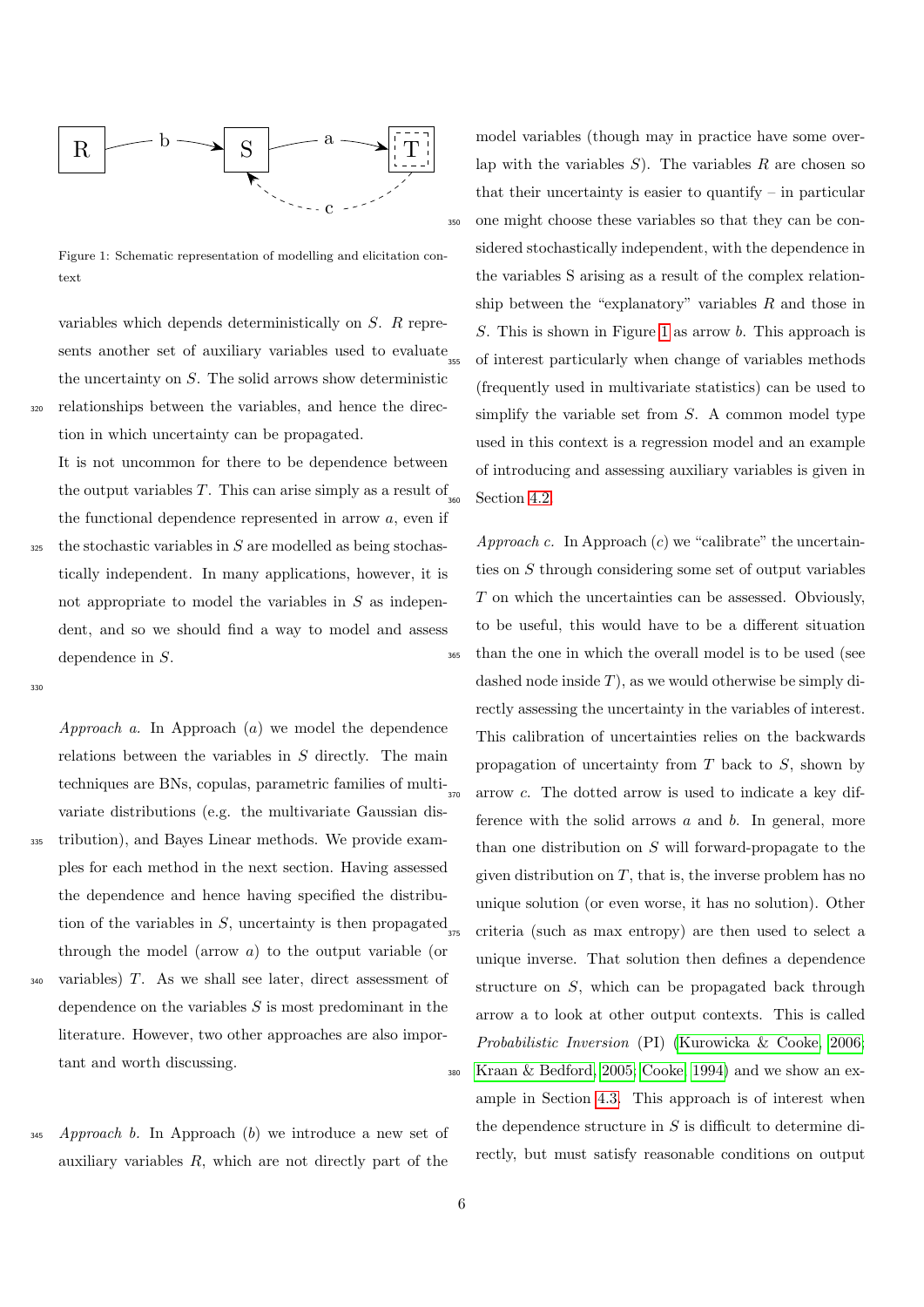

Figure 1: Schematic representation of modelling and elicitation context

variables which depends deterministically on S. R represents another set of auxiliary variables used to evaluate the uncertainty on  $S$ . The solid arrows show deterministic <sup>320</sup> relationships between the variables, and hence the direction in which uncertainty can be propagated.

It is not uncommon for there to be dependence between the output variables  $T$ . This can arise simply as a result of the functional dependence represented in arrow  $a$ , even if

 $325$  the stochastic variables in S are modelled as being stochastically independent. In many applications, however, it is not appropriate to model the variables in  $S$  as independent, and so we should find a way to model and assess dependence in S.

330

Approach a. In Approach (a) we model the dependence relations between the variables in S directly. The main techniques are BNs, copulas, parametric families of multivariate distributions (e.g. the multivariate Gaussian dis-<sup>335</sup> tribution), and Bayes Linear methods. We provide examples for each method in the next section. Having assessed the dependence and hence having specified the distribution of the variables in  $S$ , uncertainty is then propagated through the model (arrow a) to the output variable (or variables)  $T$ . As we shall see later, direct assessment of dependence on the variables  $S$  is most predominant in the literature. However, two other approaches are also important and worth discussing.

 $345$  Approach b. In Approach (b) we introduce a new set of auxiliary variables  $R$ , which are not directly part of the

<span id="page-5-0"></span>model variables (though may in practice have some overlap with the variables  $S$ ). The variables  $R$  are chosen so that their uncertainty is easier to quantify  $-$  in particular <sup>350</sup> one might choose these variables so that they can be considered stochastically independent, with the dependence in the variables S arising as a result of the complex relationship between the "explanatory" variables  $R$  and those in S. This is shown in Figure [1](#page-5-0) as arrow b. This approach is <sup>355</sup> of interest particularly when change of variables methods (frequently used in multivariate statistics) can be used to simplify the variable set from  $S$ . A common model type used in this context is a regression model and an example of introducing and assessing auxiliary variables is given in Section [4.2.](#page-14-0)

Approach c. In Approach  $(c)$  we "calibrate" the uncertainties on S through considering some set of output variables T on which the uncertainties can be assessed. Obviously, to be useful, this would have to be a different situation <sup>365</sup> than the one in which the overall model is to be used (see dashed node inside  $T$ ), as we would otherwise be simply directly assessing the uncertainty in the variables of interest. This calibration of uncertainties relies on the backwards propagation of uncertainty from  $T$  back to  $S$ , shown by arrow  $c$ . The dotted arrow is used to indicate a key difference with the solid arrows  $a$  and  $b$ . In general, more than one distribution on S will forward-propagate to the given distribution on  $T$ , that is, the inverse problem has no unique solution (or even worse, it has no solution). Other <sup>375</sup> criteria (such as max entropy) are then used to select a unique inverse. That solution then defines a dependence structure on S, which can be propagated back through arrow a to look at other output contexts. This is called Probabilistic Inversion (PI) [\(Kurowicka & Cooke, 2006;](#page-32-1) <sup>380</sup> [Kraan & Bedford, 2005;](#page-32-13) [Cooke, 1994\)](#page-30-9) and we show an example in Section [4.3.](#page-14-1) This approach is of interest when the dependence structure in  $S$  is difficult to determine directly, but must satisfy reasonable conditions on output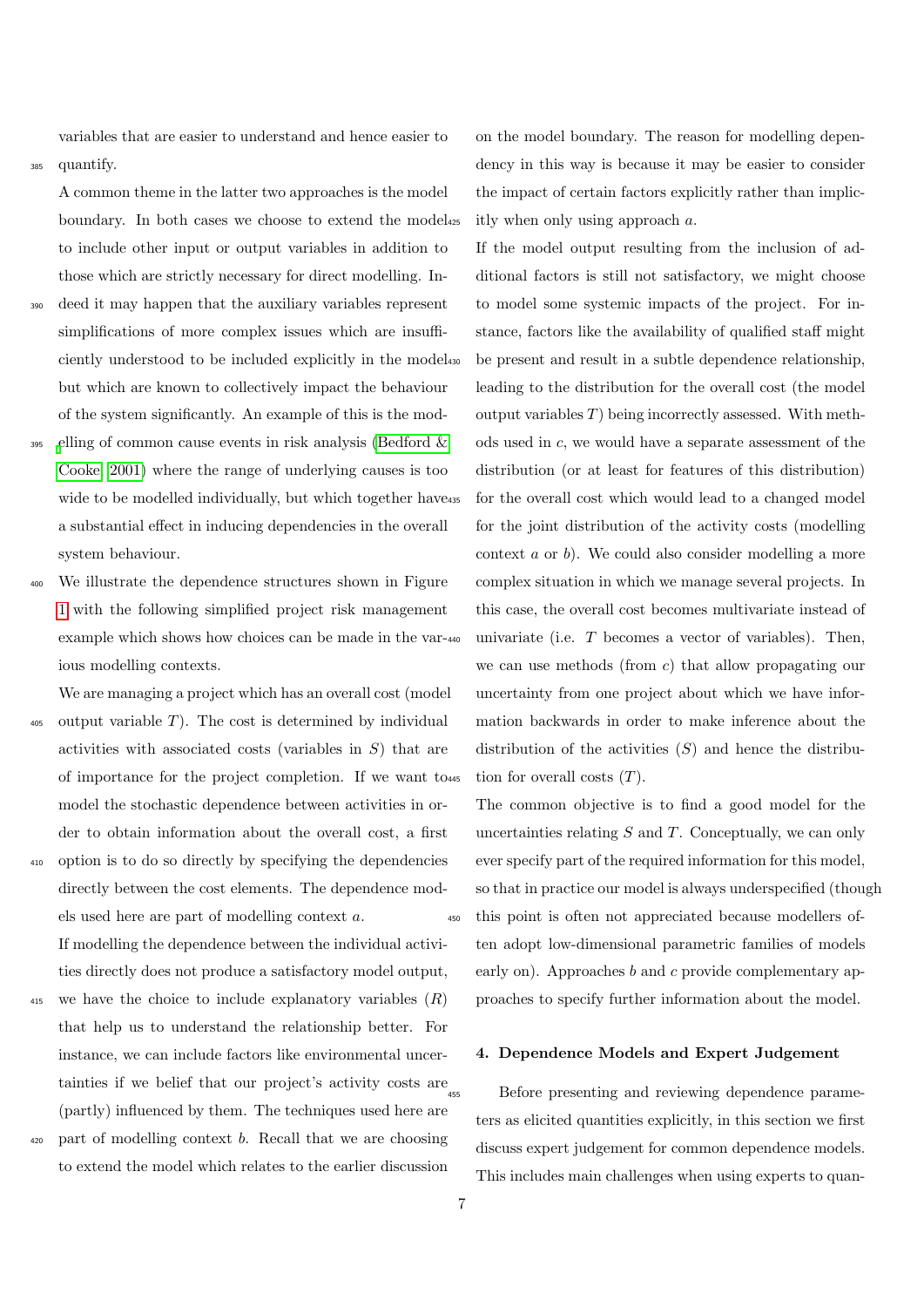variables that are easier to understand and hence easier to <sup>385</sup> quantify.

A common theme in the latter two approaches is the model boundary. In both cases we choose to extend the model to include other input or output variables in addition to those which are strictly necessary for direct modelling. In-

- deed it may happen that the auxiliary variables represent simplifications of more complex issues which are insufficiently understood to be included explicitly in the model but which are known to collectively impact the behaviour of the system significantly. An example of this is the mod-
- $_{395}$  [e](#page-30-10)lling of common cause events in risk analysis (Bedford  $\&$ [Cooke, 2001\)](#page-30-10) where the range of underlying causes is too wide to be modelled individually, but which together have 435 a substantial effect in inducing dependencies in the overall system behaviour.
- We illustrate the dependence structures shown in Figure [1](#page-5-0) with the following simplified project risk management example which shows how choices can be made in the various modelling contexts.

We are managing a project which has an overall cost (model

- $405$  output variable T). The cost is determined by individual activities with associated costs (variables in S) that are of importance for the project completion. If we want to model the stochastic dependence between activities in order to obtain information about the overall cost, a first
- <sup>410</sup> option is to do so directly by specifying the dependencies directly between the cost elements. The dependence models used here are part of modelling context a. If modelling the dependence between the individual activities directly does not produce a satisfactory model output,
- 415 we have the choice to include explanatory variables  $(R)$ that help us to understand the relationship better. For instance, we can include factors like environmental uncertainties if we belief that our project's activity costs are  $_{455}$ (partly) influenced by them. The techniques used here are
- $420$  part of modelling context b. Recall that we are choosing to extend the model which relates to the earlier discussion

on the model boundary. The reason for modelling dependency in this way is because it may be easier to consider the impact of certain factors explicitly rather than implicitly when only using approach  $a$ .

If the model output resulting from the inclusion of additional factors is still not satisfactory, we might choose to model some systemic impacts of the project. For instance, factors like the availability of qualified staff might be present and result in a subtle dependence relationship, leading to the distribution for the overall cost (the model output variables  $T$ ) being incorrectly assessed. With methods used in c, we would have a separate assessment of the distribution (or at least for features of this distribution) for the overall cost which would lead to a changed model for the joint distribution of the activity costs (modelling context a or b). We could also consider modelling a more complex situation in which we manage several projects. In this case, the overall cost becomes multivariate instead of univariate (i.e.  $T$  becomes a vector of variables). Then, we can use methods (from c) that allow propagating our uncertainty from one project about which we have information backwards in order to make inference about the distribution of the activities  $(S)$  and hence the distribution for overall costs  $(T)$ .

The common objective is to find a good model for the uncertainties relating  $S$  and  $T$ . Conceptually, we can only ever specify part of the required information for this model, so that in practice our model is always underspecified (though <sup>450</sup> this point is often not appreciated because modellers often adopt low-dimensional parametric families of models early on). Approaches  $b$  and  $c$  provide complementary approaches to specify further information about the model.

#### <span id="page-6-0"></span>4. Dependence Models and Expert Judgement

Before presenting and reviewing dependence parameters as elicited quantities explicitly, in this section we first discuss expert judgement for common dependence models. This includes main challenges when using experts to quan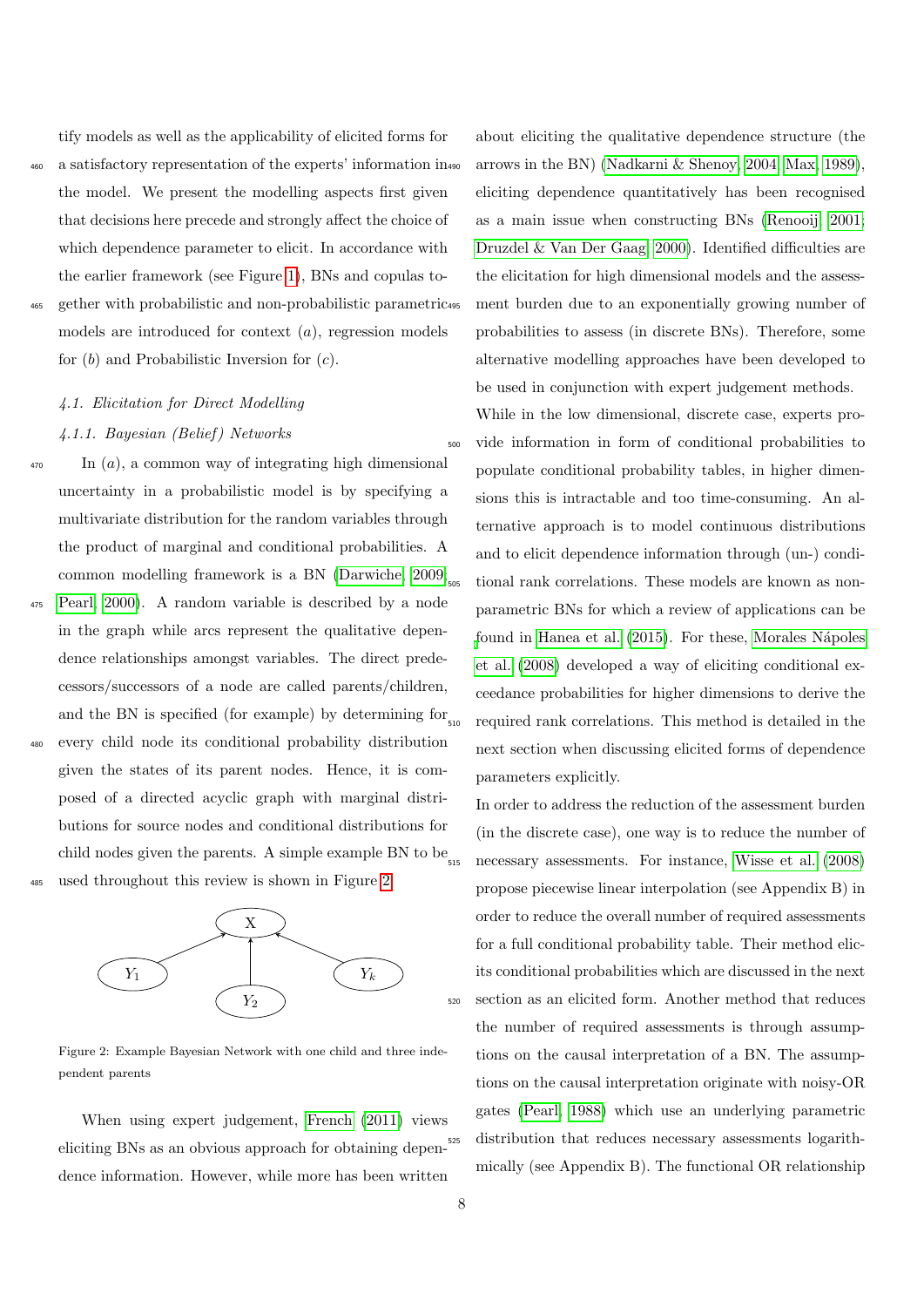tify models as well as the applicability of elicited forms for

<sup>460</sup> a satisfactory representation of the experts' information in the model. We present the modelling aspects first given that decisions here precede and strongly affect the choice of which dependence parameter to elicit. In accordance with the earlier framework (see Figure [1\)](#page-5-0), BNs and copulas to-<sup>465</sup> gether with probabilistic and non-probabilistic parametric models are introduced for context  $(a)$ , regression models for  $(b)$  and Probabilistic Inversion for  $(c)$ .

## 4.1. Elicitation for Direct Modelling 4.1.1. Bayesian (Belief ) Networks

 $\mathbf{I}$  In  $(a)$ , a common way of integrating high dimensional uncertainty in a probabilistic model is by specifying a multivariate distribution for the random variables through the product of marginal and conditional probabilities. A common modelling framework is a BN [\(Darwiche, 2009;](#page-30-11) <sup>475</sup> [Pearl, 2000\)](#page-33-9). A random variable is described by a node in the graph while arcs represent the qualitative dependence relationships amongst variables. The direct predecessors/successors of a node are called parents/children, and the BN is specified (for example) by determining for  $_{510}$ <sup>480</sup> every child node its conditional probability distribution given the states of its parent nodes. Hence, it is composed of a directed acyclic graph with marginal distributions for source nodes and conditional distributions for

child nodes given the parents. A simple example BN to be  $_{515}$ <sup>485</sup> used throughout this review is shown in Figure [2.](#page-7-0)



Figure 2: Example Bayesian Network with one child and three independent parents

When using expert judgement, [French](#page-31-1) [\(2011\)](#page-31-1) views eliciting BNs as an obvious approach for obtaining dependence information. However, while more has been written

about eliciting the qualitative dependence structure (the arrows in the BN) (Nadkarni  $\&$  Shenoy, 2004; [Max, 1989\)](#page-32-14), eliciting dependence quantitatively has been recognised as a main issue when constructing BNs [\(Renooij, 2001;](#page-33-11) [Druzdel & Van Der Gaag, 2000\)](#page-31-13). Identified difficulties are the elicitation for high dimensional models and the assessment burden due to an exponentially growing number of probabilities to assess (in discrete BNs). Therefore, some alternative modelling approaches have been developed to be used in conjunction with expert judgement methods.

While in the low dimensional, discrete case, experts pro-<sup>500</sup> vide information in form of conditional probabilities to populate conditional probability tables, in higher dimensions this is intractable and too time-consuming. An alternative approach is to model continuous distributions and to elicit dependence information through (un-) conditional rank correlations. These models are known as nonparametric BNs for which a review of applications can be [f](#page-33-12)ound in [Hanea et al.](#page-32-15) [\(2015\)](#page-32-15). For these, Morales Nápoles [et al.](#page-33-12) [\(2008\)](#page-33-12) developed a way of eliciting conditional exceedance probabilities for higher dimensions to derive the <sup>510</sup> required rank correlations. This method is detailed in the next section when discussing elicited forms of dependence parameters explicitly.

<span id="page-7-0"></span>In order to address the reduction of the assessment burden (in the discrete case), one way is to reduce the number of necessary assessments. For instance, [Wisse et al.](#page-34-2) [\(2008\)](#page-34-2) propose piecewise linear interpolation (see Appendix B) in order to reduce the overall number of required assessments for a full conditional probability table. Their method elicits conditional probabilities which are discussed in the next <sup>520</sup> section as an elicited form. Another method that reduces the number of required assessments is through assumptions on the causal interpretation of a BN. The assumptions on the causal interpretation originate with noisy-OR gates [\(Pearl, 1988\)](#page-33-13) which use an underlying parametric distribution that reduces necessary assessments logarithmically (see Appendix B). The functional OR relationship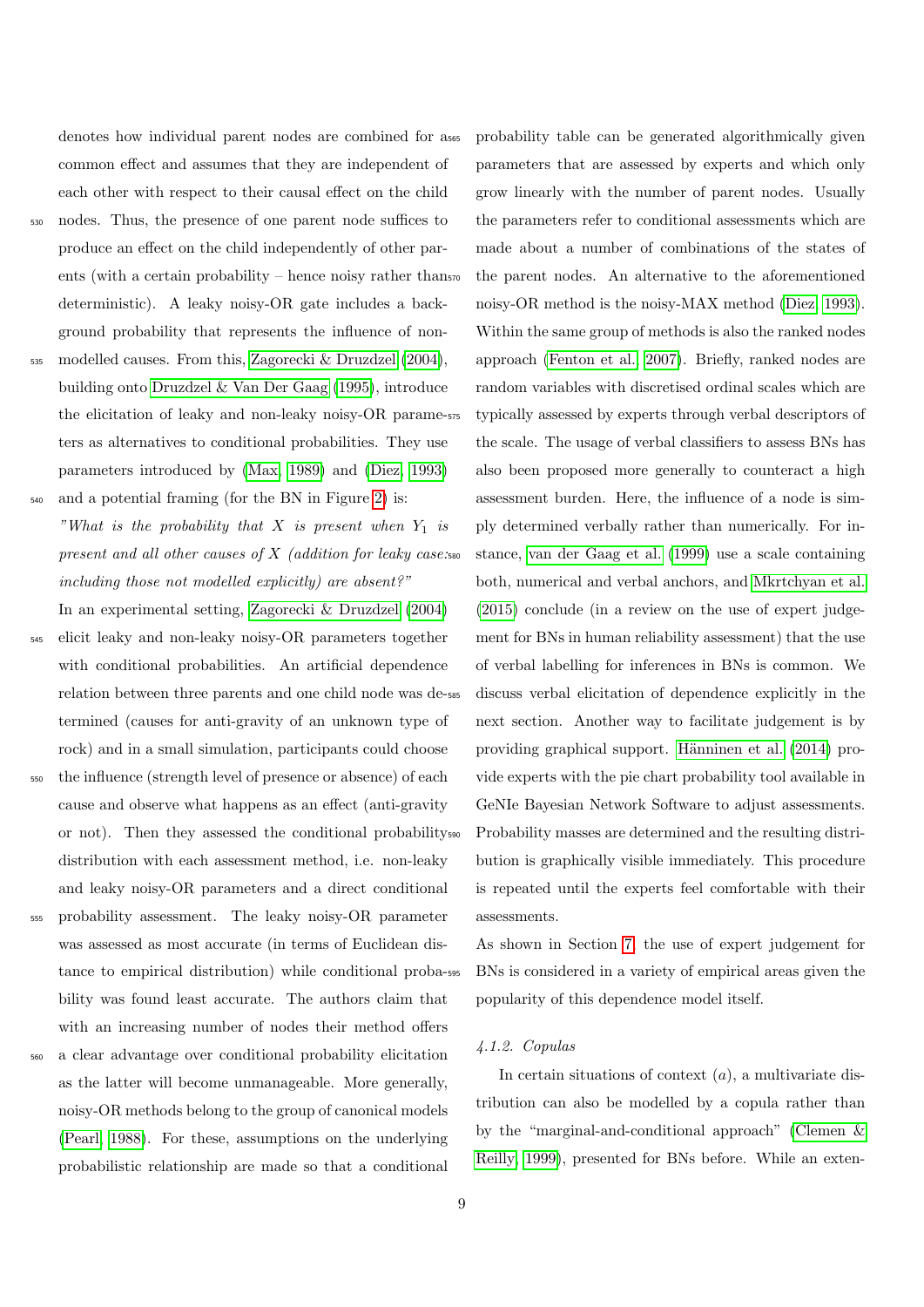denotes how individual parent nodes are combined for a common effect and assumes that they are independent of each other with respect to their causal effect on the child

- <sup>530</sup> nodes. Thus, the presence of one parent node suffices to produce an effect on the child independently of other parents (with a certain probability – hence noisy rather thans<sub>70</sub> deterministic). A leaky noisy-OR gate includes a background probability that represents the influence of non-
- <sup>535</sup> modelled causes. From this, [Zagorecki & Druzdzel](#page-34-3) [\(2004\)](#page-34-3), building onto [Druzdzel & Van Der Gaag](#page-31-14) [\(1995\)](#page-31-14), introduce the elicitation of leaky and non-leaky noisy-OR parameters as alternatives to conditional probabilities. They use parameters introduced by [\(Max, 1989\)](#page-32-14) and [\(Diez, 1993\)](#page-30-12)

<sup>540</sup> and a potential framing (for the BN in Figure [2\)](#page-7-0) is: "What is the probability that X is present when  $Y_1$  is present and all other causes of  $X$  (addition for leaky case: including those not modelled explicitly) are absent?"

In an experimental setting, [Zagorecki & Druzdzel](#page-34-3) [\(2004\)](#page-34-3) <sup>545</sup> elicit leaky and non-leaky noisy-OR parameters together

- with conditional probabilities. An artificial dependence relation between three parents and one child node was determined (causes for anti-gravity of an unknown type of rock) and in a small simulation, participants could choose
- <sup>550</sup> the influence (strength level of presence or absence) of each cause and observe what happens as an effect (anti-gravity or not). Then they assessed the conditional probability distribution with each assessment method, i.e. non-leaky and leaky noisy-OR parameters and a direct conditional
- <sup>555</sup> probability assessment. The leaky noisy-OR parameter was assessed as most accurate (in terms of Euclidean distance to empirical distribution) while conditional probability was found least accurate. The authors claim that with an increasing number of nodes their method offers
- <sup>560</sup> a clear advantage over conditional probability elicitation as the latter will become unmanageable. More generally, noisy-OR methods belong to the group of canonical models [\(Pearl, 1988\)](#page-33-13). For these, assumptions on the underlying probabilistic relationship are made so that a conditional

probability table can be generated algorithmically given parameters that are assessed by experts and which only grow linearly with the number of parent nodes. Usually the parameters refer to conditional assessments which are made about a number of combinations of the states of the parent nodes. An alternative to the aforementioned noisy-OR method is the noisy-MAX method [\(Diez, 1993\)](#page-30-12). Within the same group of methods is also the ranked nodes approach [\(Fenton et al., 2007\)](#page-31-15). Briefly, ranked nodes are random variables with discretised ordinal scales which are typically assessed by experts through verbal descriptors of the scale. The usage of verbal classifiers to assess BNs has also been proposed more generally to counteract a high assessment burden. Here, the influence of a node is simply determined verbally rather than numerically. For in-<sup>580</sup> stance, [van der Gaag et al.](#page-31-16) [\(1999\)](#page-31-16) use a scale containing both, numerical and verbal anchors, and [Mkrtchyan et al.](#page-32-16) [\(2015\)](#page-32-16) conclude (in a review on the use of expert judgement for BNs in human reliability assessment) that the use of verbal labelling for inferences in BNs is common. We discuss verbal elicitation of dependence explicitly in the next section. Another way to facilitate judgement is by providing graphical support. Hänninen et al. [\(2014\)](#page-32-17) provide experts with the pie chart probability tool available in GeNIe Bayesian Network Software to adjust assessments. Probability masses are determined and the resulting distribution is graphically visible immediately. This procedure is repeated until the experts feel comfortable with their assessments.

As shown in Section [7,](#page-26-0) the use of expert judgement for <sup>595</sup> BNs is considered in a variety of empirical areas given the popularity of this dependence model itself.

### 4.1.2. Copulas

In certain situations of context  $(a)$ , a multivariate distribution can also be modelled by a copula rather than by the "marginal-and-conditional approach" [\(Clemen &](#page-30-13) [Reilly, 1999\)](#page-30-13), presented for BNs before. While an exten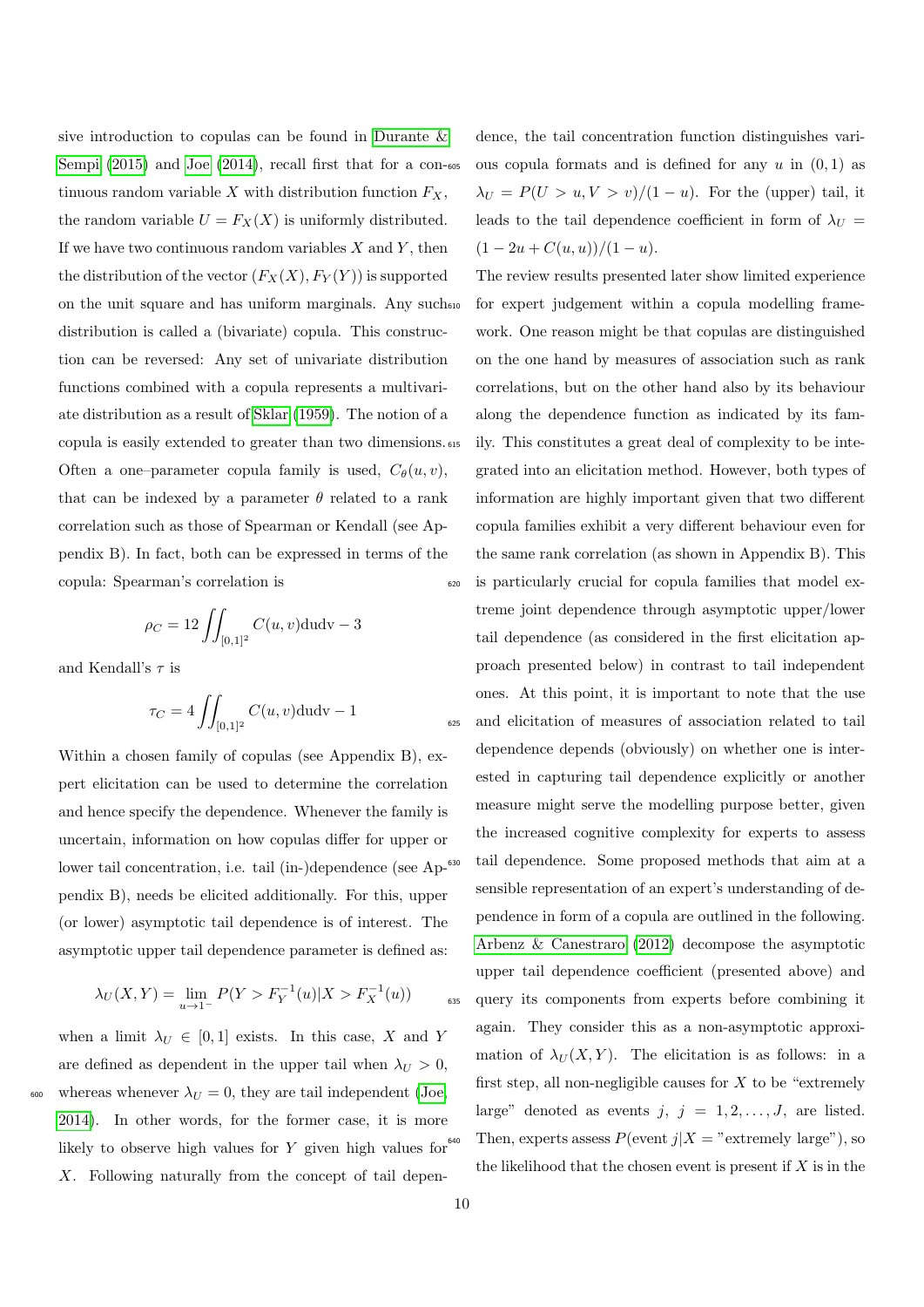sive introduction to copulas can be found in [Durante &](#page-31-17) [Sempi](#page-31-17) [\(2015\)](#page-31-17) and [Joe](#page-32-18) [\(2014\)](#page-32-18), recall first that for a con-605 tinuous random variable  $X$  with distribution function  $F_X$ , the random variable  $U = F_X(X)$  is uniformly distributed. If we have two continuous random variables  $X$  and  $Y$ , then the distribution of the vector  $(F_X(X), F_Y(Y))$  is supported on the unit square and has uniform marginals. Any such distribution is called a (bivariate) copula. This construction can be reversed: Any set of univariate distribution functions combined with a copula represents a multivariate distribution as a result of [Sklar](#page-33-14) [\(1959\)](#page-33-14). The notion of a copula is easily extended to greater than two dimensions. Often a one–parameter copula family is used,  $C_{\theta}(u, v)$ , that can be indexed by a parameter  $\theta$  related to a rank correlation such as those of Spearman or Kendall (see Appendix B). In fact, both can be expressed in terms of the copula: Spearman's correlation is

$$
\rho_C = 12 \iint_{[0,1]^2} C(u,v) \, \mathrm{d} \, \mathrm{u} \, \mathrm{d} \mathrm{v} - 3
$$

and Kendall's  $\tau$  is

$$
\tau_C = 4 \iint_{[0,1]^2} C(u,v) \, \mathrm{d} \mathrm{u} \, \mathrm{d} v - 1
$$

Within a chosen family of copulas (see Appendix B), expert elicitation can be used to determine the correlation and hence specify the dependence. Whenever the family is uncertain, information on how copulas differ for upper or lower tail concentration, i.e. tail (in-)dependence (see Ap-<sup>630</sup>) pendix B), needs be elicited additionally. For this, upper (or lower) asymptotic tail dependence is of interest. The asymptotic upper tail dependence parameter is defined as:

$$
\lambda_U(X, Y) = \lim_{u \to 1^-} P(Y > F_Y^{-1}(u) | X > F_X^{-1}(u))
$$

when a limit  $\lambda_U \in [0,1]$  exists. In this case, X and Y are defined as dependent in the upper tail when  $\lambda_U > 0$ , 600 whereas whenever  $\lambda_U = 0$ , they are tail independent [\(Joe,](#page-32-18) [2014\)](#page-32-18). In other words, for the former case, it is more likely to observe high values for  $Y$  given high values for  $640$ X. Following naturally from the concept of tail dependence, the tail concentration function distinguishes various copula formats and is defined for any  $u$  in  $(0, 1)$  as  $\lambda_U = P(U > u, V > v)/(1 - u)$ . For the (upper) tail, it leads to the tail dependence coefficient in form of  $\lambda_U$  =  $(1 - 2u + C(u, u))/(1 - u).$ 

The review results presented later show limited experience for expert judgement within a copula modelling framework. One reason might be that copulas are distinguished on the one hand by measures of association such as rank correlations, but on the other hand also by its behaviour along the dependence function as indicated by its family. This constitutes a great deal of complexity to be integrated into an elicitation method. However, both types of information are highly important given that two different copula families exhibit a very different behaviour even for the same rank correlation (as shown in Appendix B). This <sup>620</sup> is particularly crucial for copula families that model extreme joint dependence through asymptotic upper/lower tail dependence (as considered in the first elicitation approach presented below) in contrast to tail independent ones. At this point, it is important to note that the use <sup>625</sup> and elicitation of measures of association related to tail dependence depends (obviously) on whether one is interested in capturing tail dependence explicitly or another measure might serve the modelling purpose better, given the increased cognitive complexity for experts to assess tail dependence. Some proposed methods that aim at a sensible representation of an expert's understanding of dependence in form of a copula are outlined in the following. [Arbenz & Canestraro](#page-29-3) [\(2012\)](#page-29-3) decompose the asymptotic upper tail dependence coefficient (presented above) and <sup>635</sup> query its components from experts before combining it again. They consider this as a non-asymptotic approximation of  $\lambda_U(X, Y)$ . The elicitation is as follows: in a first step, all non-negligible causes for  $X$  to be "extremely" large" denoted as events  $j, j = 1, 2, \ldots, J$ , are listed. Then, experts assess  $P(\text{event } j | X = "extremely large"), so$ the likelihood that the chosen event is present if  $X$  is in the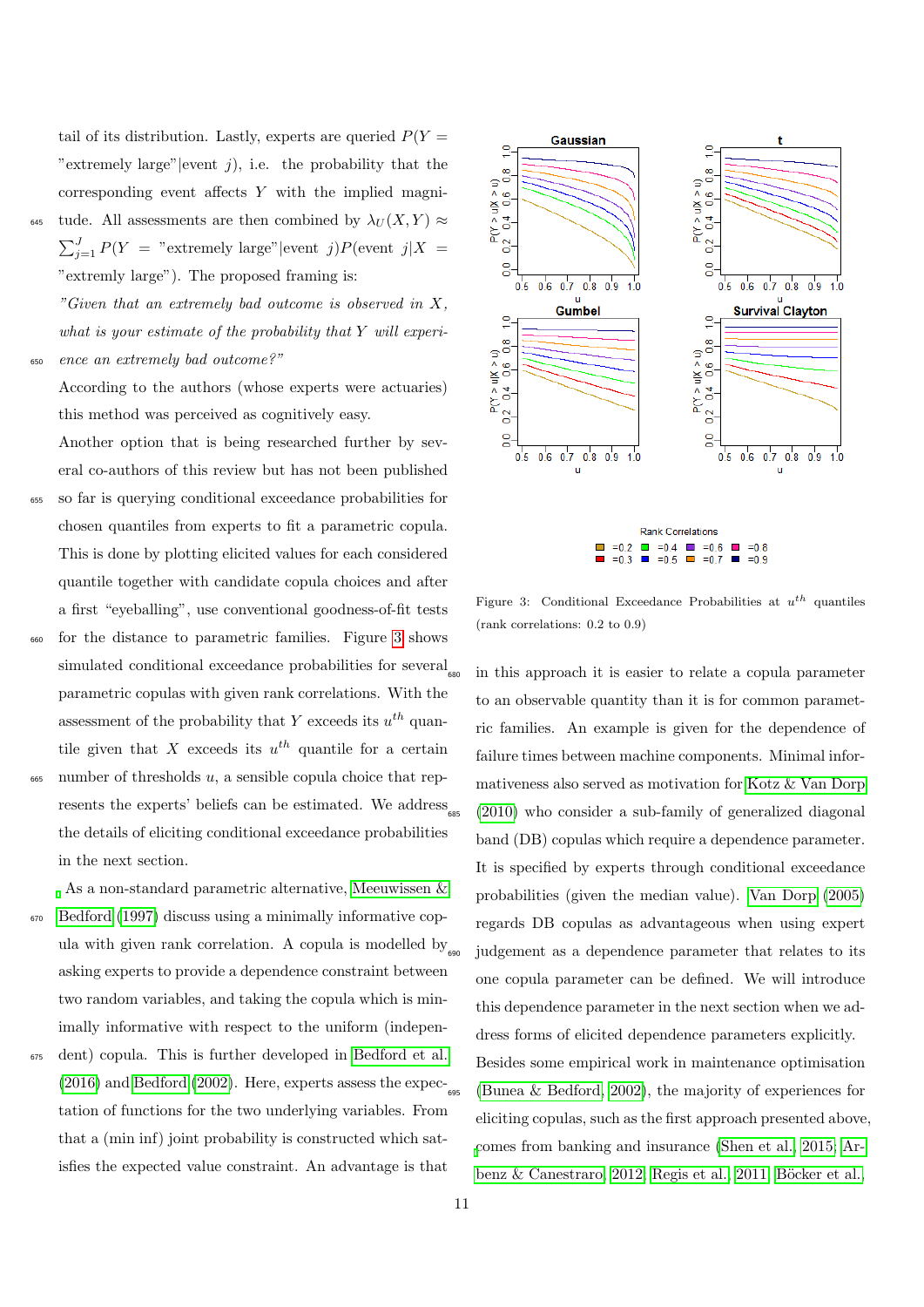tail of its distribution. Lastly, experts are queried  $P(Y =$ "extremely large" |event  $j$ ), i.e. the probability that the corresponding event affects Y with the implied magni-

tude. All assessments are then combined by  $\lambda_U(X, Y) \approx$  $\sum_{j=1}^{J} P(Y =$  "extremely large"|event j) $P(\text{event } j | X =$ "extremly large"). The proposed framing is:

"Given that an extremely bad outcome is observed in X, what is your estimate of the probability that  $Y$  will experi-<sup>650</sup> ence an extremely bad outcome?"

According to the authors (whose experts were actuaries) this method was perceived as cognitively easy.

Another option that is being researched further by several co-authors of this review but has not been published

- <sup>655</sup> so far is querying conditional exceedance probabilities for chosen quantiles from experts to fit a parametric copula. This is done by plotting elicited values for each considered quantile together with candidate copula choices and after a first "eyeballing", use conventional goodness-of-fit tests
- <sup>660</sup> for the distance to parametric families. Figure [3](#page-10-0) shows simulated conditional exceedance probabilities for several parametric copulas with given rank correlations. With the assessment of the probability that Y exceeds its  $u^{th}$  quantile given that X exceeds its  $u^{th}$  quantile for a certain
- $665$  number of thresholds u, a sensible copula choice that represents the experts' beliefs can be estimated. We address the details of eliciting conditional exceedance probabilities in the next section.

As a non-standard parametric alternative, [Meeuwissen &](#page-32-19) <sup>670</sup> [Bedford](#page-32-19) [\(1997\)](#page-32-19) discuss using a minimally informative copula with given rank correlation. A copula is modelled by  $\omega$ asking experts to provide a dependence constraint between two random variables, and taking the copula which is minimally informative with respect to the uniform (indepen-

<sup>675</sup> dent) copula. This is further developed in [Bedford et al.](#page-30-14) [\(2016\)](#page-30-14) and [Bedford](#page-30-15) [\(2002\)](#page-30-15). Here, experts assess the  $\exp$ ectation of functions for the two underlying variables. From that a (min inf) joint probability is constructed which satisfies the expected value constraint. An advantage is that



<span id="page-10-0"></span>Figure 3: Conditional Exceedance Probabilities at  $u^{th}$  quantiles (rank correlations: 0.2 to 0.9)

in this approach it is easier to relate a copula parameter to an observable quantity than it is for common parametric families. An example is given for the dependence of failure times between machine components. Minimal informativeness also served as motivation for [Kotz & Van Dorp](#page-32-20)  $(2010)$  who consider a sub-family of generalized diagonal band (DB) copulas which require a dependence parameter. It is specified by experts through conditional exceedance probabilities (given the median value). [Van Dorp](#page-34-4) [\(2005\)](#page-34-4) regards DB copulas as advantageous when using expert judgement as a dependence parameter that relates to its one copula parameter can be defined. We will introduce this dependence parameter in the next section when we address forms of elicited dependence parameters explicitly. Besides some empirical work in maintenance optimisation [\(Bunea & Bedford, 2002\)](#page-30-16), the majority of experiences for eliciting copulas, such as the first approach presented above, [c](#page-29-3)omes from banking and insurance [\(Shen et al., 2015;](#page-33-15) [Ar](#page-29-3)[benz & Canestraro, 2012;](#page-29-3) [Regis et al., 2011;](#page-33-16) Böcker et al.,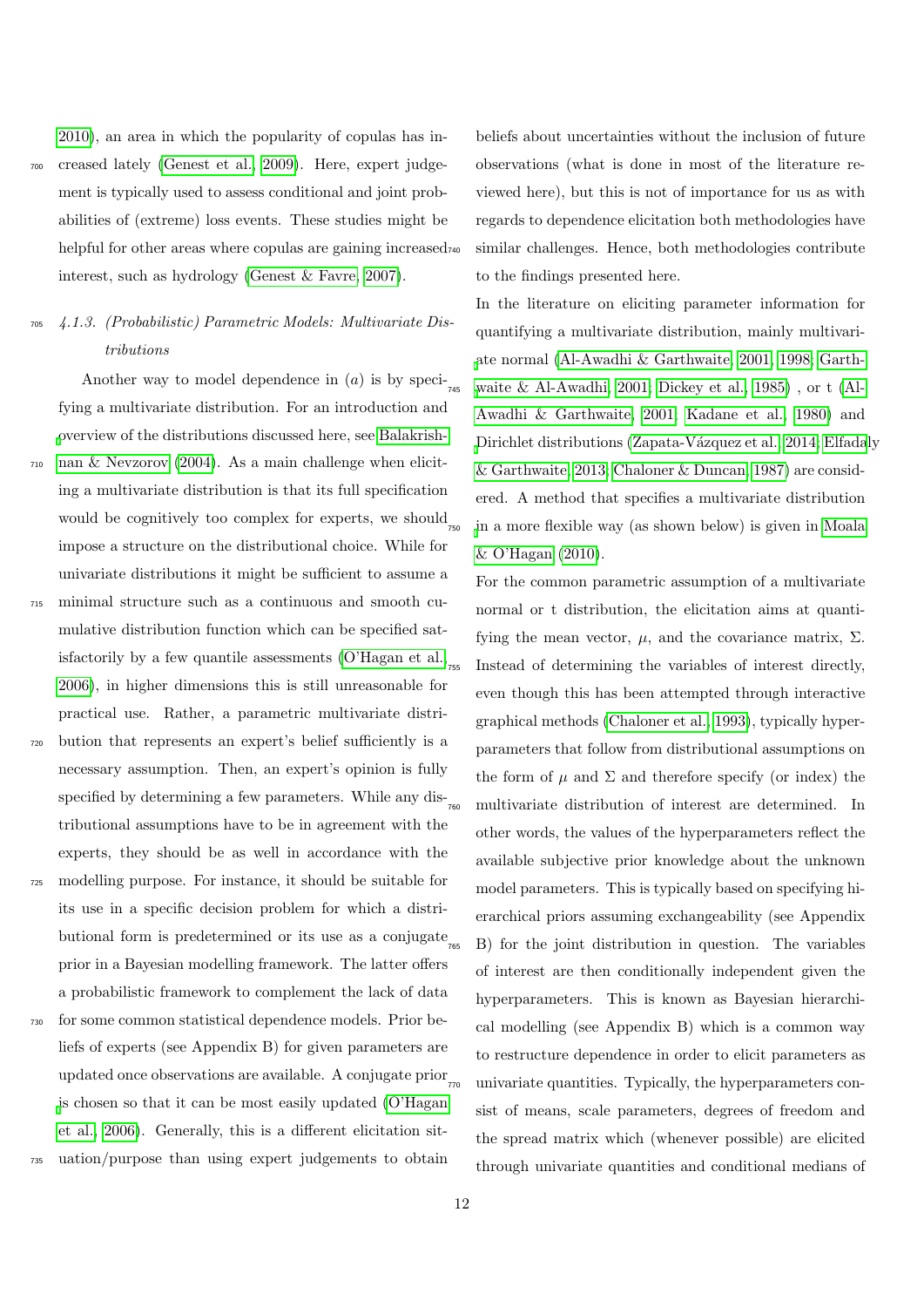[2010\)](#page-30-17), an area in which the popularity of copulas has in-<sup>700</sup> creased lately [\(Genest et al., 2009\)](#page-31-18). Here, expert judgement is typically used to assess conditional and joint probabilities of (extreme) loss events. These studies might be helpful for other areas where copulas are gaining increased<sub>740</sub> interest, such as hydrology [\(Genest & Favre, 2007\)](#page-31-19).

## <sup>705</sup> 4.1.3. (Probabilistic) Parametric Models: Multivariate Distributions

Another way to model dependence in  $(a)$  is by specifying a multivariate distribution. For an introduction and [o](#page-29-4)verview of the distributions discussed here, see [Balakrish-](#page-29-4)<sup>710</sup> [nan & Nevzorov](#page-29-4) [\(2004\)](#page-29-4). As a main challenge when eliciting a multivariate distribution is that its full specification would be cognitively too complex for experts, we should  $_{750}$ impose a structure on the distributional choice. While for univariate distributions it might be sufficient to assume a <sup>715</sup> minimal structure such as a continuous and smooth cumulative distribution function which can be specified sat-isfactorily by a few quantile assessments [\(O'Hagan et al.,](#page-33-0) $_{755}$ ) [2006\)](#page-33-0), in higher dimensions this is still unreasonable for

- practical use. Rather, a parametric multivariate distri-<sup>720</sup> bution that represents an expert's belief sufficiently is a necessary assumption. Then, an expert's opinion is fully specified by determining a few parameters. While any dis- $\frac{1}{760}$ tributional assumptions have to be in agreement with the experts, they should be as well in accordance with the
- <sup>725</sup> modelling purpose. For instance, it should be suitable for its use in a specific decision problem for which a distributional form is predetermined or its use as a conjugate  $\frac{1}{265}$ prior in a Bayesian modelling framework. The latter offers a probabilistic framework to complement the lack of data
- <sup>730</sup> for some common statistical dependence models. Prior beliefs of experts (see Appendix B) for given parameters are updated once observations are available. A conjugate prior  $_{\text{770}}$ [i](#page-33-0)s chosen so that it can be most easily updated [\(O'Hagan](#page-33-0) [et al., 2006\)](#page-33-0). Generally, this is a different elicitation sit-
- <sup>735</sup> uation/purpose than using expert judgements to obtain

beliefs about uncertainties without the inclusion of future observations (what is done in most of the literature reviewed here), but this is not of importance for us as with regards to dependence elicitation both methodologies have similar challenges. Hence, both methodologies contribute to the findings presented here.

In the literature on eliciting parameter information for quantifying a multivariate distribution, mainly multivari[a](#page-31-20)te normal [\(Al-Awadhi & Garthwaite, 2001,](#page-29-5) [1998;](#page-29-6) [Garth](#page-31-20)[waite & Al-Awadhi, 2001;](#page-31-20) [Dickey et al., 1985\)](#page-30-18), or t [\(Al-](#page-29-5)[Awadhi & Garthwaite, 2001;](#page-29-5) [Kadane et al., 1980\)](#page-32-4) and [D](#page-31-21)irichlet distributions (Zapata-Vázquez et al., 2014; [Elfadal](#page-31-21)y [& Garthwaite, 2013;](#page-31-21) [Chaloner & Duncan, 1987\)](#page-30-19) are considered. A method that specifies a multivariate distribution [i](#page-32-21)n a more flexible way (as shown below) is given in [Moala](#page-32-21) [& O'Hagan](#page-32-21) [\(2010\)](#page-32-21).

For the common parametric assumption of a multivariate normal or t distribution, the elicitation aims at quantifying the mean vector,  $\mu$ , and the covariance matrix,  $\Sigma$ . Instead of determining the variables of interest directly, even though this has been attempted through interactive graphical methods [\(Chaloner et al., 1993\)](#page-30-20), typically hyperparameters that follow from distributional assumptions on the form of  $\mu$  and  $\Sigma$  and therefore specify (or index) the multivariate distribution of interest are determined. In other words, the values of the hyperparameters reflect the available subjective prior knowledge about the unknown model parameters. This is typically based on specifying hierarchical priors assuming exchangeability (see Appendix <sup>765</sup> B) for the joint distribution in question. The variables of interest are then conditionally independent given the hyperparameters. This is known as Bayesian hierarchical modelling (see Appendix B) which is a common way to restructure dependence in order to elicit parameters as univariate quantities. Typically, the hyperparameters consist of means, scale parameters, degrees of freedom and the spread matrix which (whenever possible) are elicited through univariate quantities and conditional medians of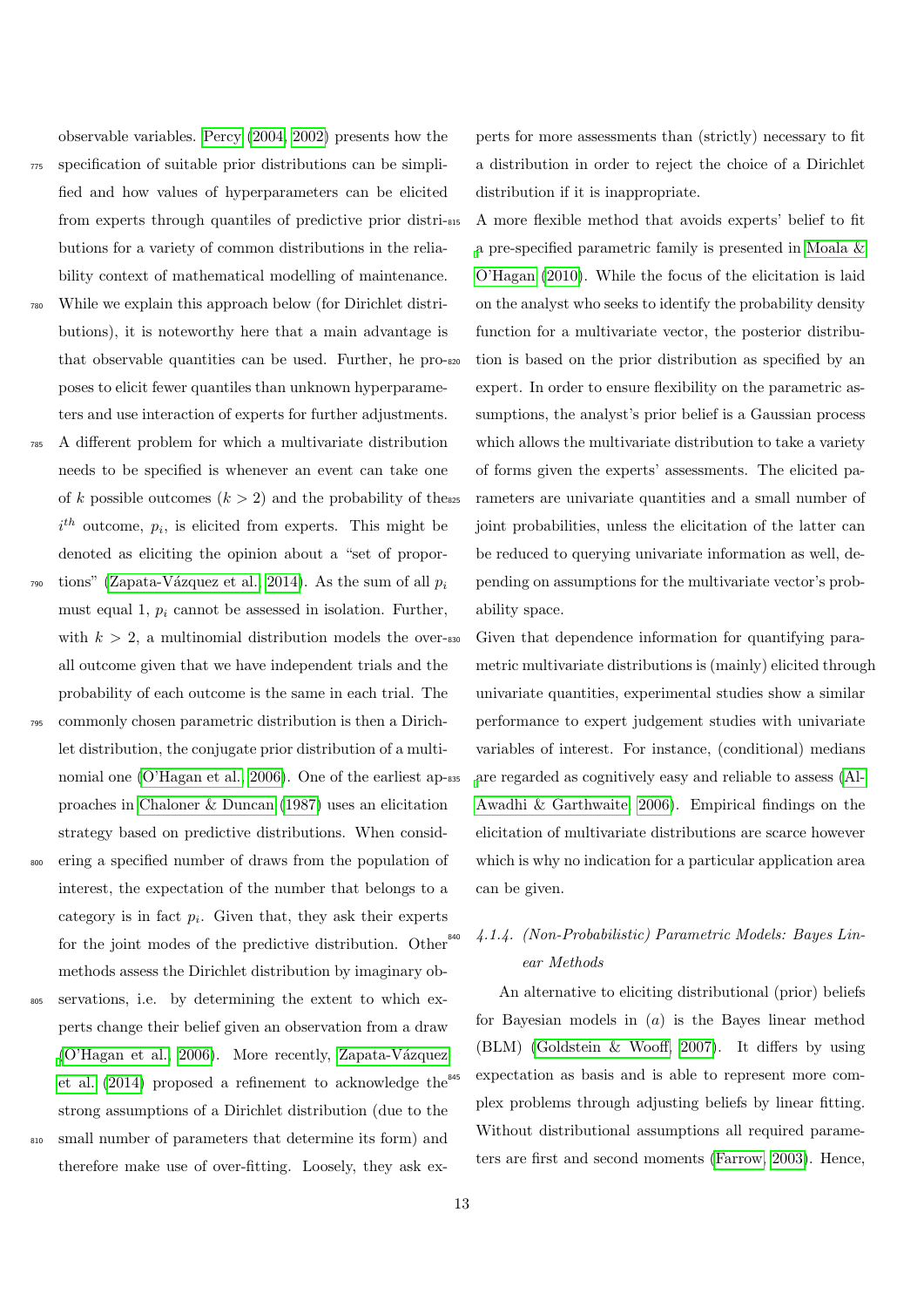observable variables. [Percy](#page-33-17) [\(2004,](#page-33-17) [2002\)](#page-33-18) presents how the

- <sup>775</sup> specification of suitable prior distributions can be simplified and how values of hyperparameters can be elicited from experts through quantiles of predictive prior distributions for a variety of common distributions in the reliability context of mathematical modelling of maintenance.
- While we explain this approach below (for Dirichlet distributions), it is noteworthy here that a main advantage is that observable quantities can be used. Further, he proposes to elicit fewer quantiles than unknown hyperparameters and use interaction of experts for further adjustments.
- <sup>785</sup> A different problem for which a multivariate distribution needs to be specified is whenever an event can take one of k possible outcomes  $(k > 2)$  and the probability of these  $i<sup>th</sup>$  outcome,  $p<sub>i</sub>$ , is elicited from experts. This might be denoted as eliciting the opinion about a "set of propor-
- tions" (Zapata-Vázquez et al., 2014). As the sum of all  $p_i$ 790 must equal 1,  $p_i$  cannot be assessed in isolation. Further, with  $k > 2$ , a multinomial distribution models the over-sso all outcome given that we have independent trials and the probability of each outcome is the same in each trial. The
- <sup>795</sup> commonly chosen parametric distribution is then a Dirichlet distribution, the conjugate prior distribution of a multi-nomial one [\(O'Hagan et al., 2006\)](#page-33-0). One of the earliest ap-835 proaches in [Chaloner & Duncan](#page-30-19) [\(1987\)](#page-30-19) uses an elicitation strategy based on predictive distributions. When consid-
- ering a specified number of draws from the population of interest, the expectation of the number that belongs to a category is in fact  $p_i$ . Given that, they ask their experts for the joint modes of the predictive distribution. Other methods assess the Dirichlet distribution by imaginary ob-
- <sup>805</sup> servations, i.e. by determining the extent to which experts change their belief given an observation from a draw  $(O'Hagan et al., 2006)$ . More recently, Zapata-Vázquez [et al.](#page-34-5) [\(2014\)](#page-34-5) proposed a refinement to acknowledge the strong assumptions of a Dirichlet distribution (due to the <sup>810</sup> small number of parameters that determine its form) and

therefore make use of over-fitting. Loosely, they ask ex-

perts for more assessments than (strictly) necessary to fit a distribution in order to reject the choice of a Dirichlet distribution if it is inappropriate.

<sup>815</sup> A more flexible method that avoids experts' belief to fit [a](#page-32-21) pre-specified parametric family is presented in [Moala &](#page-32-21) [O'Hagan](#page-32-21) [\(2010\)](#page-32-21). While the focus of the elicitation is laid on the analyst who seeks to identify the probability density function for a multivariate vector, the posterior distribution is based on the prior distribution as specified by an expert. In order to ensure flexibility on the parametric assumptions, the analyst's prior belief is a Gaussian process which allows the multivariate distribution to take a variety of forms given the experts' assessments. The elicited parameters are univariate quantities and a small number of joint probabilities, unless the elicitation of the latter can be reduced to querying univariate information as well, depending on assumptions for the multivariate vector's probability space.

Given that dependence information for quantifying parametric multivariate distributions is (mainly) elicited through univariate quantities, experimental studies show a similar performance to expert judgement studies with univariate variables of interest. For instance, (conditional) medians [a](#page-29-7)re regarded as cognitively easy and reliable to assess [\(Al-](#page-29-7)[Awadhi & Garthwaite, 2006\)](#page-29-7). Empirical findings on the elicitation of multivariate distributions are scarce however which is why no indication for a particular application area can be given.

# <sup>840</sup> 4.1.4. (Non-Probabilistic) Parametric Models: Bayes Linear Methods

An alternative to eliciting distributional (prior) beliefs for Bayesian models in  $(a)$  is the Bayes linear method (BLM) [\(Goldstein & Wooff, 2007\)](#page-31-22). It differs by using expectation as basis and is able to represent more complex problems through adjusting beliefs by linear fitting. Without distributional assumptions all required parameters are first and second moments [\(Farrow, 2003\)](#page-31-23). Hence,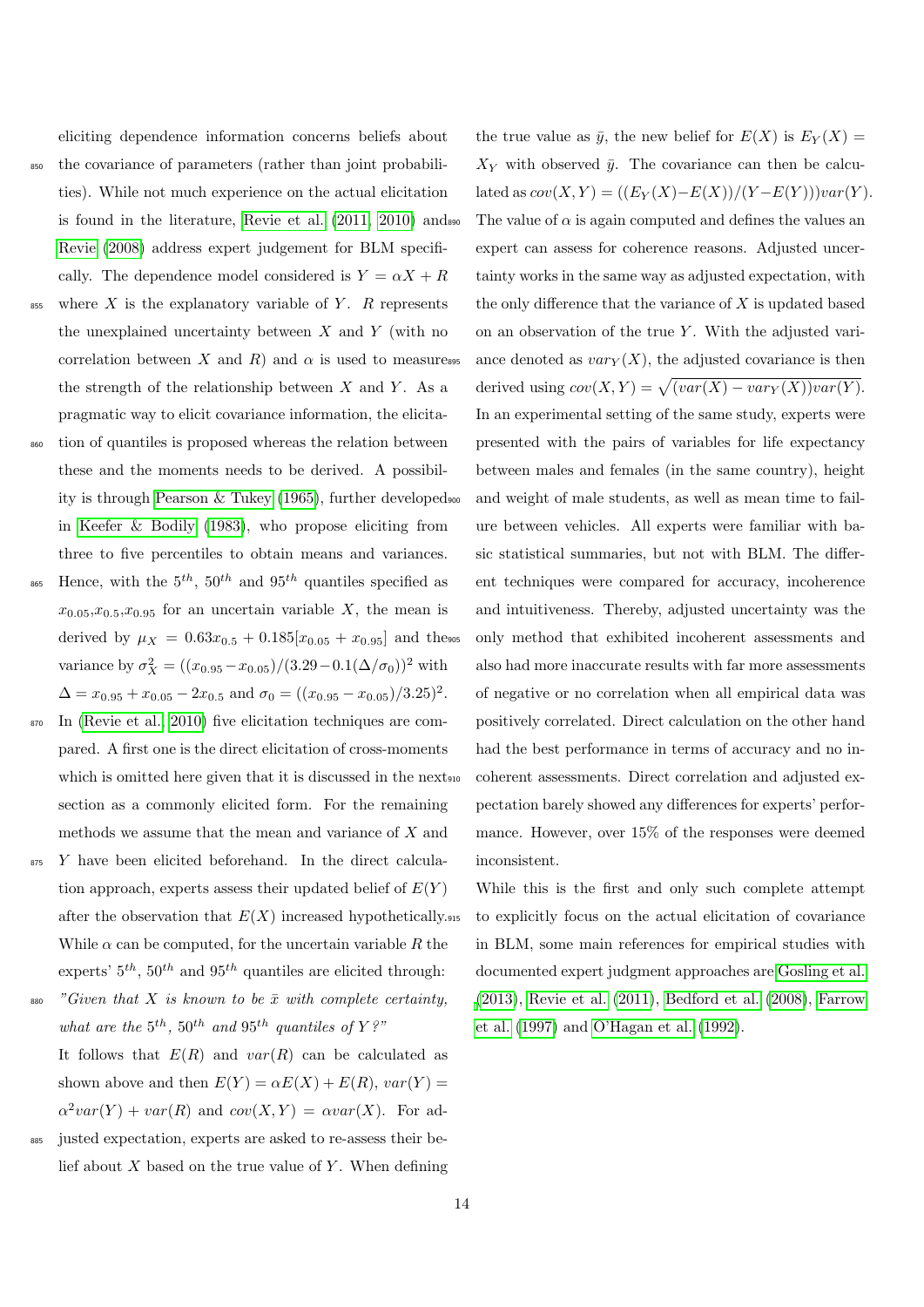eliciting dependence information concerns beliefs about

- <sup>850</sup> the covariance of parameters (rather than joint probabilities). While not much experience on the actual elicitation is found in the literature, [Revie et al.](#page-33-19) [\(2011,](#page-33-19) [2010\)](#page-33-20) and [Revie](#page-33-21) [\(2008\)](#page-33-21) address expert judgement for BLM specifically. The dependence model considered is  $Y = \alpha X + R$
- $855$  where X is the explanatory variable of Y. R represents the unexplained uncertainty between  $X$  and  $Y$  (with no correlation between X and R) and  $\alpha$  is used to measuress the strength of the relationship between  $X$  and  $Y$ . As a pragmatic way to elicit covariance information, the elicita-
- <sup>860</sup> tion of quantiles is proposed whereas the relation between these and the moments needs to be derived. A possibility is through [Pearson & Tukey](#page-33-22) [\(1965\)](#page-33-22), further developed in [Keefer & Bodily](#page-32-22) [\(1983\)](#page-32-22), who propose eliciting from three to five percentiles to obtain means and variances. <sup>865</sup> Hence, with the  $5^{th}$ ,  $50^{th}$  and  $95^{th}$  quantiles specified as
- $x_{0.05},x_{0.5},x_{0.95}$  for an uncertain variable X, the mean is derived by  $\mu_X = 0.63x_{0.5} + 0.185[x_{0.05} + x_{0.95}]$  and theses variance by  $\sigma_X^2 = \frac{(x_{0.95} - x_{0.05})}{(3.29 - 0.1(\Delta/\sigma_0))^2}$  with  $\Delta = x_{0.95} + x_{0.05} - 2x_{0.5}$  and  $\sigma_0 = ((x_{0.95} - x_{0.05})/3.25)^2$ .
- <sup>870</sup> In [\(Revie et al., 2010\)](#page-33-20) five elicitation techniques are compared. A first one is the direct elicitation of cross-moments which is omitted here given that it is discussed in the nextsection as a commonly elicited form. For the remaining methods we assume that the mean and variance of X and
- 875 Y have been elicited beforehand. In the direct calculation approach, experts assess their updated belief of  $E(Y)$ after the observation that  $E(X)$  increased hypothetically. While  $\alpha$  can be computed, for the uncertain variable R the experts'  $5<sup>th</sup>$ ,  $50<sup>th</sup>$  and  $95<sup>th</sup>$  quantiles are elicited through:
- 880 "Given that X is known to be  $\bar{x}$  with complete certainty, what are the  $5^{th}$ ,  $50^{th}$  and  $95^{th}$  quantiles of Y?" It follows that  $E(R)$  and  $var(R)$  can be calculated as shown above and then  $E(Y) = \alpha E(X) + E(R)$ ,  $var(Y) =$
- $\alpha^2 var(Y) + var(R)$  and  $cov(X, Y) = \alpha var(X)$ . For ad-<sup>885</sup> justed expectation, experts are asked to re-assess their belief about  $X$  based on the true value of  $Y$ . When defining

the true value as  $\bar{y}$ , the new belief for  $E(X)$  is  $E_Y(X) =$  $X_Y$  with observed  $\bar{y}$ . The covariance can then be calculated as  $cov(X, Y) = ((E_Y(X)-E(X))/(Y-E(Y)))var(Y).$ The value of  $\alpha$  is again computed and defines the values and expert can assess for coherence reasons. Adjusted uncertainty works in the same way as adjusted expectation, with the only difference that the variance of  $X$  is updated based on an observation of the true  $Y$ . With the adjusted variance denoted as  $var_Y(X)$ , the adjusted covariance is then derived using  $cov(X, Y) = \sqrt{(var(X) - var_Y(X))var(Y)}$ . In an experimental setting of the same study, experts were presented with the pairs of variables for life expectancy between males and females (in the same country), height and weight of male students, as well as mean time to failure between vehicles. All experts were familiar with basic statistical summaries, but not with BLM. The different techniques were compared for accuracy, incoherence and intuitiveness. Thereby, adjusted uncertainty was the <sup>905</sup> only method that exhibited incoherent assessments and also had more inaccurate results with far more assessments of negative or no correlation when all empirical data was positively correlated. Direct calculation on the other hand had the best performance in terms of accuracy and no incoherent assessments. Direct correlation and adjusted expectation barely showed any differences for experts' performance. However, over 15% of the responses were deemed inconsistent.

While this is the first and only such complete attempt to explicitly focus on the actual elicitation of covariance in BLM, some main references for empirical studies with documented expert judgment approaches are [Gosling et al.](#page-31-24) [\(2013\)](#page-31-24), [Revie et al.](#page-33-19) [\(2011\)](#page-33-19), [Bedford et al.](#page-30-21) [\(2008\)](#page-30-21), [Farrow](#page-31-25) [et al.](#page-31-25) [\(1997\)](#page-31-25) and [O'Hagan et al.](#page-33-23) [\(1992\)](#page-33-23).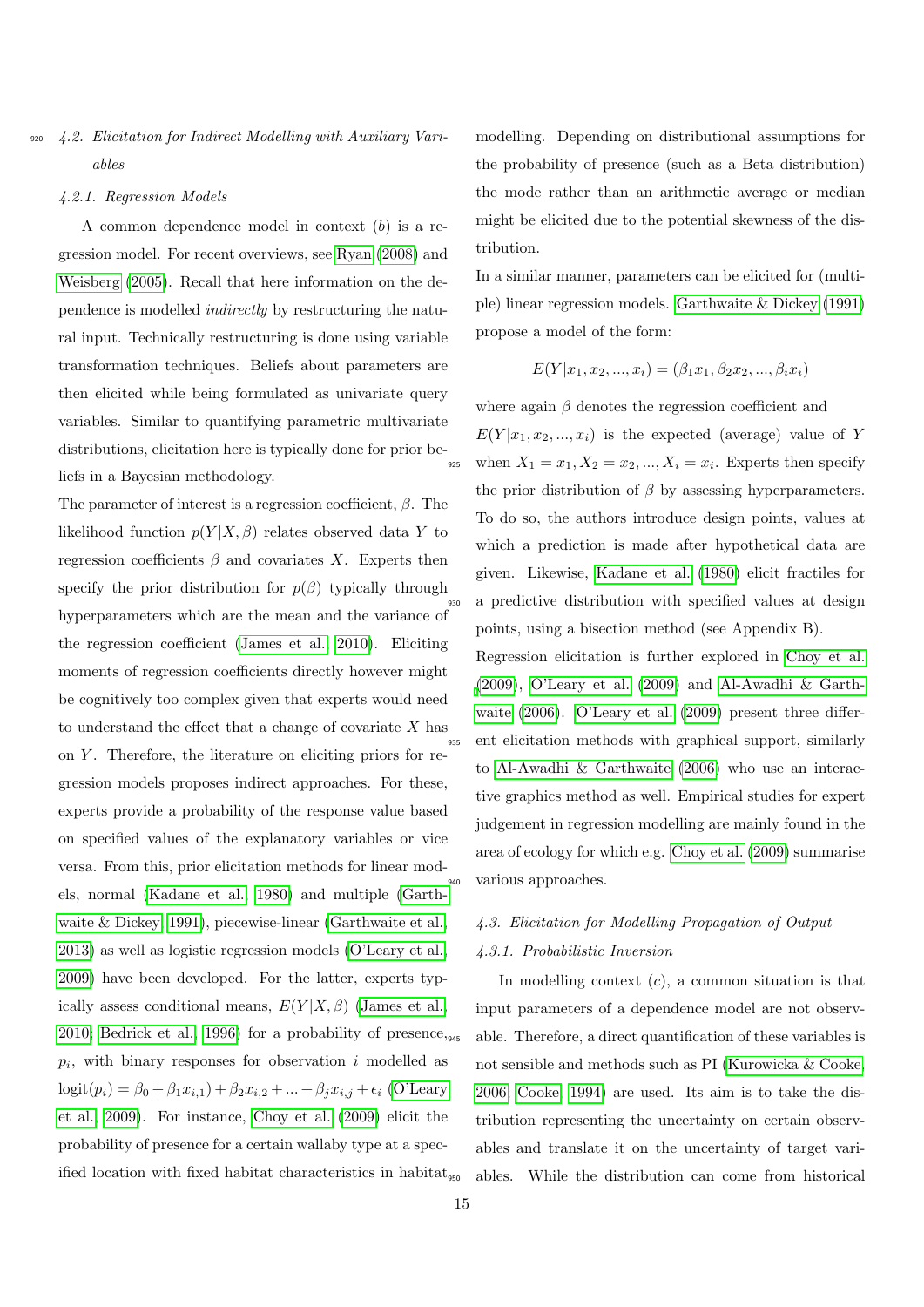### <span id="page-14-0"></span>4.2. Elicitation for Indirect Modelling with Auxiliary Variables

#### 4.2.1. Regression Models

A common dependence model in context  $(b)$  is a regression model. For recent overviews, see [Ryan](#page-33-24) [\(2008\)](#page-33-24) and [Weisberg](#page-34-6) [\(2005\)](#page-34-6). Recall that here information on the dependence is modelled indirectly by restructuring the natural input. Technically restructuring is done using variable transformation techniques. Beliefs about parameters are then elicited while being formulated as univariate query variables. Similar to quantifying parametric multivariate distributions, elicitation here is typically done for prior beliefs in a Bayesian methodology.

The parameter of interest is a regression coefficient,  $\beta$ . The likelihood function  $p(Y|X,\beta)$  relates observed data Y to regression coefficients  $\beta$  and covariates X. Experts then specify the prior distribution for  $p(\beta)$  typically through hyperparameters which are the mean and the variance of the regression coefficient [\(James et al., 2010\)](#page-32-23). Eliciting moments of regression coefficients directly however might be cognitively too complex given that experts would need to understand the effect that a change of covariate  $X$  has on  $Y$ . Therefore, the literature on eliciting priors for regression models proposes indirect approaches. For these, experts provide a probability of the response value based on specified values of the explanatory variables or vice versa. From this, prior elicitation methods for linear models, normal [\(Kadane et al., 1980\)](#page-32-4) and multiple [\(Garth](#page-31-26)[waite & Dickey, 1991\)](#page-31-26), piecewise-linear [\(Garthwaite et al.,](#page-31-27) [2013\)](#page-31-27) as well as logistic regression models [\(O'Leary et al.,](#page-33-25) [2009\)](#page-33-25) have been developed. For the latter, experts typically assess conditional means,  $E(Y|X,\beta)$  [\(James et al.,](#page-32-23) [2010;](#page-32-23) [Bedrick et al., 1996\)](#page-30-22) for a probability of presence,  $p_i$ , with binary responses for observation i modelled as  $logit(p_i) = \beta_0 + \beta_1 x_{i,1} + \beta_2 x_{i,2} + ... + \beta_j x_{i,j} + \epsilon_i$  [\(O'Leary](#page-33-25) [et al., 2009\)](#page-33-25). For instance, [Choy et al.](#page-30-23) [\(2009\)](#page-30-23) elicit the probability of presence for a certain wallaby type at a specified location with fixed habitat characteristics in habitat modelling. Depending on distributional assumptions for the probability of presence (such as a Beta distribution) the mode rather than an arithmetic average or median might be elicited due to the potential skewness of the distribution.

In a similar manner, parameters can be elicited for (multiple) linear regression models. [Garthwaite & Dickey](#page-31-26) [\(1991\)](#page-31-26) propose a model of the form:

$$
E(Y|x_1, x_2, ..., x_i) = (\beta_1 x_1, \beta_2 x_2, ..., \beta_i x_i)
$$

where again  $\beta$  denotes the regression coefficient and  $E(Y | x_1, x_2, ..., x_i)$  is the expected (average) value of Y 925 when  $X_1 = x_1, X_2 = x_2, ..., X_i = x_i$ . Experts then specify the prior distribution of  $\beta$  by assessing hyperparameters. To do so, the authors introduce design points, values at which a prediction is made after hypothetical data are given. Likewise, [Kadane et al.](#page-32-4) [\(1980\)](#page-32-4) elicit fractiles for a predictive distribution with specified values at design points, using a bisection method (see Appendix B).

Regression elicitation is further explored in [Choy et al.](#page-30-23) [\(2009\)](#page-30-23), [O'Leary et al.](#page-33-25) [\(2009\)](#page-33-25) and [Al-Awadhi & Garth](#page-29-7)[waite](#page-29-7) [\(2006\)](#page-29-7). [O'Leary et al.](#page-33-25) [\(2009\)](#page-33-25) present three differ-<sup>935</sup> ent elicitation methods with graphical support, similarly to [Al-Awadhi & Garthwaite](#page-29-7) [\(2006\)](#page-29-7) who use an interactive graphics method as well. Empirical studies for expert judgement in regression modelling are mainly found in the area of ecology for which e.g. [Choy et al.](#page-30-23) [\(2009\)](#page-30-23) summarise various approaches.

# <span id="page-14-1"></span>4.3. Elicitation for Modelling Propagation of Output 4.3.1. Probabilistic Inversion

In modelling context  $(c)$ , a common situation is that input parameters of a dependence model are not observable. Therefore, a direct quantification of these variables is not sensible and methods such as PI [\(Kurowicka & Cooke,](#page-32-1) [2006;](#page-32-1) [Cooke, 1994\)](#page-30-9) are used. Its aim is to take the distribution representing the uncertainty on certain observables and translate it on the uncertainty of target variables. While the distribution can come from historical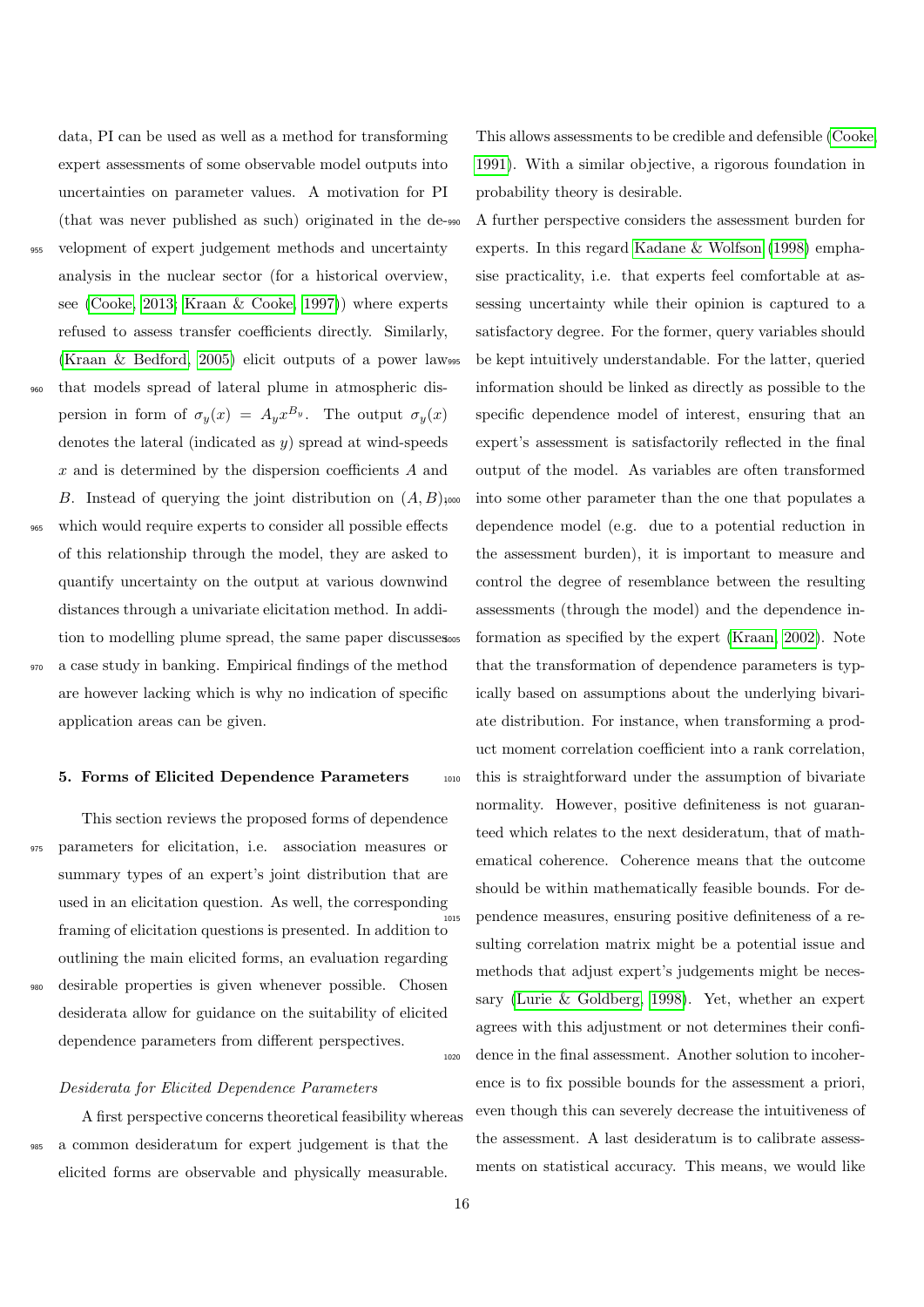data, PI can be used as well as a method for transforming expert assessments of some observable model outputs into uncertainties on parameter values. A motivation for PI (that was never published as such) originated in the de-<sup>955</sup> velopment of expert judgement methods and uncertainty analysis in the nuclear sector (for a historical overview, see [\(Cooke, 2013;](#page-30-24) [Kraan & Cooke, 1997\)](#page-32-24)) where experts refused to assess transfer coefficients directly. Similarly, [\(Kraan & Bedford, 2005\)](#page-32-13) elicit outputs of a power law <sup>960</sup> that models spread of lateral plume in atmospheric dispersion in form of  $\sigma_y(x) = A_y x^{B_y}$ . The output  $\sigma_y(x)$ denotes the lateral (indicated as  $y$ ) spread at wind-speeds x and is determined by the dispersion coefficients A and B. Instead of querying the joint distribution on  $(A, B)$ ,000 <sup>965</sup> which would require experts to consider all possible effects of this relationship through the model, they are asked to quantify uncertainty on the output at various downwind distances through a univariate elicitation method. In addition to modelling plume spread, the same paper discusses <sup>970</sup> a case study in banking. Empirical findings of the method are however lacking which is why no indication of specific application areas can be given.

### <span id="page-15-0"></span>5. Forms of Elicited Dependence Parameters

This section reviews the proposed forms of dependence <sup>975</sup> parameters for elicitation, i.e. association measures or summary types of an expert's joint distribution that are used in an elicitation question. As well, the corresponding framing of elicitation questions is presented. In addition to outlining the main elicited forms, an evaluation regarding <sup>980</sup> desirable properties is given whenever possible. Chosen desiderata allow for guidance on the suitability of elicited dependence parameters from different perspectives.

#### Desiderata for Elicited Dependence Parameters

A first perspective concerns theoretical feasibility whereas <sup>985</sup> a common desideratum for expert judgement is that the elicited forms are observable and physically measurable.

This allows assessments to be credible and defensible [\(Cooke,](#page-30-0) [1991\)](#page-30-0). With a similar objective, a rigorous foundation in probability theory is desirable.

A further perspective considers the assessment burden for experts. In this regard [Kadane & Wolfson](#page-32-10) [\(1998\)](#page-32-10) emphasise practicality, i.e. that experts feel comfortable at assessing uncertainty while their opinion is captured to a satisfactory degree. For the former, query variables should be kept intuitively understandable. For the latter, queried information should be linked as directly as possible to the specific dependence model of interest, ensuring that an expert's assessment is satisfactorily reflected in the final output of the model. As variables are often transformed into some other parameter than the one that populates a dependence model (e.g. due to a potential reduction in the assessment burden), it is important to measure and control the degree of resemblance between the resulting assessments (through the model) and the dependence in-formation as specified by the expert [\(Kraan, 2002\)](#page-32-25). Note that the transformation of dependence parameters is typically based on assumptions about the underlying bivariate distribution. For instance, when transforming a product moment correlation coefficient into a rank correlation, <sup>1010</sup> this is straightforward under the assumption of bivariate normality. However, positive definiteness is not guaranteed which relates to the next desideratum, that of mathematical coherence. Coherence means that the outcome should be within mathematically feasible bounds. For de-<sup>1015</sup> pendence measures, ensuring positive definiteness of a resulting correlation matrix might be a potential issue and methods that adjust expert's judgements might be necessary [\(Lurie & Goldberg, 1998\)](#page-32-26). Yet, whether an expert agrees with this adjustment or not determines their confi-<sup>1020</sup> dence in the final assessment. Another solution to incoherence is to fix possible bounds for the assessment a priori, even though this can severely decrease the intuitiveness of the assessment. A last desideratum is to calibrate assessments on statistical accuracy. This means, we would like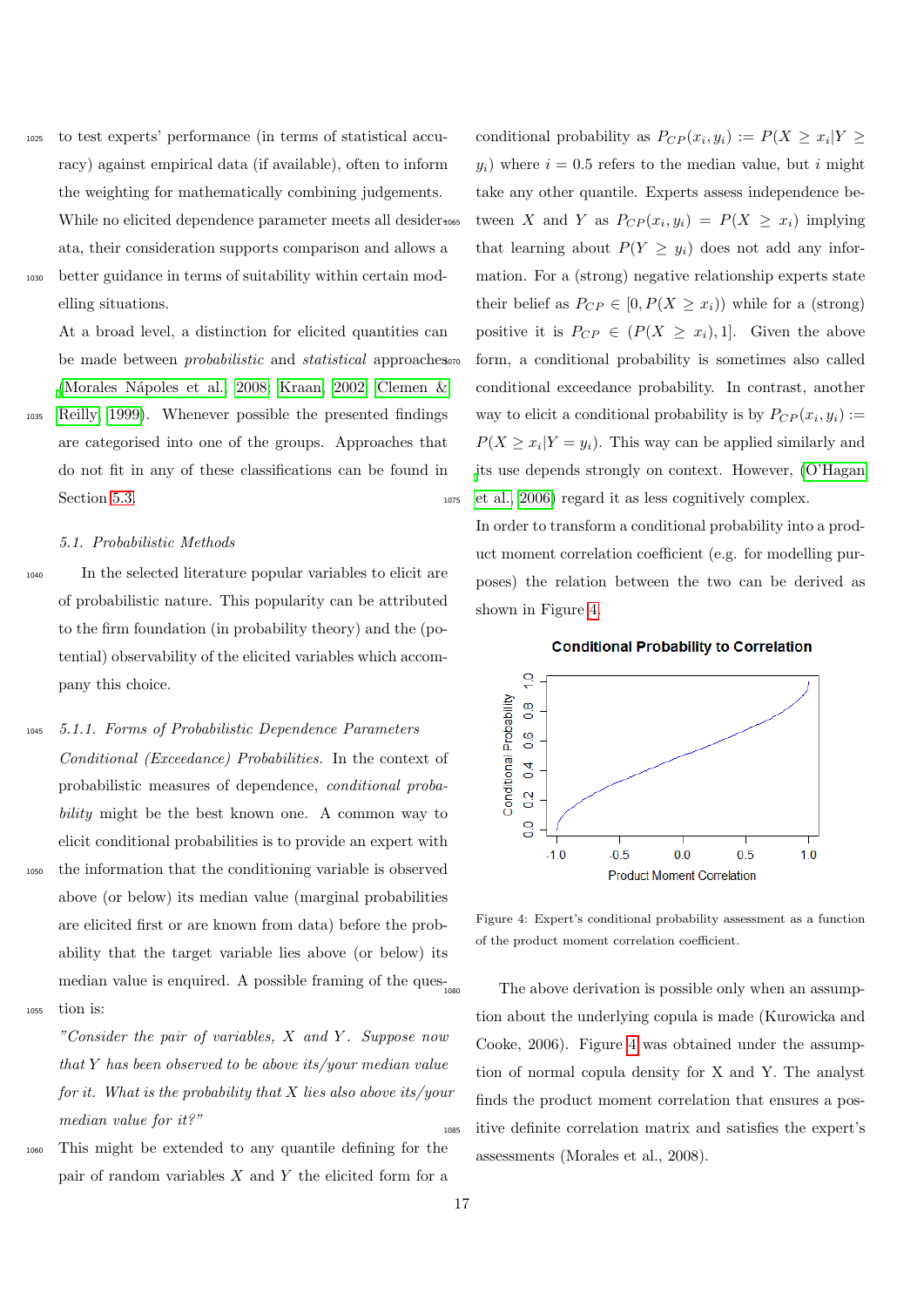<sup>1025</sup> to test experts' performance (in terms of statistical accuracy) against empirical data (if available), often to inform the weighting for mathematically combining judgements. While no elicited dependence parameter meets all desiderata, their consideration supports comparison and allows a <sup>1030</sup> better guidance in terms of suitability within certain mod-

elling situations.

At a broad level, a distinction for elicited quantities can be made between *probabilistic* and *statistical* approaches [\(Morales N´apoles et al., 2008;](#page-33-12) [Kraan, 2002;](#page-32-25) [Clemen &](#page-30-13)

<sup>1035</sup> [Reilly, 1999\)](#page-30-13). Whenever possible the presented findings are categorised into one of the groups. Approaches that do not fit in any of these classifications can be found in Section [5.3.](#page-23-0)

#### 5.1. Probabilistic Methods

- <sup>1040</sup> In the selected literature popular variables to elicit are of probabilistic nature. This popularity can be attributed to the firm foundation (in probability theory) and the (potential) observability of the elicited variables which accompany this choice.
- <sup>1045</sup> 5.1.1. Forms of Probabilistic Dependence Parameters Conditional (Exceedance) Probabilities. In the context of probabilistic measures of dependence, conditional probability might be the best known one. A common way to elicit conditional probabilities is to provide an expert with <sup>1050</sup> the information that the conditioning variable is observed above (or below) its median value (marginal probabilities are elicited first or are known from data) before the probability that the target variable lies above (or below) its median value is enquired. A possible framing of the  $\rm{ques}_{1080}$
- <sup>1055</sup> tion is:

"Consider the pair of variables,  $X$  and  $Y$ . Suppose now that Y has been observed to be above its/your median value for it. What is the probability that  $X$  lies also above its/your median value for it?"

<sup>1060</sup> This might be extended to any quantile defining for the pair of random variables  $X$  and  $Y$  the elicited form for a

conditional probability as  $P_{CP}(x_i, y_i) := P(X \ge x_i | Y \ge$  $y_i$ ) where  $i = 0.5$  refers to the median value, but i might take any other quantile. Experts assess independence between X and Y as  $P_{CP}(x_i, y_i) = P(X \geq x_i)$  implying that learning about  $P(Y \geq y_i)$  does not add any information. For a (strong) negative relationship experts state their belief as  $P_{CP} \in [0, P(X \geq x_i))$  while for a (strong) positive it is  $P_{CP} \in (P(X \geq x_i), 1]$ . Given the above form, a conditional probability is sometimes also called conditional exceedance probability. In contrast, another way to elicit a conditional probability is by  $P_{CP}(x_i, y_i) :=$  $P(X \geq x_i | Y = y_i)$ . This way can be applied similarly and [i](#page-33-0)ts use depends strongly on context. However, [\(O'Hagan](#page-33-0) <sup>1075</sup> [et al., 2006\)](#page-33-0) regard it as less cognitively complex.

In order to transform a conditional probability into a product moment correlation coefficient (e.g. for modelling purposes) the relation between the two can be derived as shown in Figure [4.](#page-16-0)





<span id="page-16-0"></span>Figure 4: Expert's conditional probability assessment as a function of the product moment correlation coefficient.

The above derivation is possible only when an assumption about the underlying copula is made (Kurowicka and Cooke, 2006). Figure [4](#page-16-0) was obtained under the assumption of normal copula density for X and Y. The analyst finds the product moment correlation that ensures a pos-<sup>1085</sup> itive definite correlation matrix and satisfies the expert's assessments (Morales et al., 2008).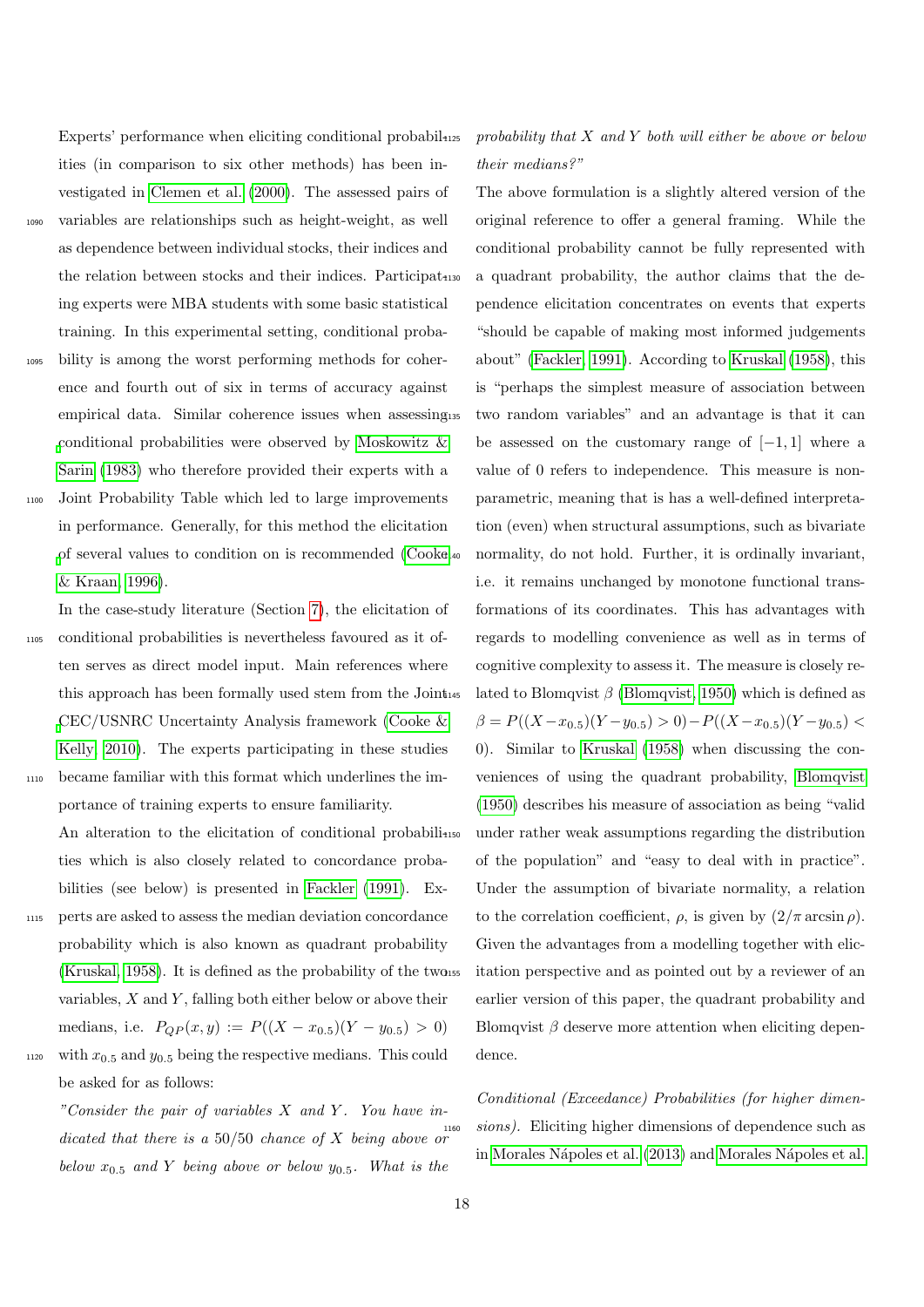Experts' performance when eliciting conditional probabilities (in comparison to six other methods) has been investigated in [Clemen et al.](#page-30-25) [\(2000\)](#page-30-25). The assessed pairs of <sup>1090</sup> variables are relationships such as height-weight, as well as dependence between individual stocks, their indices and the relation between stocks and their indices. Participating experts were MBA students with some basic statistical training. In this experimental setting, conditional proba-<sup>1095</sup> bility is among the worst performing methods for coher-

- ence and fourth out of six in terms of accuracy against empirical data. Similar coherence issues when assessing [c](#page-33-26)onditional probabilities were observed by [Moskowitz &](#page-33-26) [Sarin](#page-33-26) [\(1983\)](#page-33-26) who therefore provided their experts with a
- <sup>1100</sup> Joint Probability Table which led to large improvements in performance. Generally, for this method the elicitation [o](#page-30-1)f several values to condition on is recommended [\(Cooke](#page-30-1) [& Kraan, 1996\)](#page-30-1).

In the case-study literature (Section [7\)](#page-26-0), the elicitation of <sup>1105</sup> conditional probabilities is nevertheless favoured as it often serves as direct model input. Main references where this approach has been formally used stem from the Joint [C](#page-30-26)EC/USNRC Uncertainty Analysis framework [\(Cooke &](#page-30-26) [Kelly, 2010\)](#page-30-26). The experts participating in these studies <sup>1110</sup> became familiar with this format which underlines the im-

portance of training experts to ensure familiarity. An alteration to the elicitation of conditional probabilities which is also closely related to concordance probabilities (see below) is presented in [Fackler](#page-31-28) [\(1991\)](#page-31-28). Ex-

<sup>1115</sup> perts are asked to assess the median deviation concordance probability which is also known as quadrant probability  $(Kruskal, 1958)$ . It is defined as the probability of the two ss variables,  $X$  and  $Y$ , falling both either below or above their medians, i.e.  $P_{QP}(x, y) := P((X - x_{0.5})(Y - y_{0.5}) > 0)$ 1120 with  $x_{0.5}$  and  $y_{0.5}$  being the respective medians. This could

be asked for as follows:

"Consider the pair of variables  $X$  and  $Y$ . You have indicated that there is a 50/50 chance of X being above or below  $x_{0.5}$  and Y being above or below  $y_{0.5}$ . What is the

### probability that  $X$  and  $Y$  both will either be above or below their medians?"

The above formulation is a slightly altered version of the original reference to offer a general framing. While the conditional probability cannot be fully represented with a quadrant probability, the author claims that the dependence elicitation concentrates on events that experts "should be capable of making most informed judgements about" [\(Fackler, 1991\)](#page-31-28). According to [Kruskal](#page-32-7) [\(1958\)](#page-32-7), this is "perhaps the simplest measure of association between two random variables" and an advantage is that it can be assessed on the customary range of  $[-1, 1]$  where a value of 0 refers to independence. This measure is nonparametric, meaning that is has a well-defined interpretation (even) when structural assumptions, such as bivariate normality, do not hold. Further, it is ordinally invariant, i.e. it remains unchanged by monotone functional transformations of its coordinates. This has advantages with regards to modelling convenience as well as in terms of cognitive complexity to assess it. The measure is closely related to Blomqvist  $\beta$  [\(Blomqvist, 1950\)](#page-30-27) which is defined as  $\beta = P((X - x_{0.5})(Y - y_{0.5}) > 0) - P((X - x_{0.5})(Y - y_{0.5}) <$ 0). Similar to [Kruskal](#page-32-7) [\(1958\)](#page-32-7) when discussing the conveniences of using the quadrant probability, [Blomqvist](#page-30-27) [\(1950\)](#page-30-27) describes his measure of association as being "valid under rather weak assumptions regarding the distribution of the population" and "easy to deal with in practice". Under the assumption of bivariate normality, a relation to the correlation coefficient,  $\rho$ , is given by  $(2/\pi \arcsin \rho)$ . Given the advantages from a modelling together with elicitation perspective and as pointed out by a reviewer of an earlier version of this paper, the quadrant probability and Blomqvist  $\beta$  deserve more attention when eliciting dependence.

Conditional (Exceedance) Probabilities (for higher dimen $sions$ ). Eliciting higher dimensions of dependence such as in Morales Nápoles et al. [\(2013\)](#page-32-27) and Morales Nápoles et al.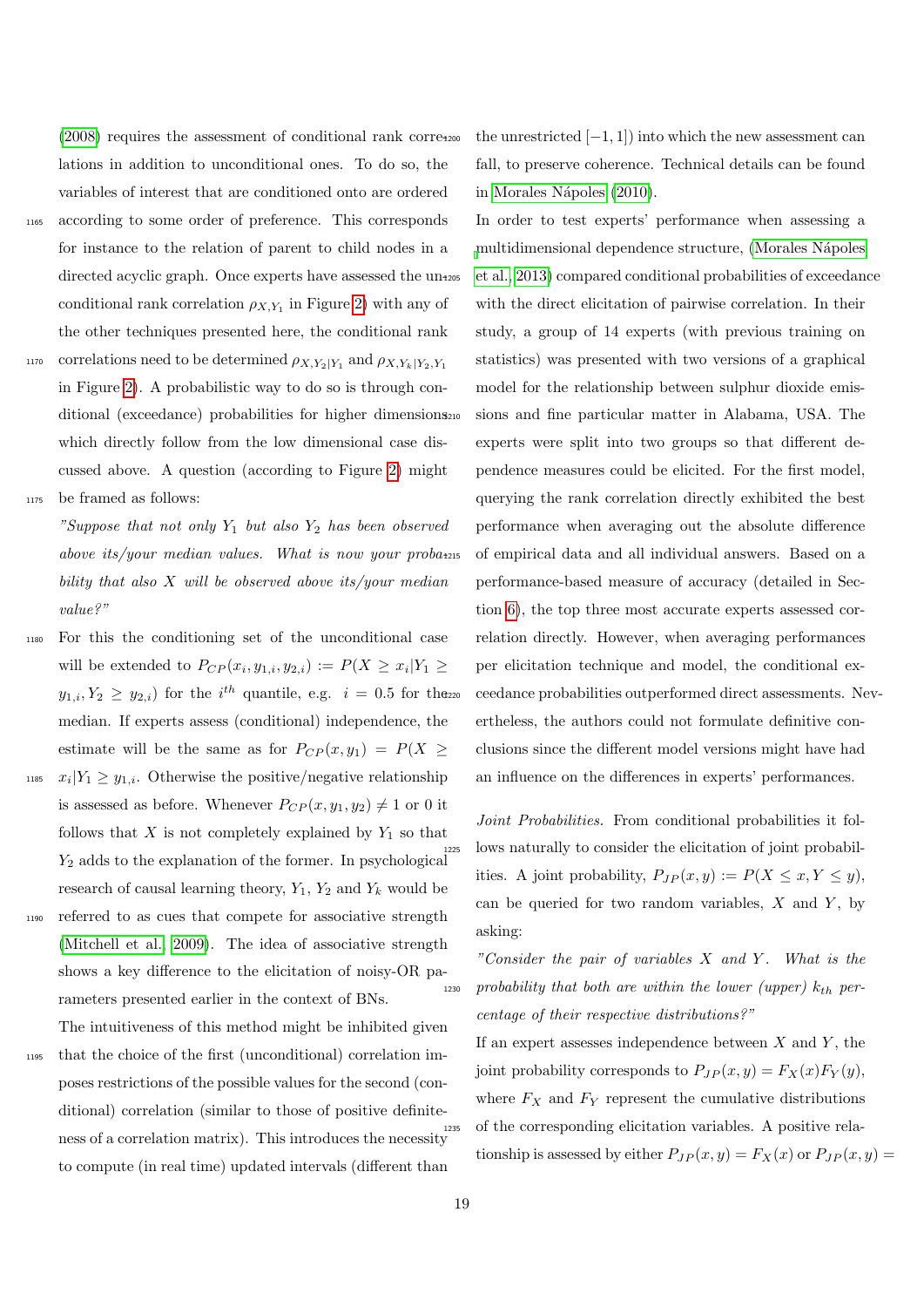[\(2008\)](#page-33-12) requires the assessment of conditional rank correlations in addition to unconditional ones. To do so, the variables of interest that are conditioned onto are ordered

- <sup>1165</sup> according to some order of preference. This corresponds for instance to the relation of parent to child nodes in a directed acyclic graph. Once experts have assessed the unconditional rank correlation  $\rho_{X,Y_1}$  in Figure [2\)](#page-7-0) with any of the other techniques presented here, the conditional rank
- correlations need to be determined  $\rho_{X,Y_2|Y_1}$  and  $\rho_{X,Y_k|Y_2,Y_1}$ 1170 in Figure [2\)](#page-7-0). A probabilistic way to do so is through conditional (exceedance) probabilities for higher dimensions<sub>210</sub> which directly follow from the low dimensional case discussed above. A question (according to Figure [2\)](#page-7-0) might <sup>1175</sup> be framed as follows:

"Suppose that not only  $Y_1$  but also  $Y_2$  has been observed above its/your median values. What is now your probability that also  $X$  will be observed above its/your median value?"

- <sup>1180</sup> For this the conditioning set of the unconditional case will be extended to  $P_{CP}(x_i, y_{1,i}, y_{2,i}) := P(X \ge x_i | Y_1 \ge$  $y_{1,i}, Y_2 \geq y_{2,i}$  for the *i*<sup>th</sup> quantile, e.g. *i* = 0.5 for the median. If experts assess (conditional) independence, the estimate will be the same as for  $P_{CP}(x, y_1) = P(X \geq$ <sup>1185</sup>  $x_i|Y_1 \geq y_{1,i}$ . Otherwise the positive/negative relationship is assessed as before. Whenever  $P_{CP}(x, y_1, y_2) \neq 1$  or 0 it follows that  $X$  is not completely explained by  $Y_1$  so that  $Y_2$  adds to the explanation of the former. In psychological research of causal learning theory,  $Y_1, Y_2$  and  $Y_k$  would be
- <sup>1190</sup> referred to as cues that compete for associative strength [\(Mitchell et al., 2009\)](#page-32-8). The idea of associative strength shows a key difference to the elicitation of noisy-OR parameters presented earlier in the context of BNs.

The intuitiveness of this method might be inhibited given <sup>1195</sup> that the choice of the first (unconditional) correlation imposes restrictions of the possible values for the second (con-

ditional) correlation (similar to those of positive definiteness of a correlation matrix). This introduces the necessity to compute (in real time) updated intervals (different than

the unrestricted  $[-1, 1]$  into which the new assessment can fall, to preserve coherence. Technical details can be found in Morales Nápoles [\(2010\)](#page-32-28).

In order to test experts' performance when assessing a [m](#page-32-27)ultidimensional dependence structure, [\(Morales N´apoles](#page-32-27) [et al., 2013\)](#page-32-27) compared conditional probabilities of exceedance with the direct elicitation of pairwise correlation. In their study, a group of 14 experts (with previous training on statistics) was presented with two versions of a graphical model for the relationship between sulphur dioxide emissions and fine particular matter in Alabama, USA. The experts were split into two groups so that different dependence measures could be elicited. For the first model, querying the rank correlation directly exhibited the best performance when averaging out the absolute difference of empirical data and all individual answers. Based on a performance-based measure of accuracy (detailed in Section [6\)](#page-24-0), the top three most accurate experts assessed correlation directly. However, when averaging performances per elicitation technique and model, the conditional exceedance probabilities outperformed direct assessments. Nevertheless, the authors could not formulate definitive conclusions since the different model versions might have had an influence on the differences in experts' performances.

Joint Probabilities. From conditional probabilities it follows naturally to consider the elicitation of joint probabilities. A joint probability,  $P_{JP}(x, y) := P(X \leq x, Y \leq y)$ , can be queried for two random variables,  $X$  and  $Y$ , by asking:

"Consider the pair of variables  $X$  and  $Y$ . What is the  $1230$  probability that both are within the lower (upper)  $k_{th}$  percentage of their respective distributions?"

If an expert assesses independence between  $X$  and  $Y$ , the joint probability corresponds to  $P_{JP}(x, y) = F_X(x)F_Y(y)$ , where  $F_X$  and  $F_Y$  represent the cumulative distributions of the corresponding elicitation variables. A positive relationship is assessed by either  $P_{JP}(x, y) = F_X(x)$  or  $P_{JP}(x, y) =$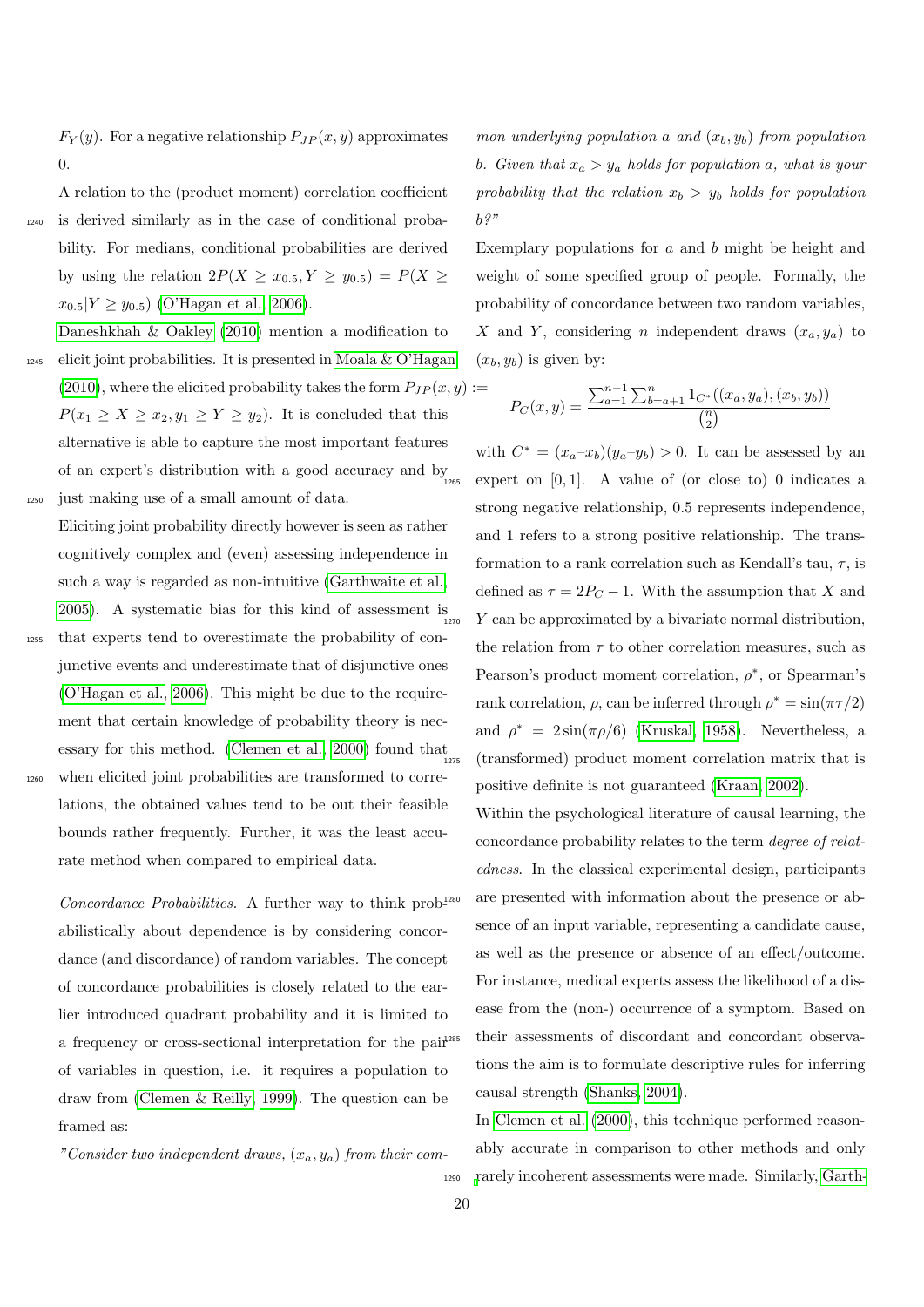$F_Y(y)$ . For a negative relationship  $P_{JP}(x, y)$  approximates 0.

A relation to the (product moment) correlation coefficient <sup>1240</sup> is derived similarly as in the case of conditional probability. For medians, conditional probabilities are derived by using the relation  $2P(X \ge x_{0.5}, Y \ge y_{0.5}) = P(X \ge$  $x_{0.5}|Y \geq y_{0.5}$  [\(O'Hagan et al., 2006\)](#page-33-0).

[Daneshkhah & Oakley](#page-30-2) [\(2010\)](#page-30-2) mention a modification to  $1245$  elicit joint probabilities. It is presented in [Moala & O'Hagan](#page-32-21) [\(2010\)](#page-32-21), where the elicited probability takes the form  $P_{JP}(x, y) :=$  $P(x_1 \ge X \ge x_2, y_1 \ge Y \ge y_2)$ . It is concluded that this alternative is able to capture the most important features of an expert's distribution with a good accuracy and  $\mathbf{by}_{_{1265}}$ <sup>1250</sup> just making use of a small amount of data.

Eliciting joint probability directly however is seen as rather cognitively complex and (even) assessing independence in such a way is regarded as non-intuitive [\(Garthwaite et al.,](#page-31-3) [2005\)](#page-31-3). A systematic bias for this kind of assessment is  $\frac{1270}{1270}$ <sup>1255</sup> that experts tend to overestimate the probability of conjunctive events and underestimate that of disjunctive ones [\(O'Hagan et al., 2006\)](#page-33-0). This might be due to the requirement that certain knowledge of probability theory is nec-essary for this method. [\(Clemen et al., 2000\)](#page-30-25) found that <sup>1260</sup> when elicited joint probabilities are transformed to corre-

lations, the obtained values tend to be out their feasible bounds rather frequently. Further, it was the least accurate method when compared to empirical data.

Concordance Probabilities. A further way to think prob<sup>1280</sup> abilistically about dependence is by considering concordance (and discordance) of random variables. The concept of concordance probabilities is closely related to the earlier introduced quadrant probability and it is limited to a frequency or cross-sectional interpretation for the pair of variables in question, i.e. it requires a population to draw from [\(Clemen & Reilly, 1999\)](#page-30-13). The question can be framed as:

"Consider two independent draws,  $(x_a, y_a)$  from their com-

mon underlying population a and  $(x_b, y_b)$  from population b. Given that  $x_a > y_a$  holds for population a, what is your probability that the relation  $x_b > y_b$  holds for population  $b$ ?"

Exemplary populations for  $a$  and  $b$  might be height and weight of some specified group of people. Formally, the probability of concordance between two random variables, X and Y, considering n independent draws  $(x_a, y_a)$  to  $(x_b, y_b)$  is given by:

$$
P_C(x,y) = \frac{\sum_{a=1}^{n-1} \sum_{b=a+1}^{n} 1_{C^*}((x_a, y_a), (x_b, y_b))}{\binom{n}{2}}
$$

with  $C^* = (x_a-x_b)(y_a-y_b) > 0$ . It can be assessed by an expert on  $[0, 1]$ . A value of (or close to) 0 indicates a strong negative relationship, 0.5 represents independence, and 1 refers to a strong positive relationship. The transformation to a rank correlation such as Kendall's tau,  $\tau$ , is defined as  $\tau = 2P_C - 1$ . With the assumption that X and  $Y$  can be approximated by a bivariate normal distribution, the relation from  $\tau$  to other correlation measures, such as Pearson's product moment correlation,  $\rho^*$ , or Spearman's rank correlation,  $\rho$ , can be inferred through  $\rho^* = \sin(\pi \tau/2)$ and  $\rho^* = 2\sin(\pi\rho/6)$  [\(Kruskal, 1958\)](#page-32-7). Nevertheless, a (transformed) product moment correlation matrix that is positive definite is not guaranteed [\(Kraan, 2002\)](#page-32-25).

Within the psychological literature of causal learning, the concordance probability relates to the term degree of relatedness. In the classical experimental design, participants are presented with information about the presence or absence of an input variable, representing a candidate cause, as well as the presence or absence of an effect/outcome. For instance, medical experts assess the likelihood of a disease from the (non-) occurrence of a symptom. Based on their assessments of discordant and concordant observations the aim is to formulate descriptive rules for inferring causal strength [\(Shanks, 2004\)](#page-33-7).

In [Clemen et al.](#page-30-25) [\(2000\)](#page-30-25), this technique performed reasonably accurate in comparison to other methods and only <sup>1290</sup> [r](#page-31-3)arely incoherent assessments were made. Similarly, [Garth-](#page-31-3)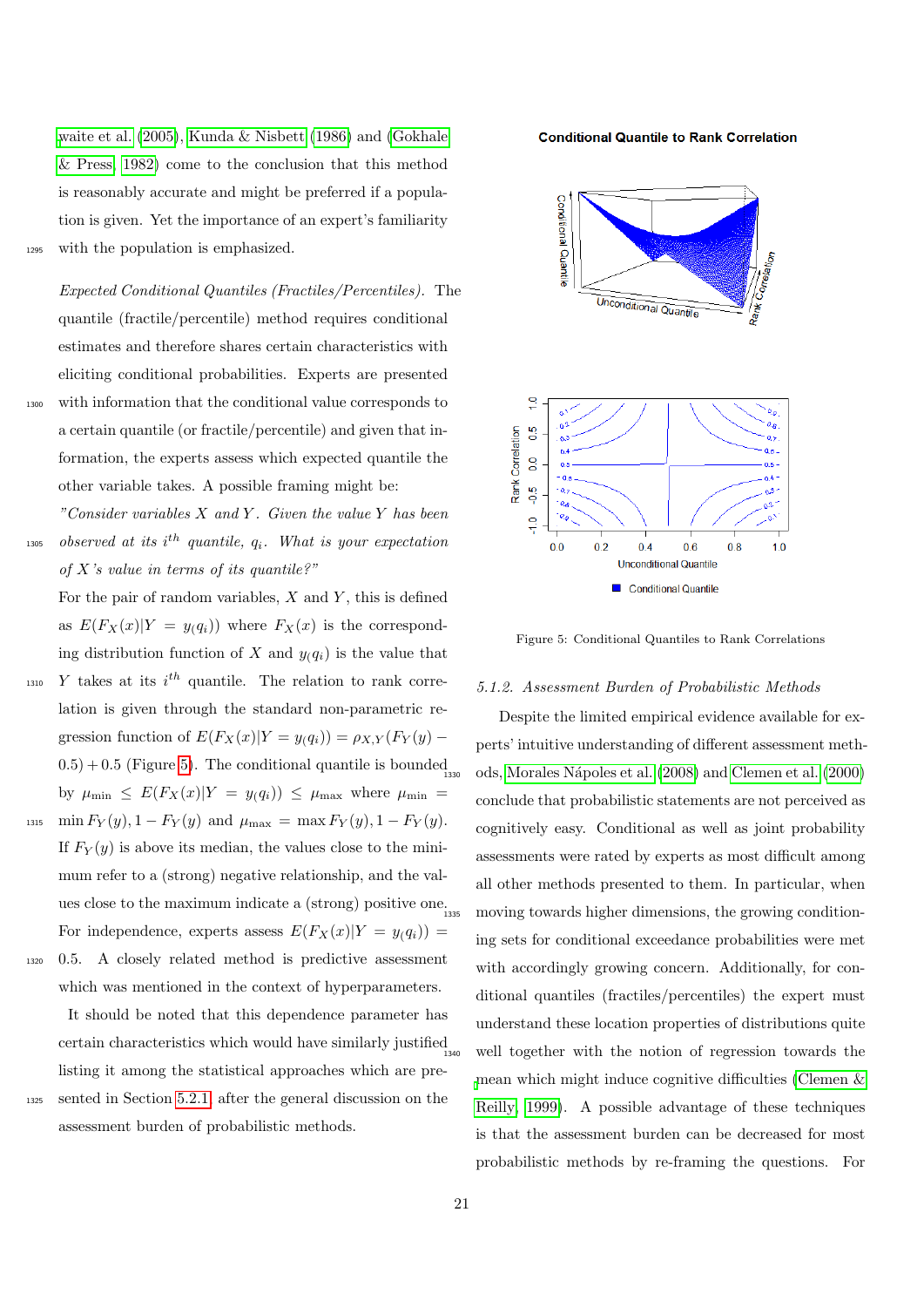[waite et al.](#page-31-3) [\(2005\)](#page-31-3), [Kunda & Nisbett](#page-32-3) [\(1986\)](#page-32-3) and [\(Gokhale](#page-31-2) [& Press, 1982\)](#page-31-2) come to the conclusion that this method is reasonably accurate and might be preferred if a population is given. Yet the importance of an expert's familiarity <sup>1295</sup> with the population is emphasized.

Expected Conditional Quantiles (Fractiles/Percentiles). The quantile (fractile/percentile) method requires conditional estimates and therefore shares certain characteristics with eliciting conditional probabilities. Experts are presented <sup>1300</sup> with information that the conditional value corresponds to a certain quantile (or fractile/percentile) and given that information, the experts assess which expected quantile the other variable takes. A possible framing might be:

"Consider variables  $X$  and  $Y$ . Given the value  $Y$  has been  $\emph{1305}$  observed at its i<sup>th</sup> quantile,  $q_i$ . What is your expectation of X's value in terms of its quantile?"

For the pair of random variables,  $X$  and  $Y$ , this is defined as  $E(F_X(x)|Y = y(q_i))$  where  $F_X(x)$  is the corresponding distribution function of X and  $y_i(q_i)$  is the value that

- $_{1310}$  Y takes at its  $i^{th}$  quantile. The relation to rank correlation is given through the standard non-parametric regression function of  $E(F_X(x)|Y=y(q_i)) = \rho_{X,Y}(F_Y(y) (0.5) + 0.5$  (Figure [5\)](#page-20-0). The conditional quantile is bounded by  $\mu_{\min} \leq E(F_X(x)|Y = y(q_i)) \leq \mu_{\max}$  where  $\mu_{\min} =$ 1315 min  $F_Y(y)$ , 1 –  $F_Y(y)$  and  $\mu_{\text{max}} = \max F_Y(y)$ , 1 –  $F_Y(y)$ .
- If  $F_Y(y)$  is above its median, the values close to the minimum refer to a (strong) negative relationship, and the values close to the maximum indicate a (strong) positive one. For independence, experts assess  $E(F_X(x)|Y = y(q_i))$  =
- <sup>1320</sup> 0.5. A closely related method is predictive assessment which was mentioned in the context of hyperparameters.

It should be noted that this dependence parameter has certain characteristics which would have similarly justified listing it among the statistical approaches which are pre-<sup>1325</sup> sented in Section [5.2.1,](#page-21-0) after the general discussion on the assessment burden of probabilistic methods.

#### **Conditional Quantile to Rank Correlation**



<span id="page-20-0"></span>Figure 5: Conditional Quantiles to Rank Correlations

#### 5.1.2. Assessment Burden of Probabilistic Methods

Despite the limited empirical evidence available for experts' intuitive understanding of different assessment meth-<sup>1330</sup> ods, [Morales N´apoles et al.](#page-33-12) [\(2008\)](#page-33-12) and [Clemen et al.](#page-30-25) [\(2000\)](#page-30-25) conclude that probabilistic statements are not perceived as cognitively easy. Conditional as well as joint probability assessments were rated by experts as most difficult among all other methods presented to them. In particular, when moving towards higher dimensions, the growing conditioning sets for conditional exceedance probabilities were met with accordingly growing concern. Additionally, for conditional quantiles (fractiles/percentiles) the expert must understand these location properties of distributions quite well together with the notion of regression towards the [m](#page-30-13)ean which might induce cognitive difficulties [\(Clemen &](#page-30-13) [Reilly, 1999\)](#page-30-13). A possible advantage of these techniques is that the assessment burden can be decreased for most probabilistic methods by re-framing the questions. For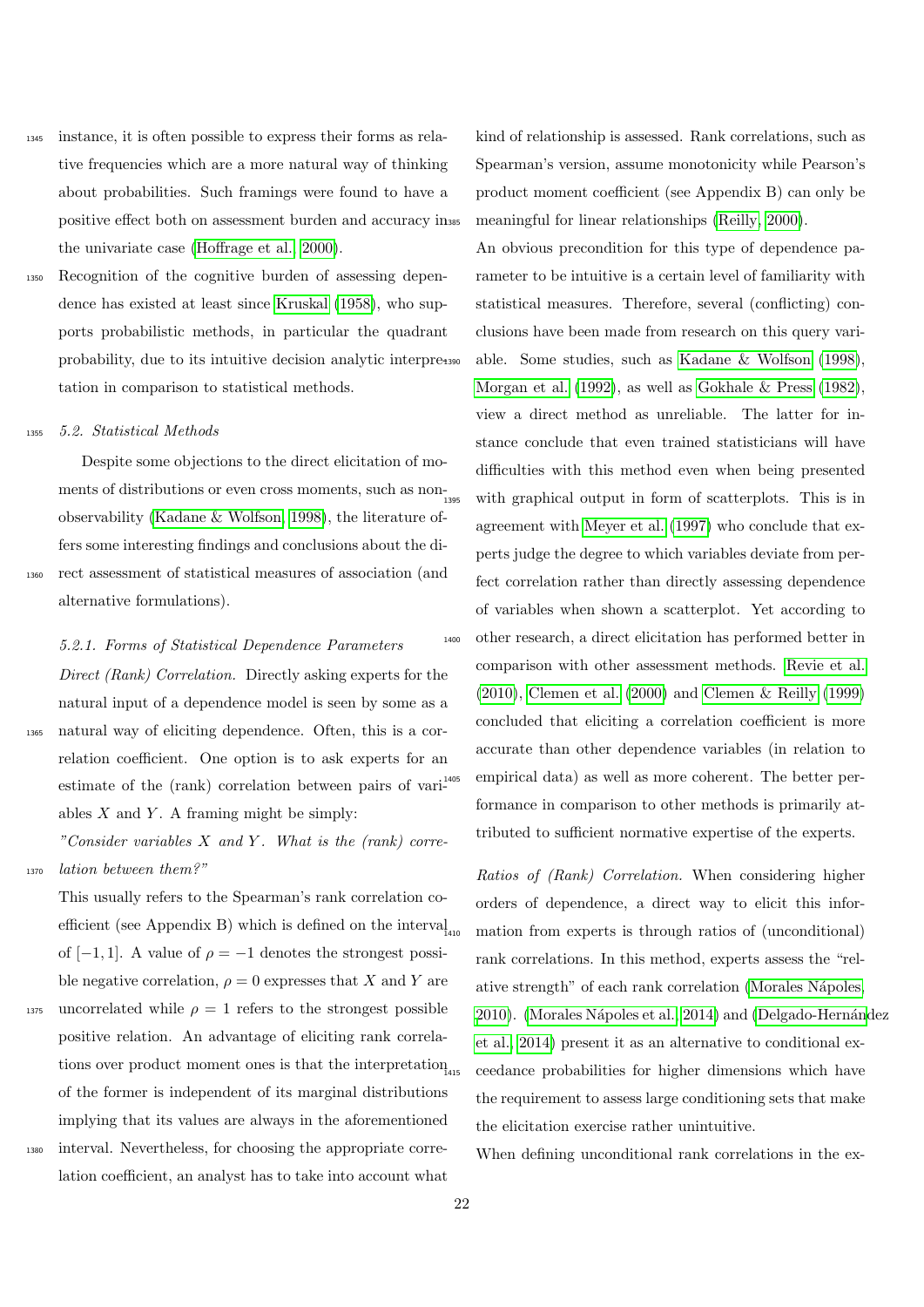- <sup>1345</sup> instance, it is often possible to express their forms as relative frequencies which are a more natural way of thinking about probabilities. Such framings were found to have a positive effect both on assessment burden and accuracy in the univariate case [\(Hoffrage et al., 2000\)](#page-32-29).
- <sup>1350</sup> Recognition of the cognitive burden of assessing dependence has existed at least since [Kruskal](#page-32-7) [\(1958\)](#page-32-7), who supports probabilistic methods, in particular the quadrant probability, due to its intuitive decision analytic interpretation in comparison to statistical methods.

<sup>1355</sup> 5.2. Statistical Methods

Despite some objections to the direct elicitation of moments of distributions or even cross moments, such as nonobservability [\(Kadane & Wolfson, 1998\)](#page-32-10), the literature offers some interesting findings and conclusions about the di-<sup>1360</sup> rect assessment of statistical measures of association (and alternative formulations).

<span id="page-21-0"></span>5.2.1. Forms of Statistical Dependence Parameters Direct (Rank) Correlation. Directly asking experts for the natural input of a dependence model is seen by some as a <sup>1365</sup> natural way of eliciting dependence. Often, this is a correlation coefficient. One option is to ask experts for an estimate of the (rank) correlation between pairs of variables  $X$  and  $Y$ . A framing might be simply:

"Consider variables  $X$  and  $Y$ . What is the (rank) corre-<sup>1370</sup> lation between them?"

- This usually refers to the Spearman's rank correlation coefficient (see Appendix B) which is defined on the interval of  $[-1, 1]$ . A value of  $\rho = -1$  denotes the strongest possible negative correlation,  $\rho = 0$  expresses that X and Y are
- 1375 uncorrelated while  $\rho = 1$  refers to the strongest possible positive relation. An advantage of eliciting rank correlations over product moment ones is that the interpretation of the former is independent of its marginal distributions implying that its values are always in the aforementioned <sup>1380</sup> interval. Nevertheless, for choosing the appropriate corre-

lation coefficient, an analyst has to take into account what

kind of relationship is assessed. Rank correlations, such as Spearman's version, assume monotonicity while Pearson's product moment coefficient (see Appendix B) can only be meaningful for linear relationships [\(Reilly, 2000\)](#page-33-27).

An obvious precondition for this type of dependence parameter to be intuitive is a certain level of familiarity with statistical measures. Therefore, several (conflicting) conclusions have been made from research on this query vari-<sup>1390</sup> able. Some studies, such as [Kadane & Wolfson](#page-32-10) [\(1998\)](#page-32-10), [Morgan et al.](#page-33-28) [\(1992\)](#page-33-28), as well as [Gokhale & Press](#page-31-2) [\(1982\)](#page-31-2), view a direct method as unreliable. The latter for instance conclude that even trained statisticians will have difficulties with this method even when being presented with graphical output in form of scatterplots. This is in agreement with [Meyer et al.](#page-32-30) [\(1997\)](#page-32-30) who conclude that experts judge the degree to which variables deviate from perfect correlation rather than directly assessing dependence of variables when shown a scatterplot. Yet according to <sup>1400</sup> other research, a direct elicitation has performed better in comparison with other assessment methods. [Revie et al.](#page-33-20) [\(2010\)](#page-33-20), [Clemen et al.](#page-30-25) [\(2000\)](#page-30-25) and [Clemen & Reilly](#page-30-13) [\(1999\)](#page-30-13) concluded that eliciting a correlation coefficient is more accurate than other dependence variables (in relation to empirical data) as well as more coherent. The better performance in comparison to other methods is primarily attributed to sufficient normative expertise of the experts.

Ratios of (Rank) Correlation. When considering higher orders of dependence, a direct way to elicit this information from experts is through ratios of (unconditional) rank correlations. In this method, experts assess the "relative strength" of each rank correlation [\(Morales N´apoles,](#page-32-28) [2010\)](#page-32-28). (Morales Nápoles et al., 2014) and (Delgado-Hernández [et al., 2014\)](#page-30-28) present it as an alternative to conditional exceedance probabilities for higher dimensions which have the requirement to assess large conditioning sets that make the elicitation exercise rather unintuitive.

When defining unconditional rank correlations in the ex-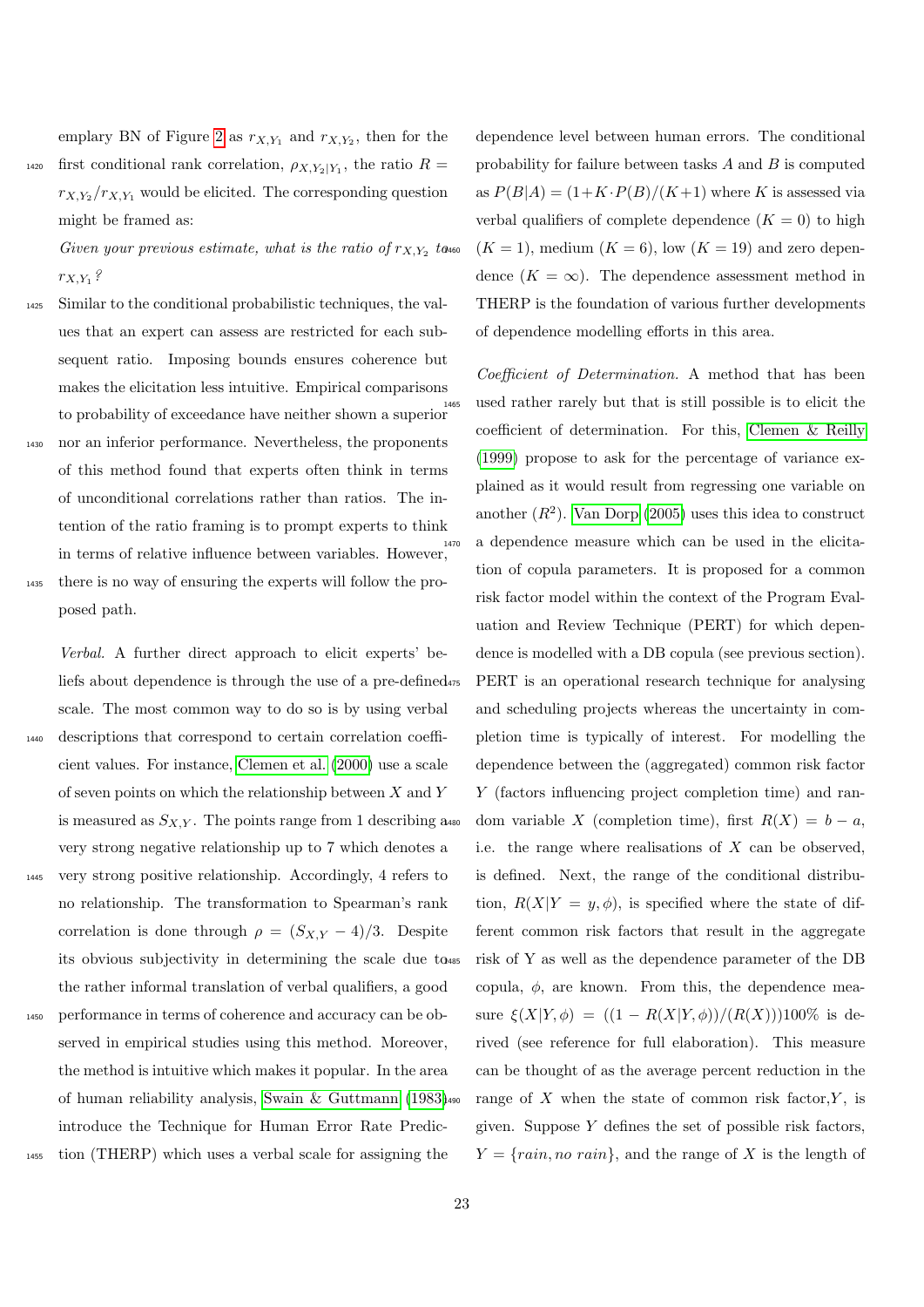emplary BN of Figure [2](#page-7-0) as  $r_{X,Y_1}$  and  $r_{X,Y_2}$ , then for the 1420 first conditional rank correlation,  $\rho_{X,Y_2|Y_1}$ , the ratio  $R =$  $r_{X,Y_2}/r_{X,Y_1}$  would be elicited. The corresponding question might be framed as:

Given your previous estimate, what is the ratio of  $r_{X,Y_2}$  to  $r_{X,Y_1}$  ?

- <sup>1425</sup> Similar to the conditional probabilistic techniques, the values that an expert can assess are restricted for each subsequent ratio. Imposing bounds ensures coherence but makes the elicitation less intuitive. Empirical comparisons to probability of exceedance have neither shown a superior
- <sup>1430</sup> nor an inferior performance. Nevertheless, the proponents of this method found that experts often think in terms of unconditional correlations rather than ratios. The intention of the ratio framing is to prompt experts to think in terms of relative influence between variables. However,  $\boldsymbol{u}^{\text{1470}}$ <sup>1435</sup> there is no way of ensuring the experts will follow the pro-
- posed path.

Verbal. A further direct approach to elicit experts' beliefs about dependence is through the use of a pre-defined scale. The most common way to do so is by using verbal <sup>1440</sup> descriptions that correspond to certain correlation coefficient values. For instance, [Clemen et al.](#page-30-25) [\(2000\)](#page-30-25) use a scale of seven points on which the relationship between  $X$  and  $Y$ is measured as  $S_{X,Y}$ . The points range from 1 describing a. very strong negative relationship up to 7 which denotes a <sup>1445</sup> very strong positive relationship. Accordingly, 4 refers to no relationship. The transformation to Spearman's rank correlation is done through  $\rho = (S_{X,Y} - 4)/3$ . Despite its obvious subjectivity in determining the scale due to the rather informal translation of verbal qualifiers, a good

<sup>1450</sup> performance in terms of coherence and accuracy can be observed in empirical studies using this method. Moreover, the method is intuitive which makes it popular. In the area of human reliability analysis, [Swain & Guttmann](#page-34-7) [\(1983\)](#page-34-7) introduce the Technique for Human Error Rate Predic-

<sup>1455</sup> tion (THERP) which uses a verbal scale for assigning the

dependence level between human errors. The conditional probability for failure between tasks A and B is computed as  $P(B|A) = (1 + K \cdot P(B)/(K+1)$  where K is assessed via verbal qualifiers of complete dependence  $(K = 0)$  to high  $(K = 1)$ , medium  $(K = 6)$ , low  $(K = 19)$  and zero dependence  $(K = \infty)$ . The dependence assessment method in THERP is the foundation of various further developments of dependence modelling efforts in this area.

Coefficient of Determination. A method that has been used rather rarely but that is still possible is to elicit the coefficient of determination. For this, [Clemen & Reilly](#page-30-13) [\(1999\)](#page-30-13) propose to ask for the percentage of variance explained as it would result from regressing one variable on another  $(R^2)$ . [Van Dorp](#page-34-4) [\(2005\)](#page-34-4) uses this idea to construct a dependence measure which can be used in the elicitation of copula parameters. It is proposed for a common risk factor model within the context of the Program Evaluation and Review Technique (PERT) for which dependence is modelled with a DB copula (see previous section). PERT is an operational research technique for analysing and scheduling projects whereas the uncertainty in completion time is typically of interest. For modelling the dependence between the (aggregated) common risk factor Y (factors influencing project completion time) and random variable X (completion time), first  $R(X) = b - a$ , i.e. the range where realisations of  $X$  can be observed, is defined. Next, the range of the conditional distribution,  $R(X|Y = y, \phi)$ , is specified where the state of different common risk factors that result in the aggregate risk of Y as well as the dependence parameter of the DB copula,  $\phi$ , are known. From this, the dependence measure  $\xi(X|Y,\phi) = ((1 - R(X|Y,\phi))/(R(X)))100\%$  is derived (see reference for full elaboration). This measure can be thought of as the average percent reduction in the range of X when the state of common risk factor,  $Y$ , is given. Suppose  $Y$  defines the set of possible risk factors,  $Y = \{rain, no\ rain\},$  and the range of X is the length of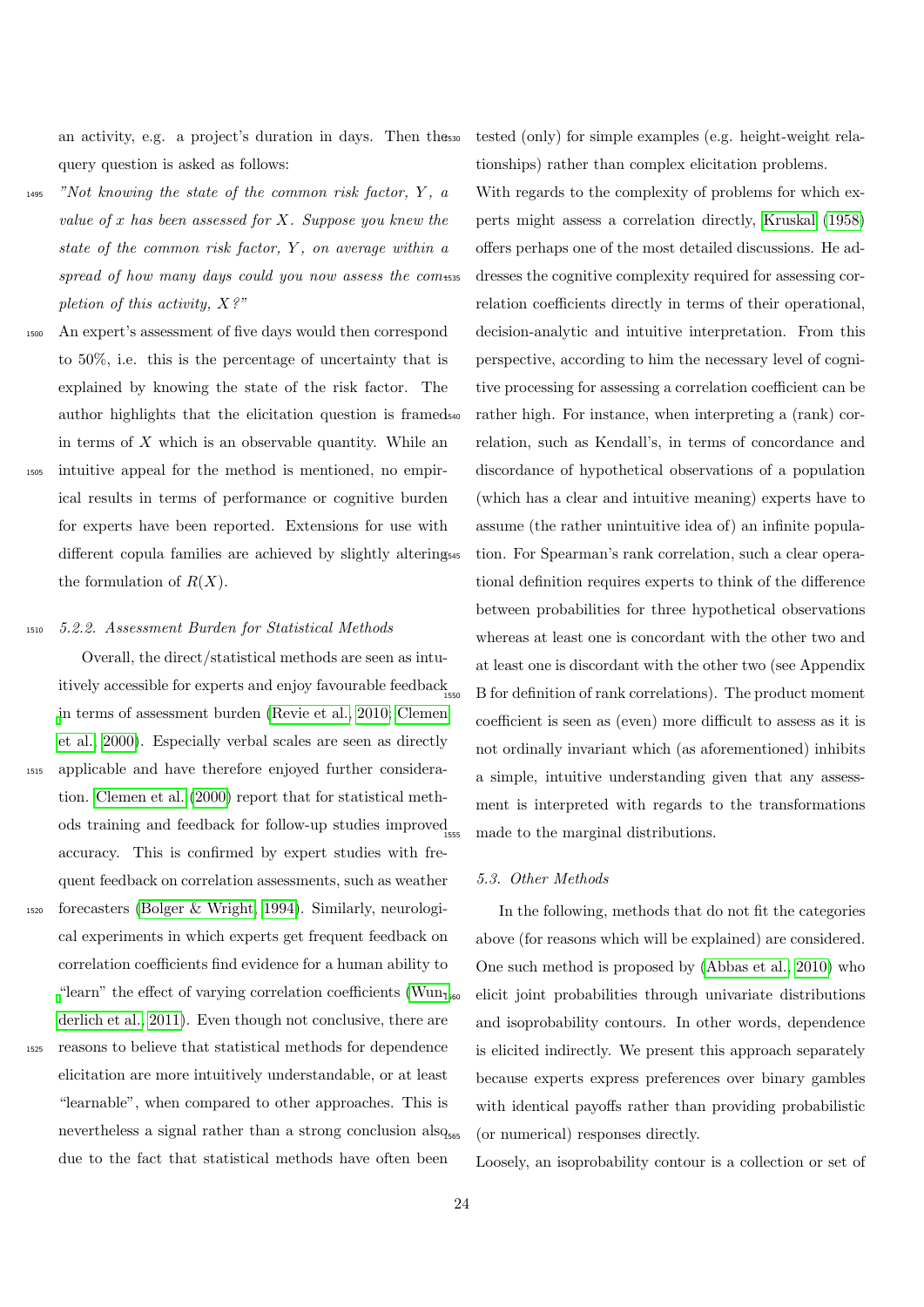an activity, e.g. a project's duration in days. Then the query question is asked as follows:

- $1495$  "Not knowing the state of the common risk factor, Y, a value of x has been assessed for X. Suppose you knew the state of the common risk factor,  $Y$ , on average within a spread of how many days could you now assess the com-535 pletion of this activity,  $X$ ?"
- <sup>1500</sup> An expert's assessment of five days would then correspond to 50%, i.e. this is the percentage of uncertainty that is explained by knowing the state of the risk factor. The author highlights that the elicitation question is framed in terms of  $X$  which is an observable quantity. While an <sup>1505</sup> intuitive appeal for the method is mentioned, no empirical results in terms of performance or cognitive burden for experts have been reported. Extensions for use with
- different copula families are achieved by slightly altering<sub>545</sub> the formulation of  $R(X)$ .

### <sup>1510</sup> 5.2.2. Assessment Burden for Statistical Methods

Overall, the direct/statistical methods are seen as intuitively accessible for experts and enjoy favourable feedback [i](#page-30-25)n terms of assessment burden [\(Revie et al., 2010;](#page-33-20) [Clemen](#page-30-25) [et al., 2000\)](#page-30-25). Especially verbal scales are seen as directly <sup>1515</sup> applicable and have therefore enjoyed further consideration. [Clemen et al.](#page-30-25) [\(2000\)](#page-30-25) report that for statistical methods training and feedback for follow-up studies improved accuracy. This is confirmed by expert studies with frequent feedback on correlation assessments, such as weather

- <sup>1520</sup> forecasters [\(Bolger & Wright, 1994\)](#page-30-29). Similarly, neurological experiments in which experts get frequent feedback on correlation coefficients find evidence for a human ability to ["](#page-34-8)learn" the effect of varying correlation coefficients (Wun<sub>1560</sub>) [derlich et al., 2011\)](#page-34-8). Even though not conclusive, there are
- <sup>1525</sup> reasons to believe that statistical methods for dependence elicitation are more intuitively understandable, or at least "learnable", when compared to other approaches. This is nevertheless a signal rather than a strong conclusion also due to the fact that statistical methods have often been

tested (only) for simple examples (e.g. height-weight relationships) rather than complex elicitation problems.

With regards to the complexity of problems for which experts might assess a correlation directly, [Kruskal](#page-32-7) [\(1958\)](#page-32-7) offers perhaps one of the most detailed discussions. He addresses the cognitive complexity required for assessing correlation coefficients directly in terms of their operational, decision-analytic and intuitive interpretation. From this perspective, according to him the necessary level of cognitive processing for assessing a correlation coefficient can be rather high. For instance, when interpreting a (rank) correlation, such as Kendall's, in terms of concordance and discordance of hypothetical observations of a population (which has a clear and intuitive meaning) experts have to assume (the rather unintuitive idea of) an infinite population. For Spearman's rank correlation, such a clear operational definition requires experts to think of the difference between probabilities for three hypothetical observations whereas at least one is concordant with the other two and at least one is discordant with the other two (see Appendix <sup>1550</sup> B for definition of rank correlations). The product moment coefficient is seen as (even) more difficult to assess as it is not ordinally invariant which (as aforementioned) inhibits a simple, intuitive understanding given that any assessment is interpreted with regards to the transformations made to the marginal distributions.

#### <span id="page-23-0"></span>5.3. Other Methods

In the following, methods that do not fit the categories above (for reasons which will be explained) are considered. One such method is proposed by [\(Abbas et al., 2010\)](#page-29-8) who <sup>1560</sup> elicit joint probabilities through univariate distributions and isoprobability contours. In other words, dependence is elicited indirectly. We present this approach separately because experts express preferences over binary gambles with identical payoffs rather than providing probabilistic (or numerical) responses directly.

Loosely, an isoprobability contour is a collection or set of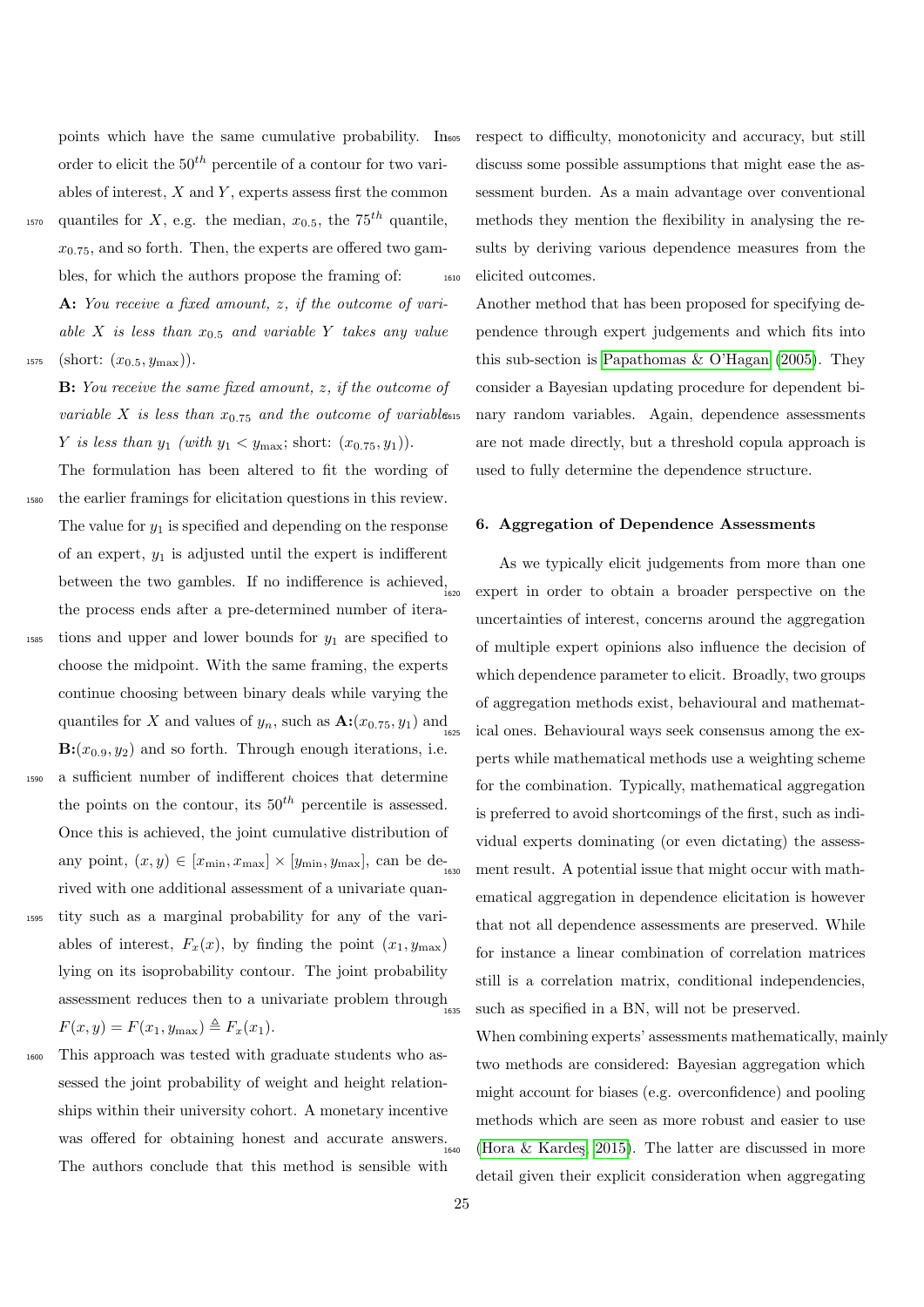points which have the same cumulative probability. In order to elicit the  $50<sup>th</sup>$  percentile of a contour for two variables of interest,  $X$  and  $Y$ , experts assess first the common

<sup>1570</sup> quantiles for X, e.g. the median,  $x_{0.5}$ , the  $75<sup>th</sup>$  quantile,  $x_{0.75}$ , and so forth. Then, the experts are offered two gambles, for which the authors propose the framing of: A: You receive a fixed amount, z, if the outcome of variable X is less than  $x_{0.5}$  and variable Y takes any value 1575 (short:  $(x_{0.5}, y_{\text{max}})$ ).

B: You receive the same fixed amount, z, if the outcome of variable X is less than  $x_{0.75}$  and the outcome of variabless Y is less than  $y_1$  (with  $y_1 < y_{\text{max}}$ ; short:  $(x_{0.75}, y_1)$ ).

The formulation has been altered to fit the wording of <sup>1580</sup> the earlier framings for elicitation questions in this review. The value for  $y_1$  is specified and depending on the response of an expert,  $y_1$  is adjusted until the expert is indifferent between the two gambles. If no indifference is achieved, the process ends after a pre-determined number of itera-

- $_{1585}$  tions and upper and lower bounds for  $y_1$  are specified to choose the midpoint. With the same framing, the experts continue choosing between binary deals while varying the quantiles for X and values of  $y_n$ , such as  $\mathbf{A}: (x_{0.75}, y_1)$  and  $\mathbf{B}:(x_{0.9}, y_2)$  and so forth. Through enough iterations, i.e.
- <sup>1590</sup> a sufficient number of indifferent choices that determine the points on the contour, its  $50<sup>th</sup>$  percentile is assessed. Once this is achieved, the joint cumulative distribution of any point,  $(x, y) \in [x_{\min}, x_{\max}] \times [y_{\min}, y_{\max}]$ , can be derived with one additional assessment of a univariate quan-
- <sup>1595</sup> tity such as a marginal probability for any of the variables of interest,  $F_x(x)$ , by finding the point  $(x_1, y_{\text{max}})$ lying on its isoprobability contour. The joint probability assessment reduces then to a univariate problem through  $_{1635}$  $F(x, y) = F(x_1, y_{\text{max}}) \triangleq F_x(x_1).$
- <sup>1600</sup> This approach was tested with graduate students who assessed the joint probability of weight and height relationships within their university cohort. A monetary incentive was offered for obtaining honest and accurate answers. The authors conclude that this method is sensible with

respect to difficulty, monotonicity and accuracy, but still discuss some possible assumptions that might ease the assessment burden. As a main advantage over conventional methods they mention the flexibility in analysing the results by deriving various dependence measures from the <sup>1610</sup> elicited outcomes.

Another method that has been proposed for specifying dependence through expert judgements and which fits into this sub-section is [Papathomas & O'Hagan](#page-33-29) [\(2005\)](#page-33-29). They consider a Bayesian updating procedure for dependent binary random variables. Again, dependence assessments are not made directly, but a threshold copula approach is used to fully determine the dependence structure.

#### <span id="page-24-0"></span>6. Aggregation of Dependence Assessments

As we typically elicit judgements from more than one expert in order to obtain a broader perspective on the uncertainties of interest, concerns around the aggregation of multiple expert opinions also influence the decision of which dependence parameter to elicit. Broadly, two groups of aggregation methods exist, behavioural and mathematical ones. Behavioural ways seek consensus among the experts while mathematical methods use a weighting scheme for the combination. Typically, mathematical aggregation is preferred to avoid shortcomings of the first, such as individual experts dominating (or even dictating) the assessment result. A potential issue that might occur with mathematical aggregation in dependence elicitation is however that not all dependence assessments are preserved. While for instance a linear combination of correlation matrices still is a correlation matrix, conditional independencies, such as specified in a BN, will not be preserved.

When combining experts' assessments mathematically, mainly two methods are considered: Bayesian aggregation which might account for biases (e.g. overconfidence) and pooling methods which are seen as more robust and easier to use (Hora  $&$  Kardes, 2015). The latter are discussed in more detail given their explicit consideration when aggregating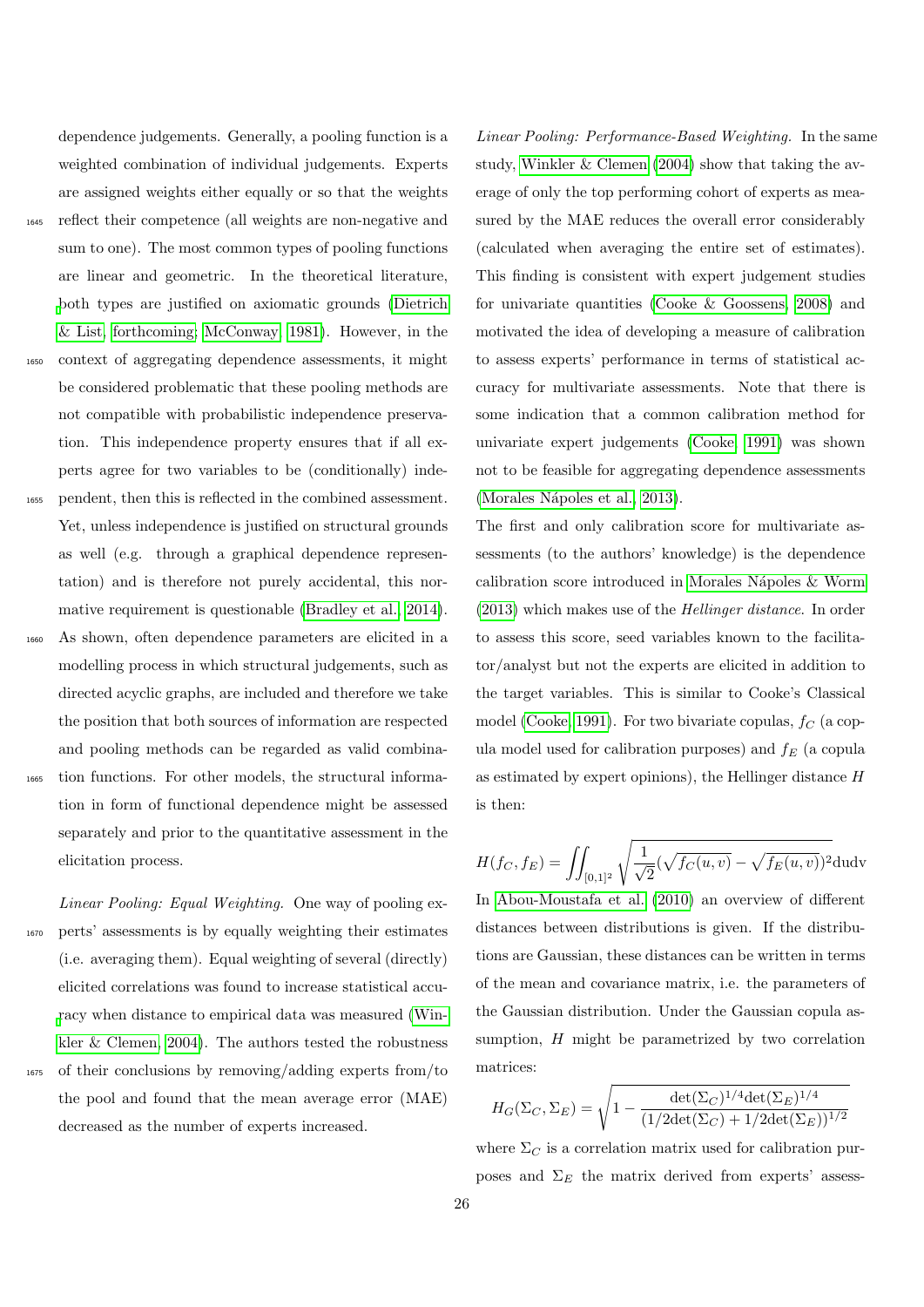dependence judgements. Generally, a pooling function is a weighted combination of individual judgements. Experts are assigned weights either equally or so that the weights <sup>1645</sup> reflect their competence (all weights are non-negative and sum to one). The most common types of pooling functions are linear and geometric. In the theoretical literature, [b](#page-30-30)oth types are justified on axiomatic grounds [\(Dietrich](#page-30-30) [& List, forthcoming;](#page-30-30) [McConway, 1981\)](#page-32-33). However, in the <sup>1650</sup> context of aggregating dependence assessments, it might be considered problematic that these pooling methods are not compatible with probabilistic independence preservation. This independence property ensures that if all experts agree for two variables to be (conditionally) inde-<sup>1655</sup> pendent, then this is reflected in the combined assessment. Yet, unless independence is justified on structural grounds as well (e.g. through a graphical dependence representation) and is therefore not purely accidental, this nor-mative requirement is questionable [\(Bradley et al., 2014\)](#page-30-31). <sup>1660</sup> As shown, often dependence parameters are elicited in a

modelling process in which structural judgements, such as directed acyclic graphs, are included and therefore we take the position that both sources of information are respected and pooling methods can be regarded as valid combina-<sup>1665</sup> tion functions. For other models, the structural information in form of functional dependence might be assessed separately and prior to the quantitative assessment in the

elicitation process.

Linear Pooling: Equal Weighting. One way of pooling ex-<sup>1670</sup> perts' assessments is by equally weighting their estimates (i.e. averaging them). Equal weighting of several (directly) elicited correlations was found to increase statistical accu[r](#page-34-9)acy when distance to empirical data was measured [\(Win](#page-34-9)[kler & Clemen, 2004\)](#page-34-9). The authors tested the robustness <sup>1675</sup> of their conclusions by removing/adding experts from/to the pool and found that the mean average error (MAE)

decreased as the number of experts increased.

Linear Pooling: Performance-Based Weighting. In the same study, [Winkler & Clemen](#page-34-9) [\(2004\)](#page-34-9) show that taking the average of only the top performing cohort of experts as measured by the MAE reduces the overall error considerably (calculated when averaging the entire set of estimates). This finding is consistent with expert judgement studies for univariate quantities [\(Cooke & Goossens, 2008\)](#page-30-32) and motivated the idea of developing a measure of calibration to assess experts' performance in terms of statistical accuracy for multivariate assessments. Note that there is some indication that a common calibration method for univariate expert judgements [\(Cooke, 1991\)](#page-30-0) was shown not to be feasible for aggregating dependence assessments (Morales Nápoles et al., 2013).

The first and only calibration score for multivariate assessments (to the authors' knowledge) is the dependence calibration score introduced in [Morales N´apoles & Worm](#page-33-30) [\(2013\)](#page-33-30) which makes use of the Hellinger distance. In order to assess this score, seed variables known to the facilitator/analyst but not the experts are elicited in addition to the target variables. This is similar to Cooke's Classical model [\(Cooke, 1991\)](#page-30-0). For two bivariate copulas,  $f_C$  (a copula model used for calibration purposes) and  $f_E$  (a copula as estimated by expert opinions), the Hellinger distance H is then:

$$
H(f_C, f_E) = \iint_{[0,1]^2} \sqrt{\frac{1}{\sqrt{2}} (\sqrt{f_C(u, v)} - \sqrt{f_E(u, v)})^2} \, \mathrm{d}u \mathrm{d}v
$$

In [Abou-Moustafa et al.](#page-29-9) [\(2010\)](#page-29-9) an overview of different distances between distributions is given. If the distributions are Gaussian, these distances can be written in terms of the mean and covariance matrix, i.e. the parameters of the Gaussian distribution. Under the Gaussian copula assumption, H might be parametrized by two correlation matrices:

$$
H_G(\Sigma_C, \Sigma_E) = \sqrt{1 - \frac{\det(\Sigma_C)^{1/4} \det(\Sigma_E)^{1/4}}{(1/2\det(\Sigma_C) + 1/2\det(\Sigma_E))^{1/2}}}
$$

where  $\Sigma_C$  is a correlation matrix used for calibration purposes and  $\Sigma_E$  the matrix derived from experts' assess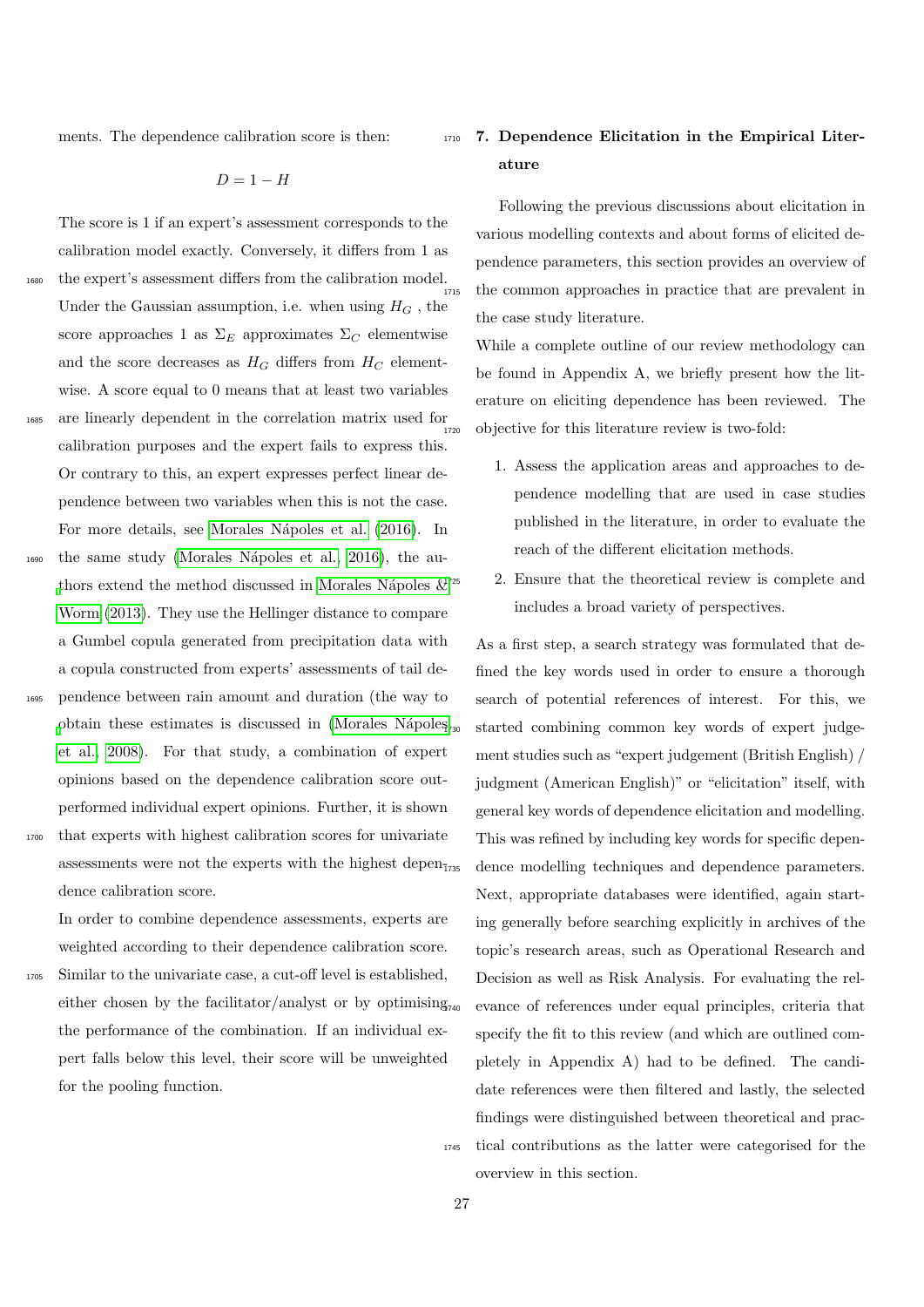ments. The dependence calibration score is then:

 $D = 1 - H$ 

The score is 1 if an expert's assessment corresponds to the calibration model exactly. Conversely, it differs from 1 as <sup>1680</sup> the expert's assessment differs from the calibration model. Under the Gaussian assumption, i.e. when using  $H_G$ , the score approaches 1 as  $\Sigma_E$  approximates  $\Sigma_C$  elementwise and the score decreases as  $H_G$  differs from  $H_C$  elementwise. A score equal to 0 means that at least two variables <sup>1685</sup> are linearly dependent in the correlation matrix used for calibration purposes and the expert fails to express this. Or contrary to this, an expert expresses perfect linear dependence between two variables when this is not the case. For more details, see Morales Nápoles et al.  $(2016)$ . In <sup>1690</sup> the same study [\(Morales N´apoles et al., 2016\)](#page-33-31), the au[t](#page-33-30)hors extend the method discussed in Morales Nápoles  $&x^{1725}$ [Worm](#page-33-30) [\(2013\)](#page-33-30). They use the Hellinger distance to compare a Gumbel copula generated from precipitation data with a copula constructed from experts' assessments of tail de-<sup>1695</sup> pendence between rain amount and duration (the way to

[o](#page-33-12)btain these estimates is discussed in (Morales Nápoles<sub>730</sub>) [et al., 2008\)](#page-33-12). For that study, a combination of expert opinions based on the dependence calibration score outperformed individual expert opinions. Further, it is shown <sup>1700</sup> that experts with highest calibration scores for univariate

assessments were not the experts with the highest depen- $_{775}$ dence calibration score.

In order to combine dependence assessments, experts are weighted according to their dependence calibration score.

<sup>1705</sup> Similar to the univariate case, a cut-off level is established, either chosen by the facilitator/analyst or by optimising $_{740}$ the performance of the combination. If an individual expert falls below this level, their score will be unweighted for the pooling function.

# <span id="page-26-0"></span><sup>1710</sup> 7. Dependence Elicitation in the Empirical Literature

Following the previous discussions about elicitation in various modelling contexts and about forms of elicited dependence parameters, this section provides an overview of the common approaches in practice that are prevalent in the case study literature.

While a complete outline of our review methodology can be found in Appendix A, we briefly present how the literature on eliciting dependence has been reviewed. The objective for this literature review is two-fold:

- 1. Assess the application areas and approaches to dependence modelling that are used in case studies published in the literature, in order to evaluate the reach of the different elicitation methods.
- 2. Ensure that the theoretical review is complete and includes a broad variety of perspectives.

As a first step, a search strategy was formulated that defined the key words used in order to ensure a thorough search of potential references of interest. For this, we started combining common key words of expert judgement studies such as "expert judgement (British English) / judgment (American English)" or "elicitation" itself, with general key words of dependence elicitation and modelling. This was refined by including key words for specific dependence modelling techniques and dependence parameters. Next, appropriate databases were identified, again starting generally before searching explicitly in archives of the topic's research areas, such as Operational Research and Decision as well as Risk Analysis. For evaluating the relevance of references under equal principles, criteria that specify the fit to this review (and which are outlined completely in Appendix A) had to be defined. The candidate references were then filtered and lastly, the selected findings were distinguished between theoretical and prac-<sup>1745</sup> tical contributions as the latter were categorised for the overview in this section.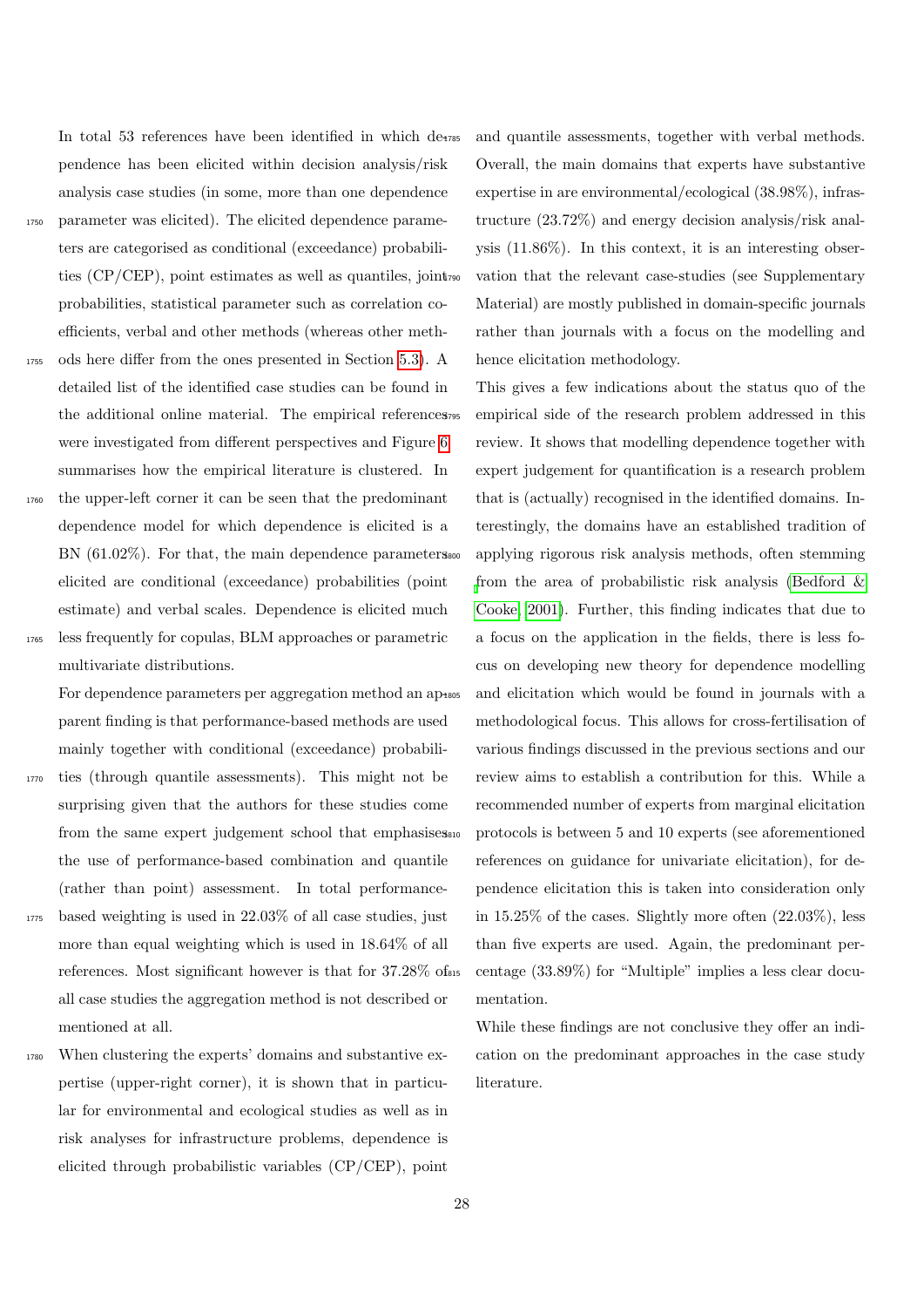In total 53 references have been identified in which de-1785 pendence has been elicited within decision analysis/risk analysis case studies (in some, more than one dependence

- <sup>1750</sup> parameter was elicited). The elicited dependence parameters are categorised as conditional (exceedance) probabilities (CP/CEP), point estimates as well as quantiles, joint probabilities, statistical parameter such as correlation coefficients, verbal and other methods (whereas other meth-
- <sup>1755</sup> ods here differ from the ones presented in Section [5.3\)](#page-23-0). A detailed list of the identified case studies can be found in the additional online material. The empirical references were investigated from different perspectives and Figure [6](#page-28-1) summarises how the empirical literature is clustered. In
- <sup>1760</sup> the upper-left corner it can be seen that the predominant dependence model for which dependence is elicited is a BN (61.02%). For that, the main dependence parameters also elicited are conditional (exceedance) probabilities (point estimate) and verbal scales. Dependence is elicited much
- <sup>1765</sup> less frequently for copulas, BLM approaches or parametric multivariate distributions.

For dependence parameters per aggregation method an ap<sub>1805</sub> parent finding is that performance-based methods are used mainly together with conditional (exceedance) probabili-

- <sup>1770</sup> ties (through quantile assessments). This might not be surprising given that the authors for these studies come from the same expert judgement school that emphasises the use of performance-based combination and quantile (rather than point) assessment. In total performance-
- <sup>1775</sup> based weighting is used in 22.03% of all case studies, just more than equal weighting which is used in  $18.64\%$  of all references. Most significant however is that for 37.28% of all case studies the aggregation method is not described or mentioned at all.
- <sup>1780</sup> When clustering the experts' domains and substantive expertise (upper-right corner), it is shown that in particular for environmental and ecological studies as well as in risk analyses for infrastructure problems, dependence is elicited through probabilistic variables (CP/CEP), point

and quantile assessments, together with verbal methods. Overall, the main domains that experts have substantive expertise in are environmental/ecological (38.98%), infrastructure (23.72%) and energy decision analysis/risk analysis (11.86%). In this context, it is an interesting observation that the relevant case-studies (see Supplementary Material) are mostly published in domain-specific journals rather than journals with a focus on the modelling and hence elicitation methodology.

This gives a few indications about the status quo of the empirical side of the research problem addressed in this review. It shows that modelling dependence together with expert judgement for quantification is a research problem that is (actually) recognised in the identified domains. Interestingly, the domains have an established tradition of applying rigorous risk analysis methods, often stemming [f](#page-30-10)rom the area of probabilistic risk analysis [\(Bedford &](#page-30-10) [Cooke, 2001\)](#page-30-10). Further, this finding indicates that due to a focus on the application in the fields, there is less focus on developing new theory for dependence modelling and elicitation which would be found in journals with a methodological focus. This allows for cross-fertilisation of various findings discussed in the previous sections and our review aims to establish a contribution for this. While a recommended number of experts from marginal elicitation protocols is between 5 and 10 experts (see aforementioned references on guidance for univariate elicitation), for dependence elicitation this is taken into consideration only in 15.25% of the cases. Slightly more often (22.03%), less than five experts are used. Again, the predominant percentage  $(33.89\%)$  for "Multiple" implies a less clear documentation.

While these findings are not conclusive they offer an indication on the predominant approaches in the case study literature.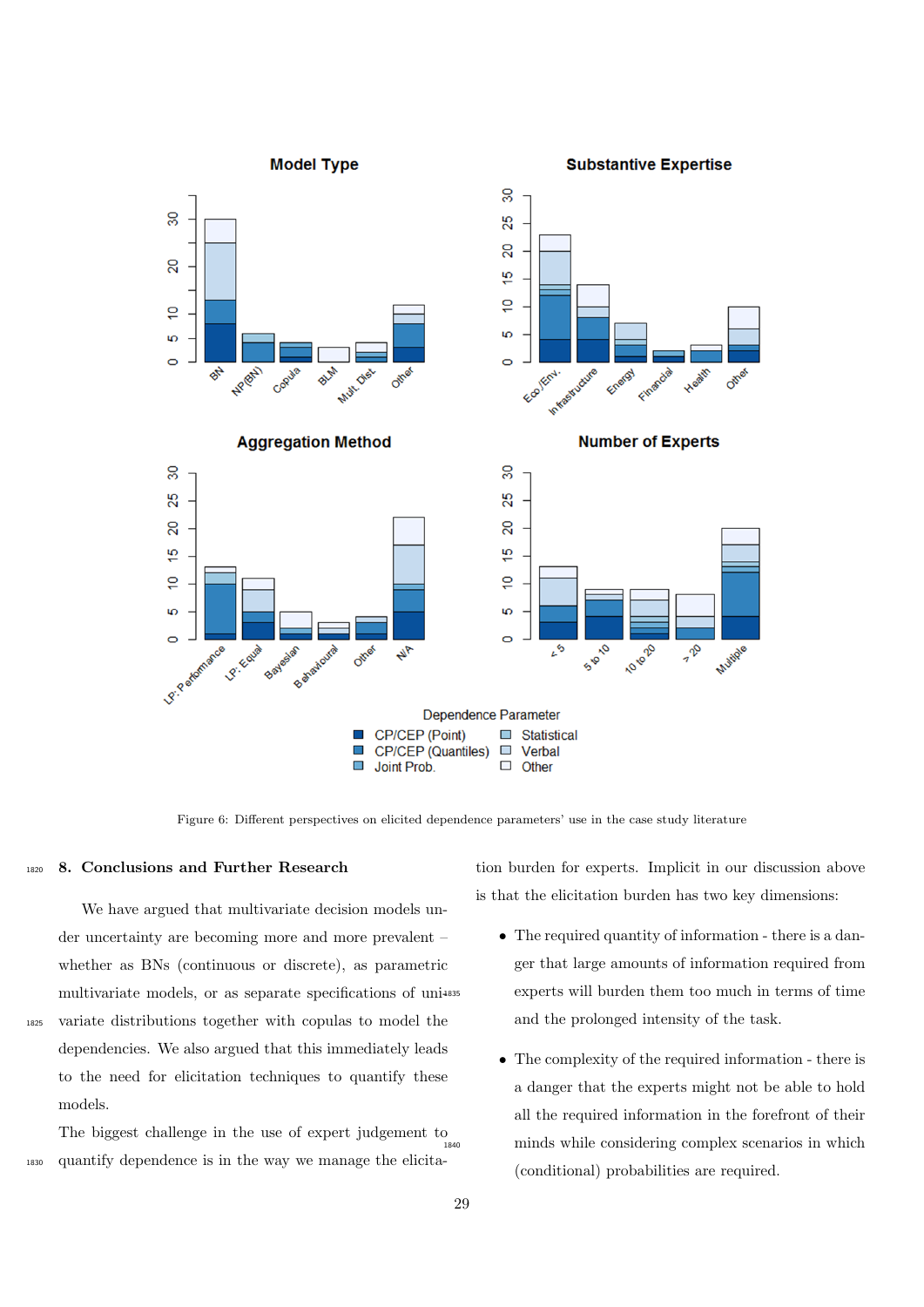

Figure 6: Different perspectives on elicited dependence parameters' use in the case study literature

### <span id="page-28-0"></span>1820 8. Conclusions and Further Research

We have argued that multivariate decision models under uncertainty are becoming more and more prevalent – whether as BNs (continuous or discrete), as parametric multivariate models, or as separate specifications of uni-<sup>1825</sup> variate distributions together with copulas to model the dependencies. We also argued that this immediately leads to the need for elicitation techniques to quantify these models.

The biggest challenge in the use of expert judgement to <sup>1830</sup> quantify dependence is in the way we manage the elicita<span id="page-28-1"></span>tion burden for experts. Implicit in our discussion above is that the elicitation burden has two key dimensions:

- The required quantity of information there is a danger that large amounts of information required from experts will burden them too much in terms of time and the prolonged intensity of the task.
- The complexity of the required information there is a danger that the experts might not be able to hold all the required information in the forefront of their minds while considering complex scenarios in which (conditional) probabilities are required.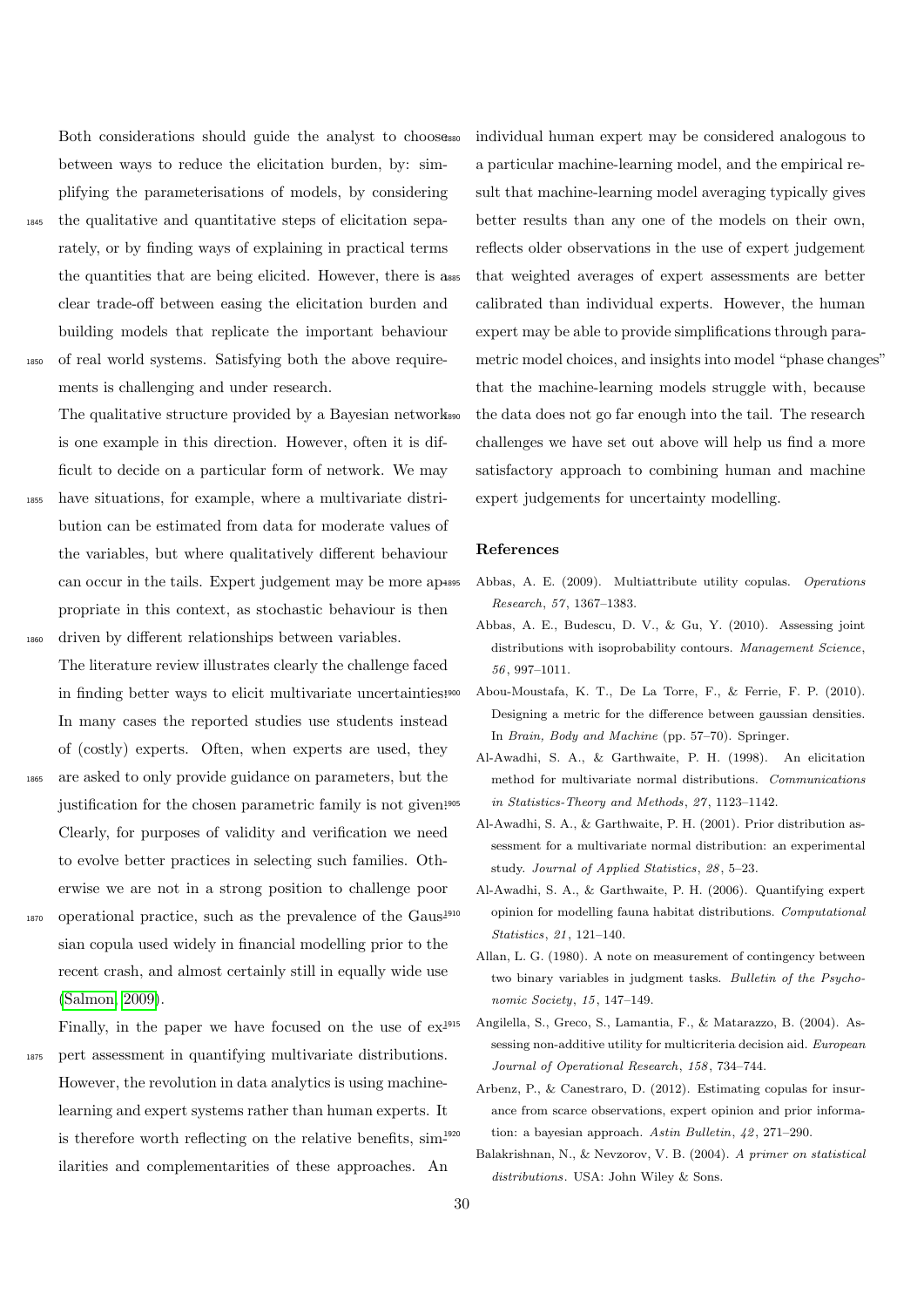Both considerations should guide the analyst to choose between ways to reduce the elicitation burden, by: simplifying the parameterisations of models, by considering

<sup>1845</sup> the qualitative and quantitative steps of elicitation separately, or by finding ways of explaining in practical terms the quantities that are being elicited. However, there is a clear trade-off between easing the elicitation burden and building models that replicate the important behaviour <sup>1850</sup> of real world systems. Satisfying both the above require-

ments is challenging and under research.

The qualitative structure provided by a Bayesian network is one example in this direction. However, often it is difficult to decide on a particular form of network. We may <sup>1855</sup> have situations, for example, where a multivariate distribution can be estimated from data for moderate values of the variables, but where qualitatively different behaviour can occur in the tails. Expert judgement may be more appropriate in this context, as stochastic behaviour is then

- <sup>1860</sup> driven by different relationships between variables. The literature review illustrates clearly the challenge faced in finding better ways to elicit multivariate uncertainties: In many cases the reported studies use students instead of (costly) experts. Often, when experts are used, they
- <sup>1865</sup> are asked to only provide guidance on parameters, but the justification for the chosen parametric family is not given.<sup>1905</sup> Clearly, for purposes of validity and verification we need to evolve better practices in selecting such families. Otherwise we are not in a strong position to challenge poor
- <sup>1870</sup> operational practice, such as the prevalence of the Gaussian copula used widely in financial modelling prior to the recent crash, and almost certainly still in equally wide use [\(Salmon, 2009\)](#page-33-32).
- Finally, in the paper we have focused on the use of  $ex^{\frac{1915}{2}}$ <sup>1875</sup> pert assessment in quantifying multivariate distributions. However, the revolution in data analytics is using machinelearning and expert systems rather than human experts. It is therefore worth reflecting on the relative benefits,  $\text{sim}^{1920}$ ilarities and complementarities of these approaches. An

individual human expert may be considered analogous to a particular machine-learning model, and the empirical result that machine-learning model averaging typically gives better results than any one of the models on their own, reflects older observations in the use of expert judgement that weighted averages of expert assessments are better calibrated than individual experts. However, the human expert may be able to provide simplifications through parametric model choices, and insights into model "phase changes" that the machine-learning models struggle with, because the data does not go far enough into the tail. The research challenges we have set out above will help us find a more satisfactory approach to combining human and machine expert judgements for uncertainty modelling.

### References

- <span id="page-29-1"></span><sup>1895</sup> Abbas, A. E. (2009). Multiattribute utility copulas. Operations Research, 57, 1367–1383.
- <span id="page-29-8"></span>Abbas, A. E., Budescu, D. V., & Gu, Y. (2010). Assessing joint distributions with isoprobability contours. Management Science, 56, 997–1011.
- <span id="page-29-9"></span><sup>1900</sup> Abou-Moustafa, K. T., De La Torre, F., & Ferrie, F. P. (2010). Designing a metric for the difference between gaussian densities. In Brain, Body and Machine (pp. 57–70). Springer.
- <span id="page-29-6"></span>Al-Awadhi, S. A., & Garthwaite, P. H. (1998). An elicitation method for multivariate normal distributions. Communications in Statistics-Theory and Methods,  $27$ , 1123–1142.
- <span id="page-29-5"></span>Al-Awadhi, S. A., & Garthwaite, P. H. (2001). Prior distribution assessment for a multivariate normal distribution: an experimental study. Journal of Applied Statistics, 28, 5–23.
- <span id="page-29-7"></span>Al-Awadhi, S. A., & Garthwaite, P. H. (2006). Quantifying expert <sup>1910</sup> opinion for modelling fauna habitat distributions. Computational Statistics, 21, 121–140.
- <span id="page-29-2"></span>Allan, L. G. (1980). A note on measurement of contingency between two binary variables in judgment tasks. Bulletin of the Psychonomic Society, 15, 147–149.
- <span id="page-29-0"></span>Angilella, S., Greco, S., Lamantia, F., & Matarazzo, B. (2004). Assessing non-additive utility for multicriteria decision aid. European Journal of Operational Research, 158, 734–744.
- <span id="page-29-3"></span>Arbenz, P., & Canestraro, D. (2012). Estimating copulas for insurance from scarce observations, expert opinion and prior information: a bayesian approach. Astin Bulletin,  $\mu$ 2, 271–290.
- <span id="page-29-4"></span>Balakrishnan, N., & Nevzorov, V. B. (2004). A primer on statistical distributions. USA: John Wiley & Sons.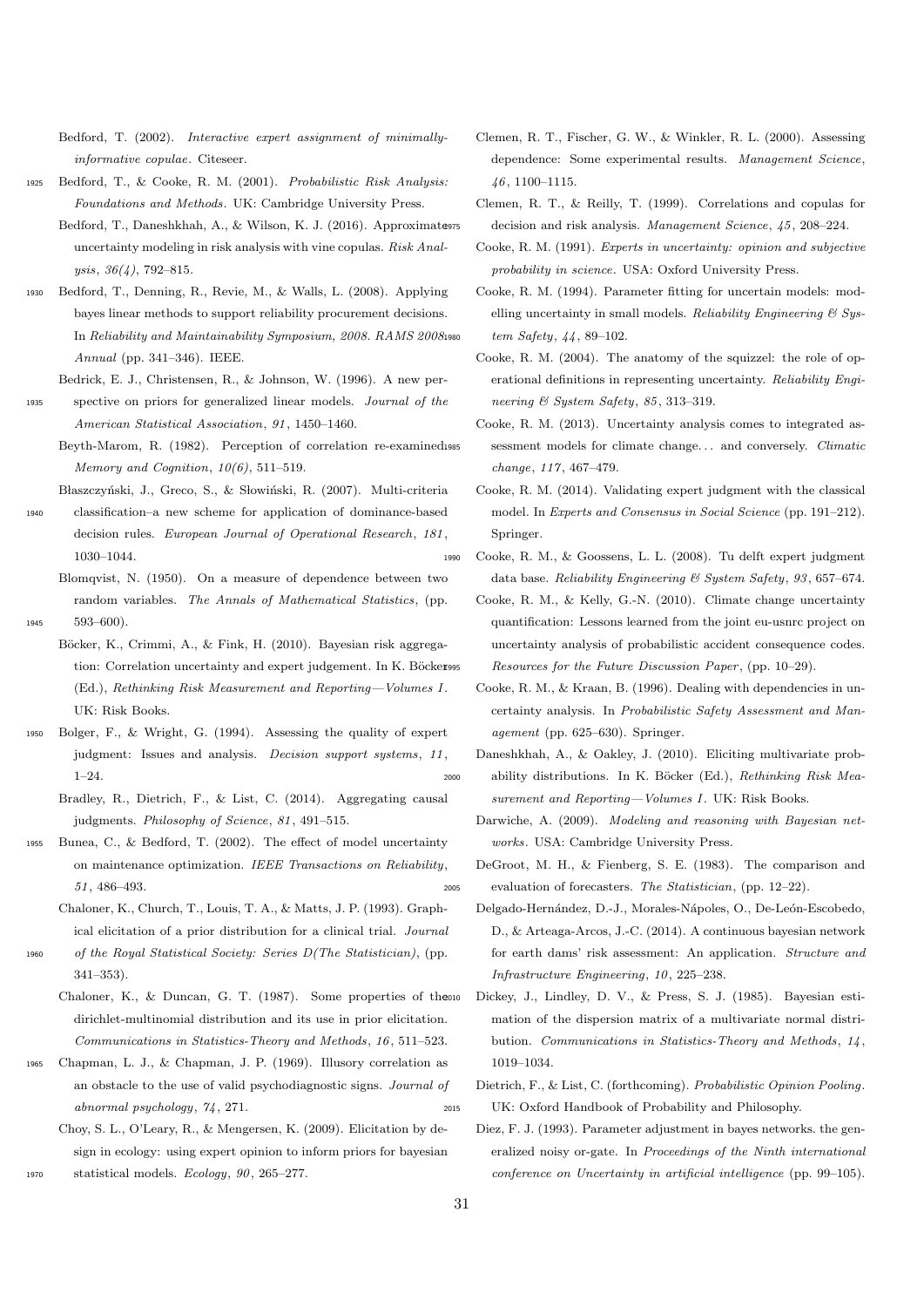<span id="page-30-15"></span>Bedford, T. (2002). Interactive expert assignment of minimallyinformative copulae. Citeseer.

- <span id="page-30-14"></span><span id="page-30-10"></span>Bedford, T., & Cooke, R. M. (2001). Probabilistic Risk Analysis: Foundations and Methods. UK: Cambridge University Press.
	- Bedford, T., Daneshkhah, A., & Wilson, K. J. (2016). Approximate uncertainty modeling in risk analysis with vine copulas. Risk Analysis, 36(4), 792–815.
- <span id="page-30-21"></span><sup>1930</sup> Bedford, T., Denning, R., Revie, M., & Walls, L. (2008). Applying bayes linear methods to support reliability procurement decisions. In Reliability and Maintainability Symposium, 2008. RAMS 2008. Annual (pp. 341–346). IEEE.
- <span id="page-30-22"></span>Bedrick, E. J., Christensen, R., & Johnson, W. (1996). A new per-
- <span id="page-30-5"></span><sup>1935</sup> spective on priors for generalized linear models. Journal of the American Statistical Association, 91, 1450–1460.
	- Beyth-Marom, R. (1982). Perception of correlation re-examined. Memory and Cognition,  $10(6)$ , 511-519.
- <span id="page-30-4"></span>Błaszczyński, J., Greco, S., & Słowiński, R. (2007). Multi-criteria classification–a new scheme for application of dominance-based decision rules. European Journal of Operational Research, 181, 1030–1044.

<span id="page-30-27"></span>Blomqvist, N. (1950). On a measure of dependence between two random variables. The Annals of Mathematical Statistics, (pp. <sup>1945</sup> 593–600).

- <span id="page-30-17"></span>Böcker, K., Crimmi, A., & Fink, H. (2010). Bayesian risk aggregation: Correlation uncertainty and expert judgement. In K. Böcker995 (Ed.), Rethinking Risk Measurement and Reporting—Volumes I . UK: Risk Books.
- <span id="page-30-31"></span><span id="page-30-29"></span><sup>1950</sup> Bolger, F., & Wright, G. (1994). Assessing the quality of expert judgment: Issues and analysis. Decision support systems, 11, 1–24.
	- Bradley, R., Dietrich, F., & List, C. (2014). Aggregating causal judgments. Philosophy of Science, 81, 491–515.
- <span id="page-30-16"></span><sup>1955</sup> Bunea, C., & Bedford, T. (2002). The effect of model uncertainty on maintenance optimization. IEEE Transactions on Reliability, 51, 486–493.

<span id="page-30-20"></span>Chaloner, K., Church, T., Louis, T. A., & Matts, J. P. (1993). Graphical elicitation of a prior distribution for a clinical trial. Journal

of the Royal Statistical Society: Series  $D(The Statistical)$ , (pp. 341–353).

- <span id="page-30-19"></span>Chaloner, K., & Duncan, G. T. (1987). Some properties of theoro dirichlet-multinomial distribution and its use in prior elicitation. Communications in Statistics-Theory and Methods, 16, 511–523.
- <span id="page-30-6"></span><sup>1965</sup> Chapman, L. J., & Chapman, J. P. (1969). Illusory correlation as an obstacle to the use of valid psychodiagnostic signs. Journal of abnormal psychology, 74, 271.

<span id="page-30-23"></span>Choy, S. L., O'Leary, R., & Mengersen, K. (2009). Elicitation by design in ecology: using expert opinion to inform priors for bayesian

<sup>1970</sup> statistical models. Ecology, 90, 265–277.

- <span id="page-30-25"></span>Clemen, R. T., Fischer, G. W., & Winkler, R. L. (2000). Assessing dependence: Some experimental results. Management Science, 46, 1100–1115.
- <span id="page-30-13"></span>Clemen, R. T., & Reilly, T. (1999). Correlations and copulas for decision and risk analysis. Management Science, 45, 208–224.
- <span id="page-30-0"></span>Cooke, R. M. (1991). Experts in uncertainty: opinion and subjective probability in science. USA: Oxford University Press.
- <span id="page-30-9"></span>Cooke, R. M. (1994). Parameter fitting for uncertain models: modelling uncertainty in small models. Reliability Engineering  $\mathcal C$  Sys $tem$  Safety,  $44, 89-102$ .
- <span id="page-30-3"></span>Cooke, R. M. (2004). The anatomy of the squizzel: the role of operational definitions in representing uncertainty. Reliability Engineering & System Safety, 85, 313–319.
- <span id="page-30-24"></span>Cooke, R. M. (2013). Uncertainty analysis comes to integrated assessment models for climate change... and conversely. Climatic change, 117, 467–479.
- <span id="page-30-8"></span>Cooke, R. M. (2014). Validating expert judgment with the classical model. In Experts and Consensus in Social Science (pp. 191–212). Springer.
- <span id="page-30-32"></span><span id="page-30-26"></span><sup>1990</sup> Cooke, R. M., & Goossens, L. L. (2008). Tu delft expert judgment data base. Reliability Engineering & System Safety, 93, 657–674.
	- Cooke, R. M., & Kelly, G.-N. (2010). Climate change uncertainty quantification: Lessons learned from the joint eu-usnrc project on uncertainty analysis of probabilistic accident consequence codes. Resources for the Future Discussion Paper, (pp. 10–29).
	- Cooke, R. M., & Kraan, B. (1996). Dealing with dependencies in uncertainty analysis. In Probabilistic Safety Assessment and Management (pp. 625–630). Springer.
- <span id="page-30-11"></span><span id="page-30-2"></span><span id="page-30-1"></span>Daneshkhah, A., & Oakley, J. (2010). Eliciting multivariate prob-2000 ability distributions. In K. Böcker (Ed.), Rethinking Risk Measurement and Reporting-Volumes I. UK: Risk Books.
	- Darwiche, A. (2009). Modeling and reasoning with Bayesian networks. USA: Cambridge University Press.
- <span id="page-30-28"></span><span id="page-30-7"></span>DeGroot, M. H., & Fienberg, S. E. (1983). The comparison and <sup>2005</sup> evaluation of forecasters. The Statistician, (pp. 12–22).
	- Delgado-Hernández, D.-J., Morales-Nápoles, O., De-León-Escobedo, D., & Arteaga-Arcos, J.-C. (2014). A continuous bayesian network for earth dams' risk assessment: An application. Structure and Infrastructure Engineering, 10, 225–238.
	- Dickey, J., Lindley, D. V., & Press, S. J. (1985). Bayesian estimation of the dispersion matrix of a multivariate normal distribution. Communications in Statistics-Theory and Methods, 14, 1019–1034.
- <span id="page-30-30"></span><span id="page-30-18"></span><span id="page-30-12"></span>Dietrich, F., & List, C. (forthcoming). Probabilistic Opinion Pooling. <sup>2015</sup> UK: Oxford Handbook of Probability and Philosophy.
	- Diez, F. J. (1993). Parameter adjustment in bayes networks. the generalized noisy or-gate. In Proceedings of the Ninth international conference on Uncertainty in artificial intelligence (pp. 99–105).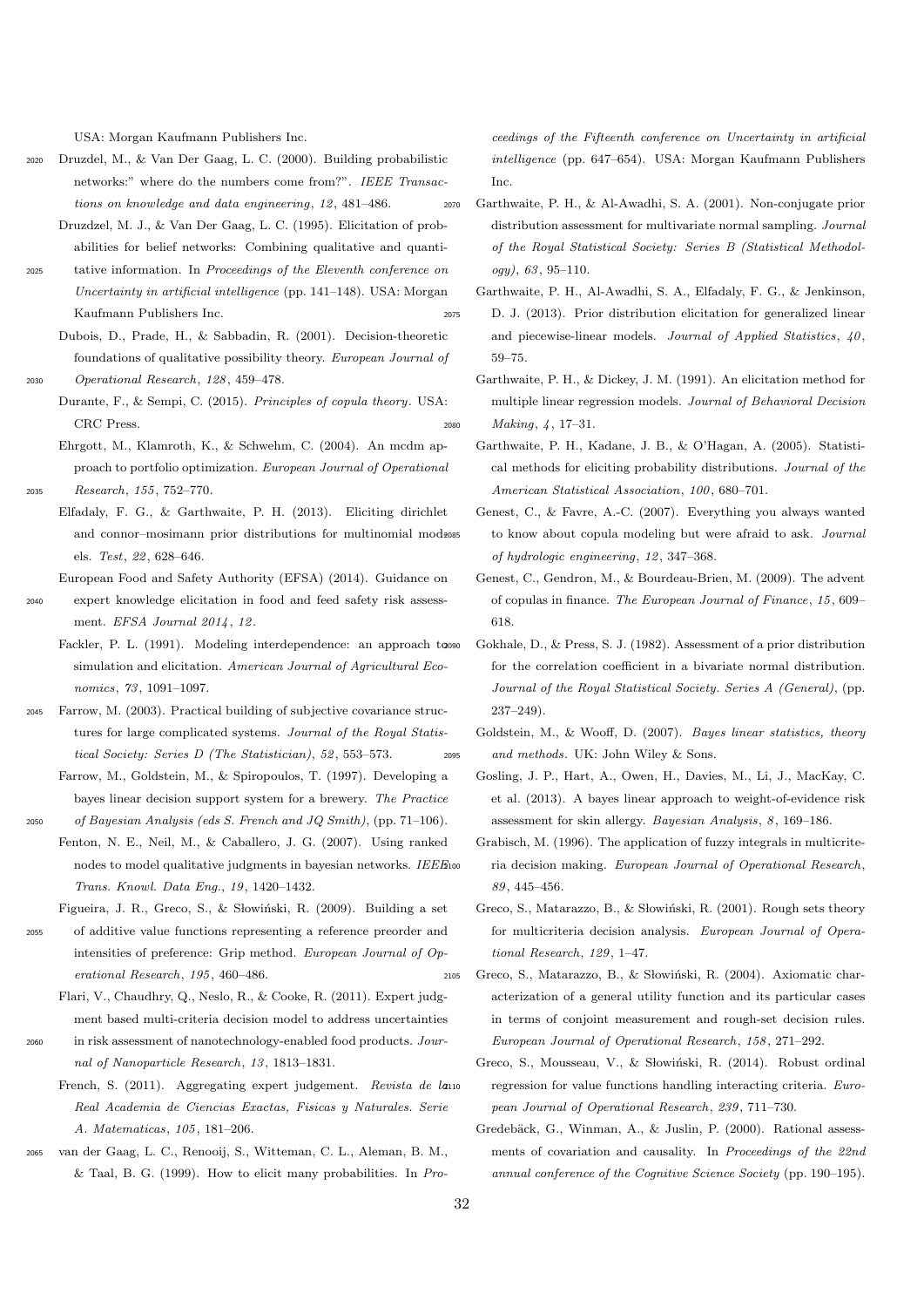USA: Morgan Kaufmann Publishers Inc.

- <span id="page-31-14"></span><span id="page-31-13"></span><sup>2020</sup> Druzdel, M., & Van Der Gaag, L. C. (2000). Building probabilistic networks:" where do the numbers come from?". IEEE Transactions on knowledge and data engineering, 12, 481–486.
	- Druzdzel, M. J., & Van Der Gaag, L. C. (1995). Elicitation of probabilities for belief networks: Combining qualitative and quanti-
- <sup>2025</sup> tative information. In Proceedings of the Eleventh conference on Uncertainty in artificial intelligence (pp. 141–148). USA: Morgan Kaufmann Publishers Inc.
- <span id="page-31-4"></span>Dubois, D., Prade, H., & Sabbadin, R. (2001). Decision-theoretic foundations of qualitative possibility theory. European Journal of <sup>2030</sup> Operational Research, 128, 459–478.
- <span id="page-31-17"></span>Durante, F., & Sempi, C. (2015). Principles of copula theory. USA: CRC Press.
- <span id="page-31-21"></span><span id="page-31-11"></span><span id="page-31-0"></span>Ehrgott, M., Klamroth, K., & Schwehm, C. (2004). An mcdm approach to portfolio optimization. European Journal of Operational <sup>2035</sup> Research, 155, 752–770.
	- Elfadaly, F. G., & Garthwaite, P. H. (2013). Eliciting dirichlet and connor-mosimann prior distributions for multinomial mod-2085 els. Test, 22, 628–646.
	- European Food and Safety Authority (EFSA) (2014). Guidance on expert knowledge elicitation in food and feed safety risk assessment. EFSA Journal 2014 , 12.
	- Fackler, P. L. (1991). Modeling interdependence: an approach tooso simulation and elicitation. American Journal of Agricultural Economics, 73, 1091–1097.
- <span id="page-31-28"></span><span id="page-31-25"></span><span id="page-31-23"></span><sup>2045</sup> Farrow, M. (2003). Practical building of subjective covariance structures for large complicated systems. Journal of the Royal Statistical Society: Series D (The Statistician), 52, 553–573.
	- Farrow, M., Goldstein, M., & Spiropoulos, T. (1997). Developing a bayes linear decision support system for a brewery. The Practice
- <span id="page-31-15"></span> $2050$  of Bayesian Analysis (eds S. French and JQ Smith), (pp. 71–106). Fenton, N. E., Neil, M., & Caballero, J. G. (2007). Using ranked
	- nodes to model qualitative judgments in bayesian networks.  $\it{IEEE}$ Trans. Knowl. Data Eng., 19, 1420–1432.
	- Figueira, J. R., Greco, S., & Słowiński, R. (2009). Building a set
- <span id="page-31-8"></span><span id="page-31-5"></span><sup>2055</sup> of additive value functions representing a reference preorder and intensities of preference: Grip method. European Journal of Operational Research, 195, 460–486.
	- Flari, V., Chaudhry, Q., Neslo, R., & Cooke, R. (2011). Expert judgment based multi-criteria decision model to address uncertainties
- <span id="page-31-1"></span><sup>2060</sup> in risk assessment of nanotechnology-enabled food products. Journal of Nanoparticle Research, 13, 1813–1831.
	- French, S. (2011). Aggregating expert judgement. Revista de lano Real Academia de Ciencias Exactas, Fisicas y Naturales. Serie A. Matematicas, 105, 181–206.
- <span id="page-31-16"></span><sup>2065</sup> van der Gaag, L. C., Renooij, S., Witteman, C. L., Aleman, B. M., & Taal, B. G. (1999). How to elicit many probabilities. In Pro-

ceedings of the Fifteenth conference on Uncertainty in artificial intelligence (pp. 647–654). USA: Morgan Kaufmann Publishers Inc.

- <span id="page-31-20"></span><sup>2070</sup> Garthwaite, P. H., & Al-Awadhi, S. A. (2001). Non-conjugate prior distribution assessment for multivariate normal sampling. Journal of the Royal Statistical Society: Series B (Statistical Methodology), 63, 95–110.
- <span id="page-31-27"></span>Garthwaite, P. H., Al-Awadhi, S. A., Elfadaly, F. G., & Jenkinson, <sup>2075</sup> D. J. (2013). Prior distribution elicitation for generalized linear and piecewise-linear models. Journal of Applied Statistics, 40, 59–75.
- <span id="page-31-26"></span><span id="page-31-19"></span><span id="page-31-3"></span>Garthwaite, P. H., & Dickey, J. M. (1991). An elicitation method for multiple linear regression models. Journal of Behavioral Decision <sup>2080</sup> Making, 4, 17–31.
	- Garthwaite, P. H., Kadane, J. B., & O'Hagan, A. (2005). Statistical methods for eliciting probability distributions. Journal of the American Statistical Association, 100, 680–701.
	- Genest, C., & Favre, A.-C. (2007). Everything you always wanted to know about copula modeling but were afraid to ask. Journal of hydrologic engineering, 12, 347–368.
	- Genest, C., Gendron, M., & Bourdeau-Brien, M. (2009). The advent of copulas in finance. The European Journal of Finance, 15, 609– 618.
	- Gokhale, D., & Press, S. J. (1982). Assessment of a prior distribution for the correlation coefficient in a bivariate normal distribution. Journal of the Royal Statistical Society. Series A (General), (pp. 237–249).
- <span id="page-31-24"></span><span id="page-31-22"></span><span id="page-31-18"></span><span id="page-31-6"></span><span id="page-31-2"></span>Goldstein, M., & Wooff, D. (2007). Bayes linear statistics, theory <sup>2095</sup> and methods. UK: John Wiley & Sons.
	- Gosling, J. P., Hart, A., Owen, H., Davies, M., Li, J., MacKay, C. et al. (2013). A bayes linear approach to weight-of-evidence risk assessment for skin allergy. Bayesian Analysis, 8, 169–186.
	- Grabisch, M. (1996). The application of fuzzy integrals in multicriteria decision making. European Journal of Operational Research, 89, 445–456.
	- Greco, S., Matarazzo, B., & Słowiński, R. (2001). Rough sets theory for multicriteria decision analysis. European Journal of Operational Research, 129, 1–47.
- <span id="page-31-12"></span><span id="page-31-10"></span><span id="page-31-9"></span><span id="page-31-7"></span>2105 Greco, S., Matarazzo, B., & Słowiński, R. (2004). Axiomatic characterization of a general utility function and its particular cases in terms of conjoint measurement and rough-set decision rules. European Journal of Operational Research, 158, 271–292.
	- Greco, S., Mousseau, V., & Słowiński, R. (2014). Robust ordinal regression for value functions handling interacting criteria. European Journal of Operational Research, 239, 711–730.
	- Gredebäck, G., Winman, A., & Juslin, P. (2000). Rational assessments of covariation and causality. In Proceedings of the 22nd annual conference of the Cognitive Science Society (pp. 190–195).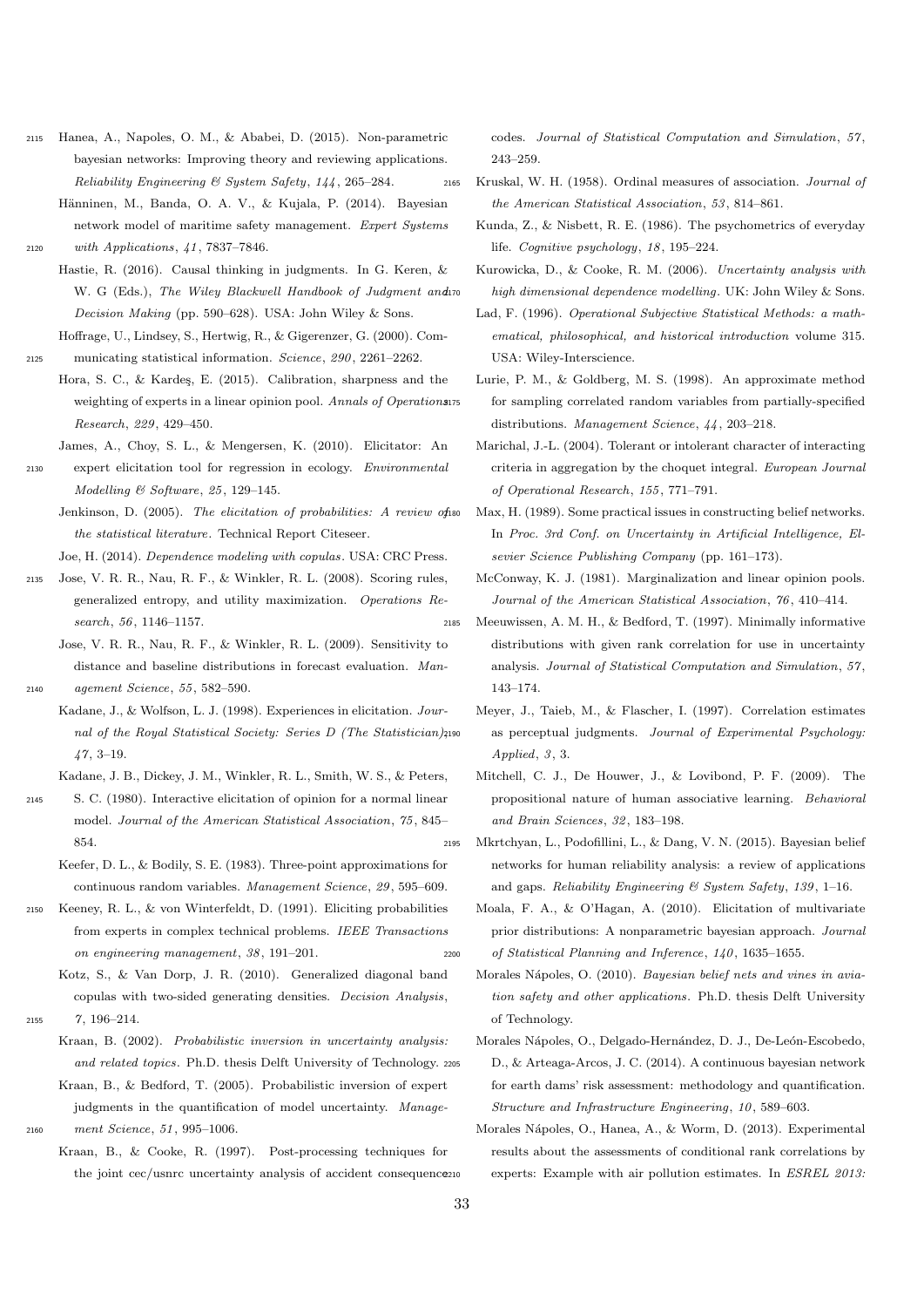- <span id="page-32-15"></span><sup>2115</sup> Hanea, A., Napoles, O. M., & Ababei, D. (2015). Non-parametric bayesian networks: Improving theory and reviewing applications. Reliability Engineering & System Safety, 144, 265–284.
- <span id="page-32-17"></span>Hänninen, M., Banda, O. A. V., & Kujala, P. (2014). Bayesian network model of maritime safety management. Expert Systems <sup>2120</sup> with Applications, 41, 7837–7846.
- <span id="page-32-9"></span>Hastie, R. (2016). Causal thinking in judgments. In G. Keren, & W. G (Eds.), The Wiley Blackwell Handbook of Judgment and io Decision Making (pp. 590–628). USA: John Wiley & Sons.
- <span id="page-32-29"></span>Hoffrage, U., Lindsey, S., Hertwig, R., & Gigerenzer, G. (2000). Com-<sup>2125</sup> municating statistical information. Science, 290, 2261–2262.
- <span id="page-32-32"></span>Hora, S. C., & Kardeş, E. (2015). Calibration, sharpness and the weighting of experts in a linear opinion pool. Annals of Operations Research, 229, 429–450.
	- James, A., Choy, S. L., & Mengersen, K. (2010). Elicitator: An
- <span id="page-32-23"></span><span id="page-32-0"></span><sup>2130</sup> expert elicitation tool for regression in ecology. Environmental Modelling & Software, 25, 129–145.
	- Jenkinson, D. (2005). The elicitation of probabilities: A review of iso the statistical literature. Technical Report Citeseer.
	- Joe, H. (2014). Dependence modeling with copulas. USA: CRC Press.
- <span id="page-32-18"></span><span id="page-32-12"></span><span id="page-32-11"></span><sup>2135</sup> Jose, V. R. R., Nau, R. F., & Winkler, R. L. (2008). Scoring rules, generalized entropy, and utility maximization. Operations Research, 56, 1146–1157.
	- Jose, V. R. R., Nau, R. F., & Winkler, R. L. (2009). Sensitivity to distance and baseline distributions in forecast evaluation. Man-
- <span id="page-32-10"></span><sup>2140</sup> agement Science, 55, 582–590. Kadane, J., & Wolfson, L. J. (1998). Experiences in elicitation. Jour
	- nal of the Royal Statistical Society: Series D (The Statistician), 2190 47, 3–19.
	- Kadane, J. B., Dickey, J. M., Winkler, R. L., Smith, W. S., & Peters,
- <span id="page-32-22"></span><span id="page-32-4"></span><sup>2145</sup> S. C. (1980). Interactive elicitation of opinion for a normal linear model. Journal of the American Statistical Association, 75, 845– 854.
	- Keefer, D. L., & Bodily, S. E. (1983). Three-point approximations for continuous random variables. Management Science, 29, 595–609.
- <span id="page-32-2"></span><sup>2150</sup> Keeney, R. L., & von Winterfeldt, D. (1991). Eliciting probabilities from experts in complex technical problems. IEEE Transactions on engineering management, 38, 191–201.
- <span id="page-32-25"></span><span id="page-32-20"></span>Kotz, S., & Van Dorp, J. R. (2010). Generalized diagonal band copulas with two-sided generating densities. Decision Analysis, <sup>2155</sup> 7, 196–214.
	- Kraan, B. (2002). Probabilistic inversion in uncertainty analysis: and related topics. Ph.D. thesis Delft University of Technology. 2205 Kraan, B., & Bedford, T. (2005). Probabilistic inversion of expert
- <span id="page-32-24"></span><span id="page-32-13"></span>judgments in the quantification of model uncertainty. Manage-<sup>2160</sup> ment Science, 51, 995–1006.
	- Kraan, B., & Cooke, R. (1997). Post-processing techniques for the joint cec/usnrc uncertainty analysis of accident consequence210

codes. Journal of Statistical Computation and Simulation, 57, 243–259.

- <span id="page-32-26"></span><span id="page-32-7"></span><span id="page-32-5"></span><span id="page-32-3"></span><span id="page-32-1"></span><sup>2165</sup> Kruskal, W. H. (1958). Ordinal measures of association. Journal of the American Statistical Association, 53, 814–861.
	- Kunda, Z., & Nisbett, R. E. (1986). The psychometrics of everyday life. Cognitive psychology, 18, 195–224.
	- Kurowicka, D., & Cooke, R. M. (2006). Uncertainty analysis with high dimensional dependence modelling. UK: John Wiley & Sons.
	- Lad, F. (1996). Operational Subjective Statistical Methods: a mathematical, philosophical, and historical introduction volume 315. USA: Wiley-Interscience.
	- Lurie, P. M., & Goldberg, M. S. (1998). An approximate method for sampling correlated random variables from partially-specified distributions. Management Science, 44, 203–218.
	- Marichal, J.-L. (2004). Tolerant or intolerant character of interacting criteria in aggregation by the choquet integral. European Journal of Operational Research, 155, 771–791.
	- Max, H. (1989). Some practical issues in constructing belief networks. In Proc. 3rd Conf. on Uncertainty in Artificial Intelligence, Elsevier Science Publishing Company (pp. 161–173).
	- McConway, K. J. (1981). Marginalization and linear opinion pools. Journal of the American Statistical Association, 76, 410–414.
- <span id="page-32-33"></span><span id="page-32-30"></span><span id="page-32-19"></span><span id="page-32-14"></span><span id="page-32-6"></span><sup>2185</sup> Meeuwissen, A. M. H., & Bedford, T. (1997). Minimally informative distributions with given rank correlation for use in uncertainty analysis. Journal of Statistical Computation and Simulation, 57, 143–174.
	- Meyer, J., Taieb, M., & Flascher, I. (1997). Correlation estimates as perceptual judgments. Journal of Experimental Psychology: Applied, 3, 3.
	- Mitchell, C. J., De Houwer, J., & Lovibond, P. F. (2009). The propositional nature of human associative learning. Behavioral and Brain Sciences, 32, 183–198.
- <span id="page-32-16"></span><span id="page-32-8"></span><sup>2195</sup> Mkrtchyan, L., Podofillini, L., & Dang, V. N. (2015). Bayesian belief networks for human reliability analysis: a review of applications and gaps. Reliability Engineering & System Safety, 139, 1–16.
- <span id="page-32-31"></span><span id="page-32-28"></span><span id="page-32-27"></span><span id="page-32-21"></span>Moala, F. A., & O'Hagan, A. (2010). Elicitation of multivariate prior distributions: A nonparametric bayesian approach. Journal <sup>2200</sup> of Statistical Planning and Inference, 140, 1635–1655.
	- Morales Nápoles, O. (2010). Bayesian belief nets and vines in aviation safety and other applications. Ph.D. thesis Delft University of Technology.
	- Morales Nápoles, O., Delgado-Hernández, D. J., De-León-Escobedo, D., & Arteaga-Arcos, J. C. (2014). A continuous bayesian network for earth dams' risk assessment: methodology and quantification. Structure and Infrastructure Engineering, 10, 589–603.
	- Morales N´apoles, O., Hanea, A., & Worm, D. (2013). Experimental results about the assessments of conditional rank correlations by experts: Example with air pollution estimates. In ESREL 2013: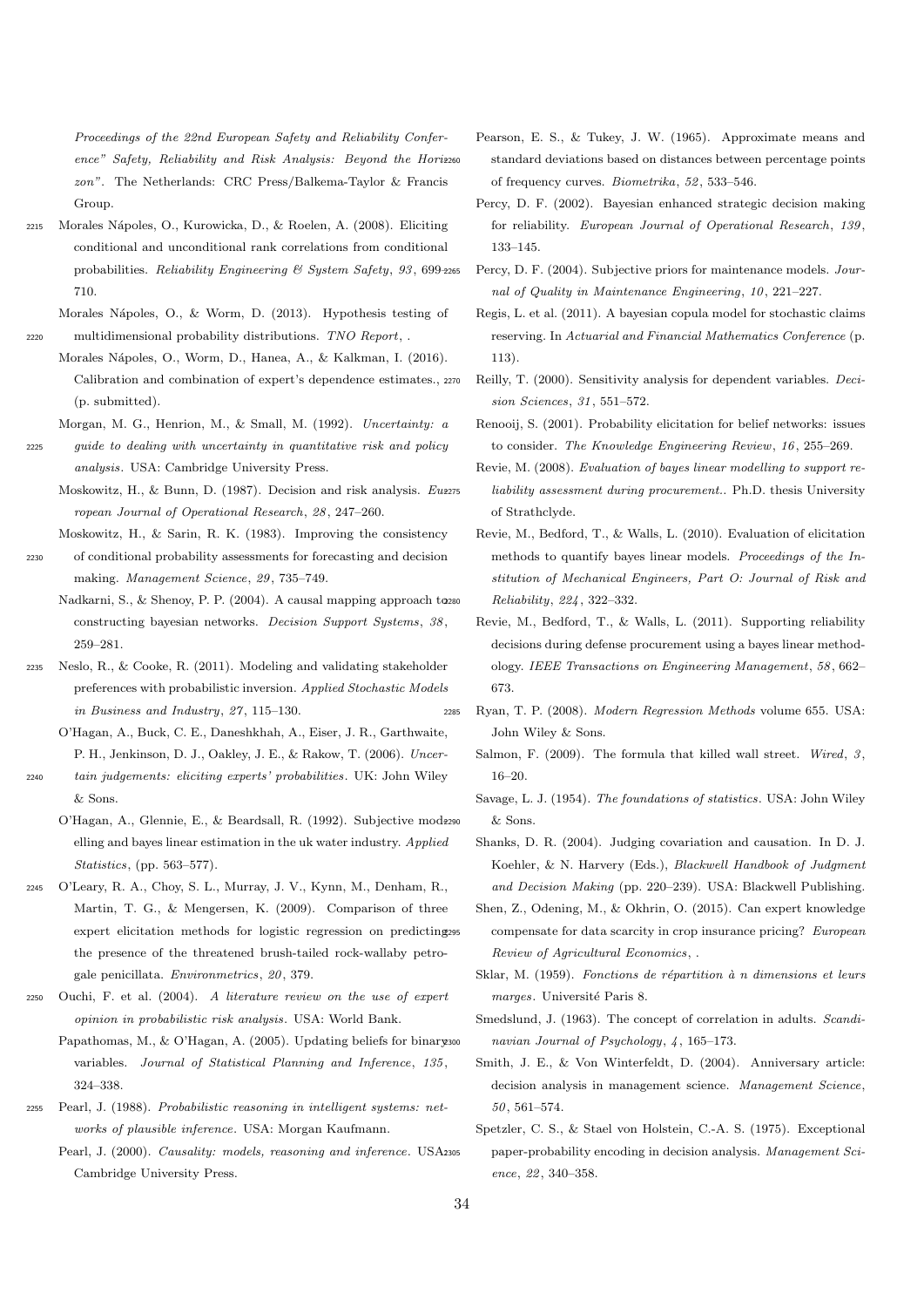Proceedings of the 22nd European Safety and Reliability Conference" Safety, Reliability and Risk Analysis: Beyond the Horizz60 zon". The Netherlands: CRC Press/Balkema-Taylor & Francis Group.

- <span id="page-33-12"></span><sup>2215</sup> Morales N´apoles, O., Kurowicka, D., & Roelen, A. (2008). Eliciting conditional and unconditional rank correlations from conditional probabilities. Reliability Engineering & System Safety, 93, 699– 710.
- <span id="page-33-31"></span><span id="page-33-30"></span>Morales Nápoles, O., & Worm, D. (2013). Hypothesis testing of <sup>2220</sup> multidimensional probability distributions. TNO Report, .
	- Morales N´apoles, O., Worm, D., Hanea, A., & Kalkman, I. (2016). Calibration and combination of expert's dependence estimates., 2270 (p. submitted).

<span id="page-33-28"></span>Morgan, M. G., Henrion, M., & Small, M. (1992). Uncertainty: a

- <span id="page-33-3"></span><sup>2225</sup> guide to dealing with uncertainty in quantitative risk and policy analysis. USA: Cambridge University Press.
	- Moskowitz, H., & Bunn, D. (1987). Decision and risk analysis. Eu2275 ropean Journal of Operational Research, 28, 247–260.
- <span id="page-33-26"></span><span id="page-33-10"></span>Moskowitz, H., & Sarin, R. K. (1983). Improving the consistency <sup>2230</sup> of conditional probability assessments for forecasting and decision making. Management Science, 29, 735–749.
	- Nadkarni, S., & Shenoy, P. P. (2004). A causal mapping approach to constructing bayesian networks. Decision Support Systems, 38, 259–281.
- <span id="page-33-5"></span><sup>2235</sup> Neslo, R., & Cooke, R. (2011). Modeling and validating stakeholder preferences with probabilistic inversion. Applied Stochastic Models in Business and Industry, 27, 115–130.
	- O'Hagan, A., Buck, C. E., Daneshkhah, A., Eiser, J. R., Garthwaite, P. H., Jenkinson, D. J., Oakley, J. E., & Rakow, T. (2006). Uncer-
- <span id="page-33-23"></span><span id="page-33-0"></span><sup>2240</sup> tain judgements: eliciting experts' probabilities. UK: John Wiley & Sons.
	- O'Hagan, A., Glennie, E., & Beardsall, R. (1992). Subjective modezoo elling and bayes linear estimation in the uk water industry. Applied Statistics, (pp. 563–577).
- <span id="page-33-25"></span><sup>2245</sup> O'Leary, R. A., Choy, S. L., Murray, J. V., Kynn, M., Denham, R., Martin, T. G., & Mengersen, K. (2009). Comparison of three expert elicitation methods for logistic regression on predicting the presence of the threatened brush-tailed rock-wallaby petrogale penicillata. Environmetrics, 20, 379.
- <span id="page-33-29"></span><span id="page-33-1"></span>Ouchi, F. et al.  $(2004)$ . A literature review on the use of expert opinion in probabilistic risk analysis. USA: World Bank.
	- Papathomas, M., & O'Hagan, A. (2005). Updating beliefs for binaryson variables. Journal of Statistical Planning and Inference, 135, 324–338.
- <span id="page-33-13"></span><span id="page-33-9"></span><sup>2255</sup> Pearl, J. (1988). Probabilistic reasoning in intelligent systems: networks of plausible inference. USA: Morgan Kaufmann.
	- Pearl, J. (2000). Causality: models, reasoning and inference. USA:305 Cambridge University Press.
- <span id="page-33-22"></span>Pearson, E. S., & Tukey, J. W. (1965). Approximate means and standard deviations based on distances between percentage points of frequency curves. Biometrika, 52, 533–546.
- <span id="page-33-18"></span>Percy, D. F. (2002). Bayesian enhanced strategic decision making for reliability. European Journal of Operational Research, 139, 133–145.
- <span id="page-33-17"></span>Percy, D. F. (2004). Subjective priors for maintenance models. Journal of Quality in Maintenance Engineering, 10, 221–227.
- <span id="page-33-16"></span>Regis, L. et al. (2011). A bayesian copula model for stochastic claims reserving. In Actuarial and Financial Mathematics Conference (p. 113).
- <span id="page-33-27"></span>Reilly, T. (2000). Sensitivity analysis for dependent variables. Decision Sciences, 31, 551–572.
- <span id="page-33-11"></span>Renooij, S. (2001). Probability elicitation for belief networks: issues to consider. The Knowledge Engineering Review, 16, 255–269.
- <span id="page-33-21"></span>Revie, M. (2008). Evaluation of bayes linear modelling to support reliability assessment during procurement.. Ph.D. thesis University of Strathclyde.
- <span id="page-33-20"></span>Revie, M., Bedford, T., & Walls, L. (2010). Evaluation of elicitation methods to quantify bayes linear models. Proceedings of the Institution of Mechanical Engineers, Part O: Journal of Risk and <sup>2280</sup> Reliability, 224, 322–332.
- <span id="page-33-19"></span>Revie, M., Bedford, T., & Walls, L. (2011). Supporting reliability decisions during defense procurement using a bayes linear methodology. IEEE Transactions on Engineering Management, 58, 662– 673.
- <span id="page-33-32"></span><span id="page-33-24"></span><span id="page-33-15"></span><span id="page-33-14"></span><span id="page-33-8"></span><span id="page-33-7"></span><span id="page-33-6"></span><span id="page-33-4"></span><span id="page-33-2"></span><sup>2285</sup> Ryan, T. P. (2008). Modern Regression Methods volume 655. USA: John Wiley & Sons.
	- Salmon, F. (2009). The formula that killed wall street. Wired,  $3$ , 16–20.
	- Savage, L. J. (1954). The foundations of statistics. USA: John Wiley  $&$  Sons.
	- Shanks, D. R. (2004). Judging covariation and causation. In D. J. Koehler, & N. Harvery (Eds.), Blackwell Handbook of Judgment and Decision Making (pp. 220–239). USA: Blackwell Publishing.
	- Shen, Z., Odening, M., & Okhrin, O. (2015). Can expert knowledge compensate for data scarcity in crop insurance pricing? European Review of Agricultural Economics, .
	- Sklar, M. (1959). Fonctions de répartition à n dimensions et leurs marges. Université Paris 8.
	- Smedslund, J. (1963). The concept of correlation in adults. Scandinavian Journal of Psychology,  $4, 165-173$ .
	- Smith, J. E., & Von Winterfeldt, D. (2004). Anniversary article: decision analysis in management science. Management Science, 50, 561–574.
	- Spetzler, C. S., & Stael von Holstein, C.-A. S. (1975). Exceptional paper-probability encoding in decision analysis. Management Science, 22, 340–358.